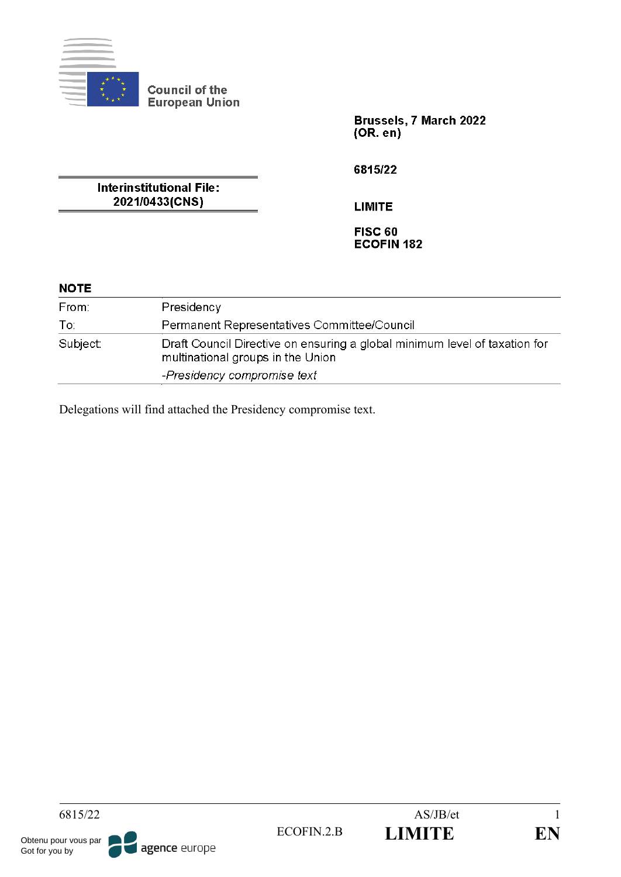

Brussels, 7 March 2022  $(OR. en)$ 

**Interinstitutional File:** 2021/0433(CNS)

6815/22

**LIMITE** 

**FISC 60 ECOFIN 182** 

# **NOTE**

| From:    | Presidency                                                                                                      |  |  |  |
|----------|-----------------------------------------------------------------------------------------------------------------|--|--|--|
| To:      | Permanent Representatives Committee/Council                                                                     |  |  |  |
| Subject: | Draft Council Directive on ensuring a global minimum level of taxation for<br>multinational groups in the Union |  |  |  |
|          | -Presidency compromise text                                                                                     |  |  |  |

Delegations will find attached the Presidency compromise text.

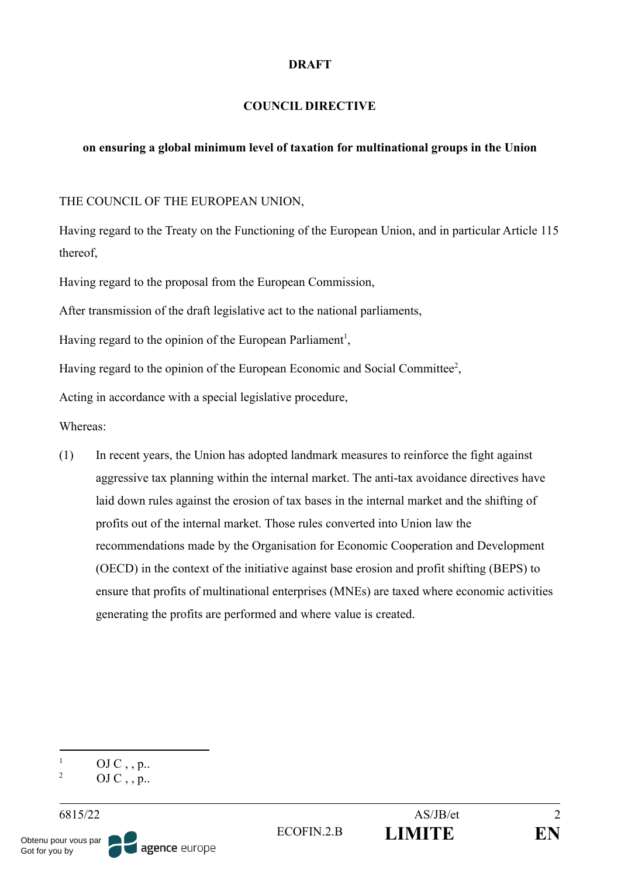#### **DRAFT**

### **COUNCIL DIRECTIVE**

### **on ensuring a global minimum level of taxation for multinational groups in the Union**

THE COUNCIL OF THE EUROPEAN UNION,

Having regard to the Treaty on the Functioning of the European Union, and in particular Article 115 thereof,

Having regard to the proposal from the European Commission,

After transmission of the draft legislative act to the national parliaments,

Having regard to the opinion of the European Parliament<sup>1</sup>,

Having regard to the opinion of the European Economic and Social Committee<sup>2</sup>,

Acting in accordance with a special legislative procedure,

Whereas:

(1) In recent years, the Union has adopted landmark measures to reinforce the fight against aggressive tax planning within the internal market. The anti-tax avoidance directives have laid down rules against the erosion of tax bases in the internal market and the shifting of profits out of the internal market. Those rules converted into Union law the recommendations made by the Organisation for Economic Cooperation and Development (OECD) in the context of the initiative against base erosion and profit shifting (BEPS) to ensure that profits of multinational enterprises (MNEs) are taxed where economic activities generating the profits are performed and where value is created.

|  | OJ C, , p. |  |  |
|--|------------|--|--|
|  |            |  |  |

 $OJ C$ , , p...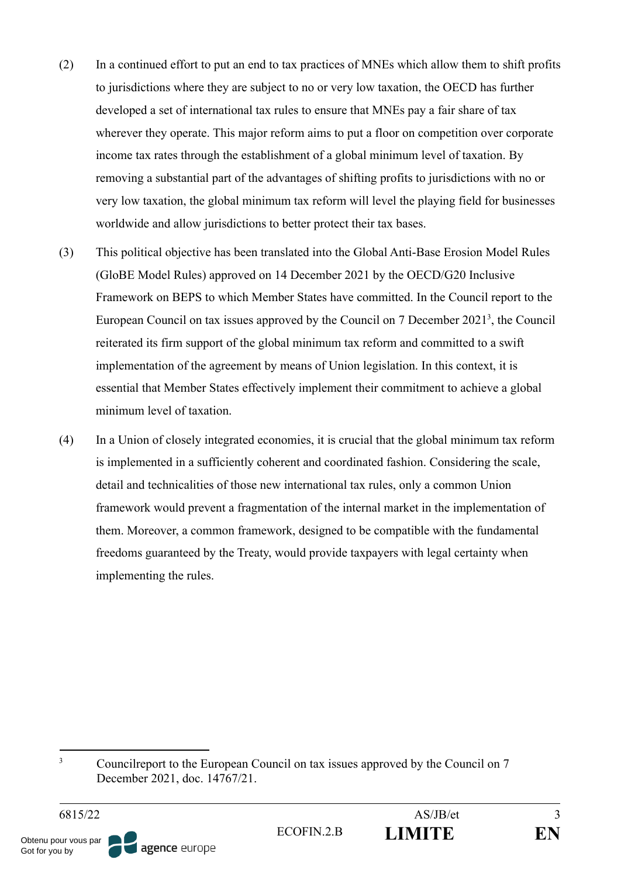- (2) In a continued effort to put an end to tax practices of MNEs which allow them to shift profits to jurisdictions where they are subject to no or very low taxation, the OECD has further developed a set of international tax rules to ensure that MNEs pay a fair share of tax wherever they operate. This major reform aims to put a floor on competition over corporate income tax rates through the establishment of a global minimum level of taxation. By removing a substantial part of the advantages of shifting profits to jurisdictions with no or very low taxation, the global minimum tax reform will level the playing field for businesses worldwide and allow jurisdictions to better protect their tax bases.
- (3) This political objective has been translated into the Global Anti-Base Erosion Model Rules (GloBE Model Rules) approved on 14 December 2021 by the OECD/G20 Inclusive Framework on BEPS to which Member States have committed. In the Council report to the European Council on tax issues approved by the Council on  $7$  December  $2021<sup>3</sup>$ , the Council reiterated its firm support of the global minimum tax reform and committed to a swift implementation of the agreement by means of Union legislation. In this context, it is essential that Member States effectively implement their commitment to achieve a global minimum level of taxation.
- (4) In a Union of closely integrated economies, it is crucial that the global minimum tax reform is implemented in a sufficiently coherent and coordinated fashion. Considering the scale, detail and technicalities of those new international tax rules, only a common Union framework would prevent a fragmentation of the internal market in the implementation of them. Moreover, a common framework, designed to be compatible with the fundamental freedoms guaranteed by the Treaty, would provide taxpayers with legal certainty when implementing the rules.

<sup>&</sup>lt;sup>3</sup> Councilreport to the European Council on tax issues approved by the Council on 7 December 2021, doc. 14767/21.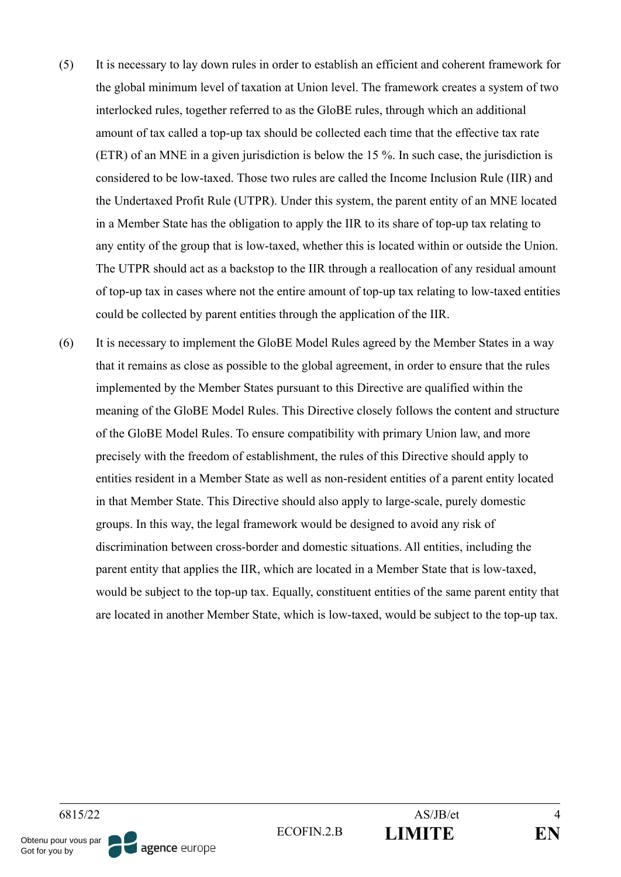- (5) It is necessary to lay down rules in order to establish an efficient and coherent framework for the global minimum level of taxation at Union level. The framework creates a system of two interlocked rules, together referred to as the GloBE rules, through which an additional amount of tax called a top-up tax should be collected each time that the effective tax rate (ETR) of an MNE in a given jurisdiction is below the 15 %. In such case, the jurisdiction is considered to be low-taxed. Those two rules are called the Income Inclusion Rule (IIR) and the Undertaxed Profit Rule (UTPR). Under this system, the parent entity of an MNE located in a Member State has the obligation to apply the IIR to its share of top-up tax relating to any entity of the group that is low-taxed, whether this is located within or outside the Union. The UTPR should act as a backstop to the IIR through a reallocation of any residual amount of top-up tax in cases where not the entire amount of top-up tax relating to low-taxed entities could be collected by parent entities through the application of the IIR.
- (6) It is necessary to implement the GloBE Model Rules agreed by the Member States in a way that it remains as close as possible to the global agreement, in order to ensure that the rules implemented by the Member States pursuant to this Directive are qualified within the meaning of the GloBE Model Rules. This Directive closely follows the content and structure of the GloBE Model Rules. To ensure compatibility with primary Union law, and more precisely with the freedom of establishment, the rules of this Directive should apply to entities resident in a Member State as well as non-resident entities of a parent entity located in that Member State. This Directive should also apply to large-scale, purely domestic groups. In this way, the legal framework would be designed to avoid any risk of discrimination between cross-border and domestic situations. All entities, including the parent entity that applies the IIR, which are located in a Member State that is low-taxed, would be subject to the top-up tax. Equally, constituent entities of the same parent entity that are located in another Member State, which is low-taxed, would be subject to the top-up tax.

Obtenu pour vous par Got for you by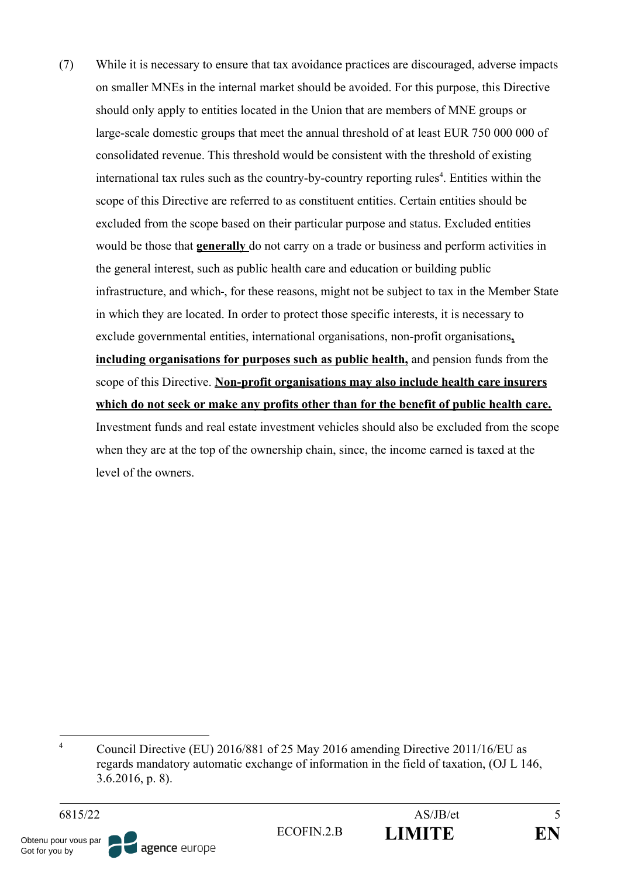(7) While it is necessary to ensure that tax avoidance practices are discouraged, adverse impacts on smaller MNEs in the internal market should be avoided. For this purpose, this Directive should only apply to entities located in the Union that are members of MNE groups or large-scale domestic groups that meet the annual threshold of at least EUR 750 000 000 of consolidated revenue. This threshold would be consistent with the threshold of existing international tax rules such as the country-by-country reporting rules<sup>4</sup>. Entities within the scope of this Directive are referred to as constituent entities. Certain entities should be excluded from the scope based on their particular purpose and status. Excluded entities would be those that **generally** do not carry on a trade or business and perform activities in the general interest, such as public health care and education or building public infrastructure, and which-, for these reasons, might not be subject to tax in the Member State in which they are located. In order to protect those specific interests, it is necessary to exclude governmental entities, international organisations, non-profit organisations**, including organisations for purposes such as public health,** and pension funds from the scope of this Directive. **Non-profit organisations may also include health care insurers which do not seek or make any profits other than for the benefit of public health care.** Investment funds and real estate investment vehicles should also be excluded from the scope when they are at the top of the ownership chain, since, the income earned is taxed at the level of the owners.

$$
\overset{\circ}{\text{EN}}
$$

<sup>&</sup>lt;sup>4</sup> Council Directive (EU) 2016/881 of 25 May 2016 amending Directive 2011/16/EU as regards mandatory automatic exchange of information in the field of taxation, (OJ L 146, 3.6.2016, p. 8).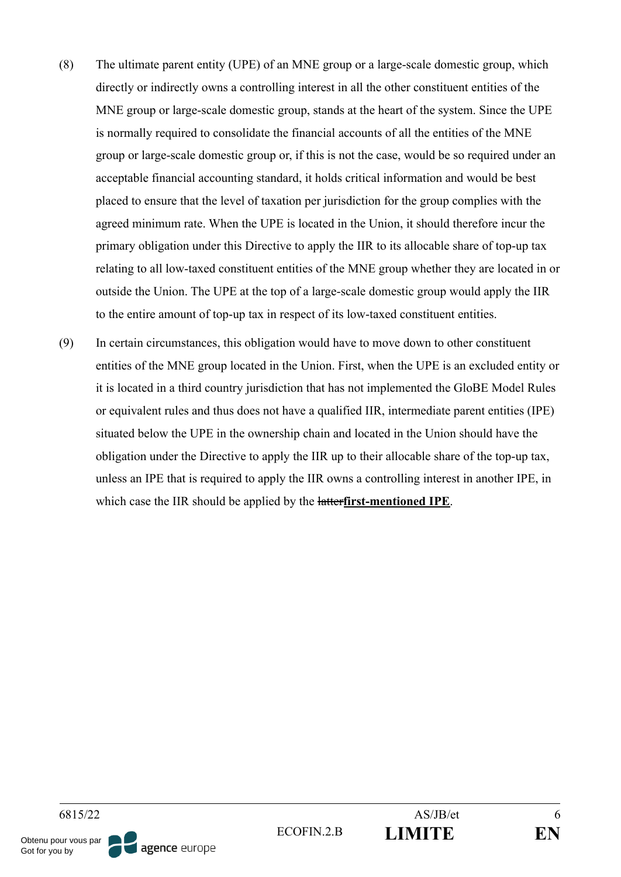- (8) The ultimate parent entity (UPE) of an MNE group or a large-scale domestic group, which directly or indirectly owns a controlling interest in all the other constituent entities of the MNE group or large-scale domestic group, stands at the heart of the system. Since the UPE is normally required to consolidate the financial accounts of all the entities of the MNE group or large-scale domestic group or, if this is not the case, would be so required under an acceptable financial accounting standard, it holds critical information and would be best placed to ensure that the level of taxation per jurisdiction for the group complies with the agreed minimum rate. When the UPE is located in the Union, it should therefore incur the primary obligation under this Directive to apply the IIR to its allocable share of top-up tax relating to all low-taxed constituent entities of the MNE group whether they are located in or outside the Union. The UPE at the top of a large-scale domestic group would apply the IIR to the entire amount of top-up tax in respect of its low-taxed constituent entities.
- (9) In certain circumstances, this obligation would have to move down to other constituent entities of the MNE group located in the Union. First, when the UPE is an excluded entity or it is located in a third country jurisdiction that has not implemented the GloBE Model Rules or equivalent rules and thus does not have a qualified IIR, intermediate parent entities (IPE) situated below the UPE in the ownership chain and located in the Union should have the obligation under the Directive to apply the IIR up to their allocable share of the top-up tax, unless an IPE that is required to apply the IIR owns a controlling interest in another IPE, in which case the IIR should be applied by the latter**first-mentioned IPE**.

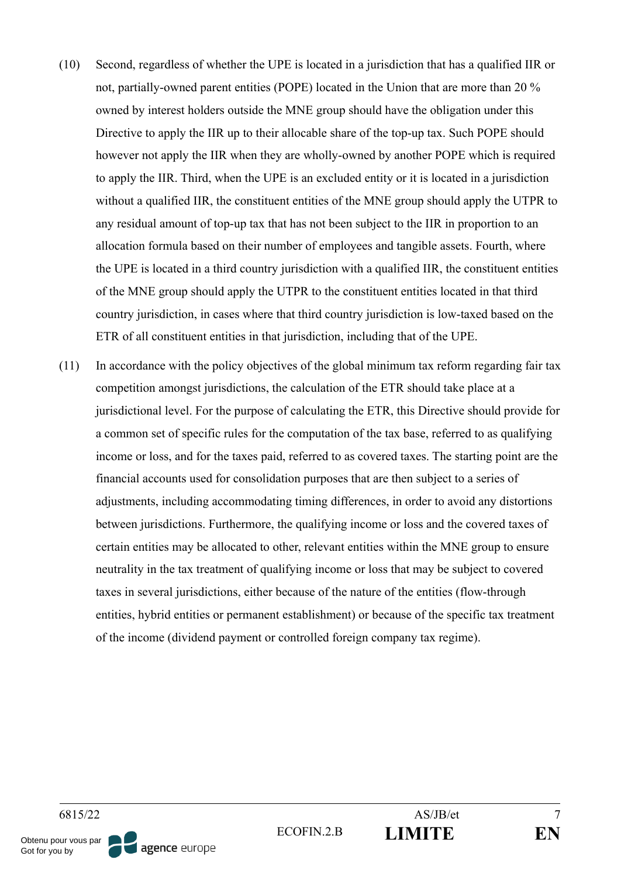- (10) Second, regardless of whether the UPE is located in a jurisdiction that has a qualified IIR or not, partially-owned parent entities (POPE) located in the Union that are more than 20 % owned by interest holders outside the MNE group should have the obligation under this Directive to apply the IIR up to their allocable share of the top-up tax. Such POPE should however not apply the IIR when they are wholly-owned by another POPE which is required to apply the IIR. Third, when the UPE is an excluded entity or it is located in a jurisdiction without a qualified IIR, the constituent entities of the MNE group should apply the UTPR to any residual amount of top-up tax that has not been subject to the IIR in proportion to an allocation formula based on their number of employees and tangible assets. Fourth, where the UPE is located in a third country jurisdiction with a qualified IIR, the constituent entities of the MNE group should apply the UTPR to the constituent entities located in that third country jurisdiction, in cases where that third country jurisdiction is low-taxed based on the ETR of all constituent entities in that jurisdiction, including that of the UPE.
- (11) In accordance with the policy objectives of the global minimum tax reform regarding fair tax competition amongst jurisdictions, the calculation of the ETR should take place at a jurisdictional level. For the purpose of calculating the ETR, this Directive should provide for a common set of specific rules for the computation of the tax base, referred to as qualifying income or loss, and for the taxes paid, referred to as covered taxes. The starting point are the financial accounts used for consolidation purposes that are then subject to a series of adjustments, including accommodating timing differences, in order to avoid any distortions between jurisdictions. Furthermore, the qualifying income or loss and the covered taxes of certain entities may be allocated to other, relevant entities within the MNE group to ensure neutrality in the tax treatment of qualifying income or loss that may be subject to covered taxes in several jurisdictions, either because of the nature of the entities (flow-through entities, hybrid entities or permanent establishment) or because of the specific tax treatment of the income (dividend payment or controlled foreign company tax regime).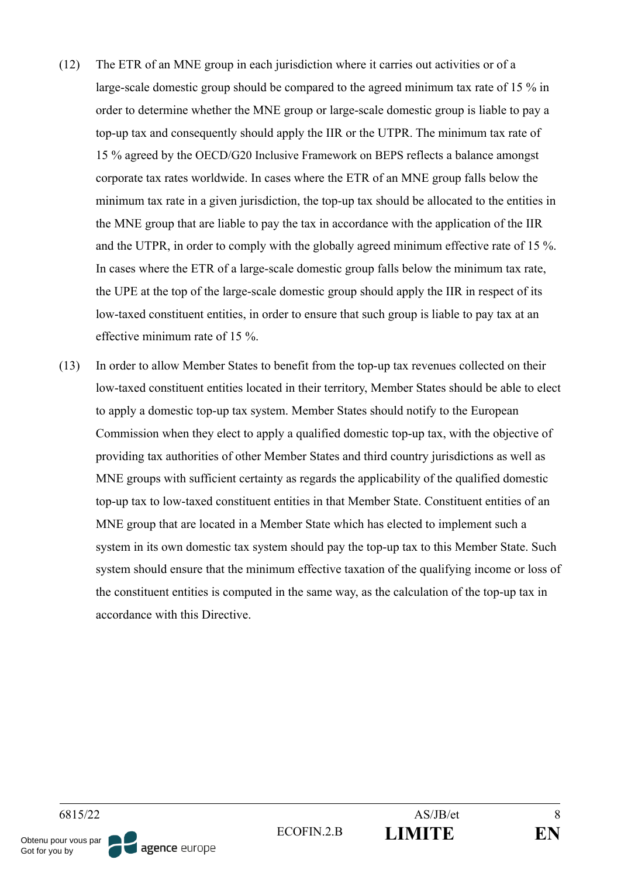- (12) The ETR of an MNE group in each jurisdiction where it carries out activities or of a large-scale domestic group should be compared to the agreed minimum tax rate of 15 % in order to determine whether the MNE group or large-scale domestic group is liable to pay a top-up tax and consequently should apply the IIR or the UTPR. The minimum tax rate of 15 % agreed by the OECD/G20 Inclusive Framework on BEPS reflects a balance amongst corporate tax rates worldwide. In cases where the ETR of an MNE group falls below the minimum tax rate in a given jurisdiction, the top-up tax should be allocated to the entities in the MNE group that are liable to pay the tax in accordance with the application of the IIR and the UTPR, in order to comply with the globally agreed minimum effective rate of 15 %. In cases where the ETR of a large-scale domestic group falls below the minimum tax rate, the UPE at the top of the large-scale domestic group should apply the IIR in respect of its low-taxed constituent entities, in order to ensure that such group is liable to pay tax at an effective minimum rate of 15 %.
- (13) In order to allow Member States to benefit from the top-up tax revenues collected on their low-taxed constituent entities located in their territory, Member States should be able to elect to apply a domestic top-up tax system. Member States should notify to the European Commission when they elect to apply a qualified domestic top-up tax, with the objective of providing tax authorities of other Member States and third country jurisdictions as well as MNE groups with sufficient certainty as regards the applicability of the qualified domestic top-up tax to low-taxed constituent entities in that Member State. Constituent entities of an MNE group that are located in a Member State which has elected to implement such a system in its own domestic tax system should pay the top-up tax to this Member State. Such system should ensure that the minimum effective taxation of the qualifying income or loss of the constituent entities is computed in the same way, as the calculation of the top-up tax in accordance with this Directive.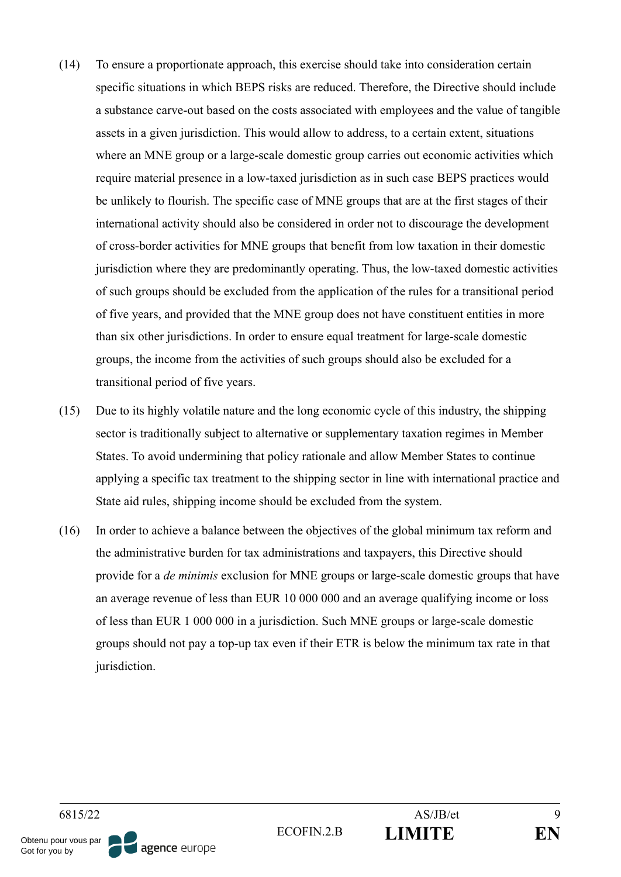- (14) To ensure a proportionate approach, this exercise should take into consideration certain specific situations in which BEPS risks are reduced. Therefore, the Directive should include a substance carve-out based on the costs associated with employees and the value of tangible assets in a given jurisdiction. This would allow to address, to a certain extent, situations where an MNE group or a large-scale domestic group carries out economic activities which require material presence in a low-taxed jurisdiction as in such case BEPS practices would be unlikely to flourish. The specific case of MNE groups that are at the first stages of their international activity should also be considered in order not to discourage the development of cross-border activities for MNE groups that benefit from low taxation in their domestic jurisdiction where they are predominantly operating. Thus, the low-taxed domestic activities of such groups should be excluded from the application of the rules for a transitional period of five years, and provided that the MNE group does not have constituent entities in more than six other jurisdictions. In order to ensure equal treatment for large-scale domestic groups, the income from the activities of such groups should also be excluded for a transitional period of five years.
- (15) Due to its highly volatile nature and the long economic cycle of this industry, the shipping sector is traditionally subject to alternative or supplementary taxation regimes in Member States. To avoid undermining that policy rationale and allow Member States to continue applying a specific tax treatment to the shipping sector in line with international practice and State aid rules, shipping income should be excluded from the system.
- (16) In order to achieve a balance between the objectives of the global minimum tax reform and the administrative burden for tax administrations and taxpayers, this Directive should provide for a *de minimis* exclusion for MNE groups or large-scale domestic groups that have an average revenue of less than EUR 10 000 000 and an average qualifying income or loss of less than EUR 1 000 000 in a jurisdiction. Such MNE groups or large-scale domestic groups should not pay a top-up tax even if their ETR is below the minimum tax rate in that jurisdiction.

Obtenu pour vous par Got for you by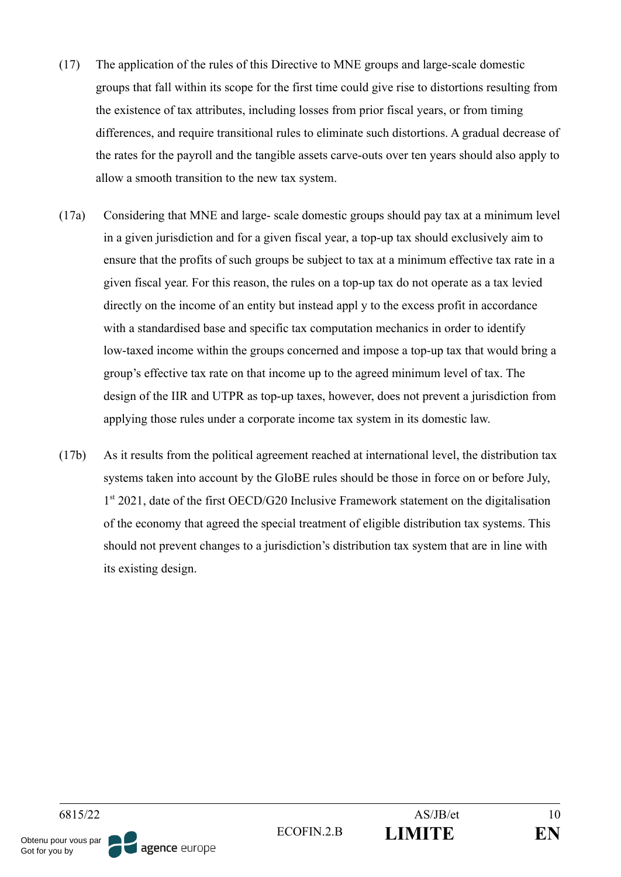- (17) The application of the rules of this Directive to MNE groups and large-scale domestic groups that fall within its scope for the first time could give rise to distortions resulting from the existence of tax attributes, including losses from prior fiscal years, or from timing differences, and require transitional rules to eliminate such distortions. A gradual decrease of the rates for the payroll and the tangible assets carve-outs over ten years should also apply to allow a smooth transition to the new tax system.
- (17a) Considering that MNE and large- scale domestic groups should pay tax at a minimum level in a given jurisdiction and for a given fiscal year, a top-up tax should exclusively aim to ensure that the profits of such groups be subject to tax at a minimum effective tax rate in a given fiscal year. For this reason, the rules on a top-up tax do not operate as a tax levied directly on the income of an entity but instead appl y to the excess profit in accordance with a standardised base and specific tax computation mechanics in order to identify low-taxed income within the groups concerned and impose a top-up tax that would bring a group's effective tax rate on that income up to the agreed minimum level of tax. The design of the IIR and UTPR as top-up taxes, however, does not prevent a jurisdiction from applying those rules under a corporate income tax system in its domestic law.
- (17b) As it results from the political agreement reached at international level, the distribution tax systems taken into account by the GloBE rules should be those in force on or before July, 1<sup>st</sup> 2021, date of the first OECD/G20 Inclusive Framework statement on the digitalisation of the economy that agreed the special treatment of eligible distribution tax systems. This should not prevent changes to a jurisdiction's distribution tax system that are in line with its existing design.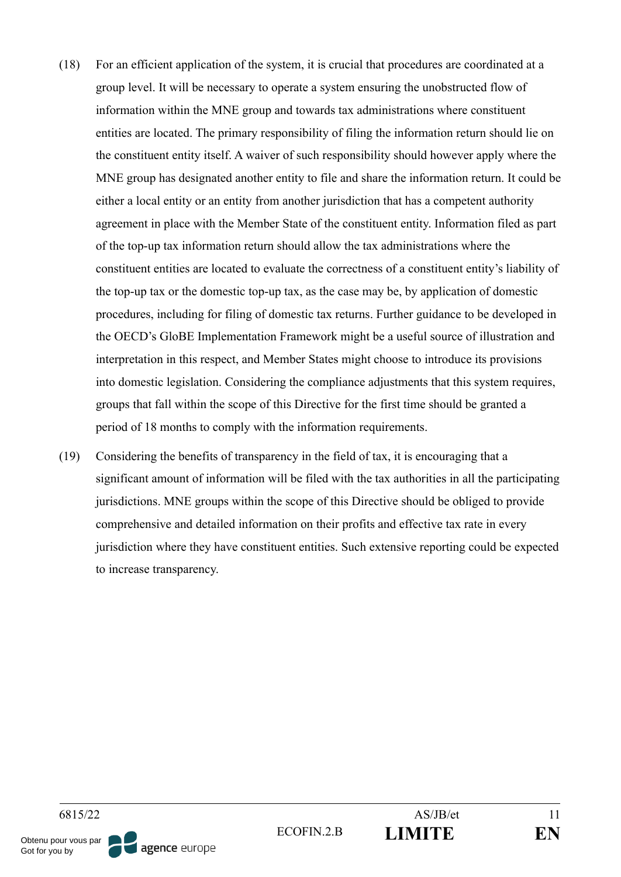- (18) For an efficient application of the system, it is crucial that procedures are coordinated at a group level. It will be necessary to operate a system ensuring the unobstructed flow of information within the MNE group and towards tax administrations where constituent entities are located. The primary responsibility of filing the information return should lie on the constituent entity itself. A waiver of such responsibility should however apply where the MNE group has designated another entity to file and share the information return. It could be either a local entity or an entity from another jurisdiction that has a competent authority agreement in place with the Member State of the constituent entity. Information filed as part of the top-up tax information return should allow the tax administrations where the constituent entities are located to evaluate the correctness of a constituent entity's liability of the top-up tax or the domestic top-up tax, as the case may be, by application of domestic procedures, including for filing of domestic tax returns. Further guidance to be developed in the OECD's GloBE Implementation Framework might be a useful source of illustration and interpretation in this respect, and Member States might choose to introduce its provisions into domestic legislation. Considering the compliance adjustments that this system requires, groups that fall within the scope of this Directive for the first time should be granted a period of 18 months to comply with the information requirements.
- (19) Considering the benefits of transparency in the field of tax, it is encouraging that a significant amount of information will be filed with the tax authorities in all the participating jurisdictions. MNE groups within the scope of this Directive should be obliged to provide comprehensive and detailed information on their profits and effective tax rate in every jurisdiction where they have constituent entities. Such extensive reporting could be expected to increase transparency.

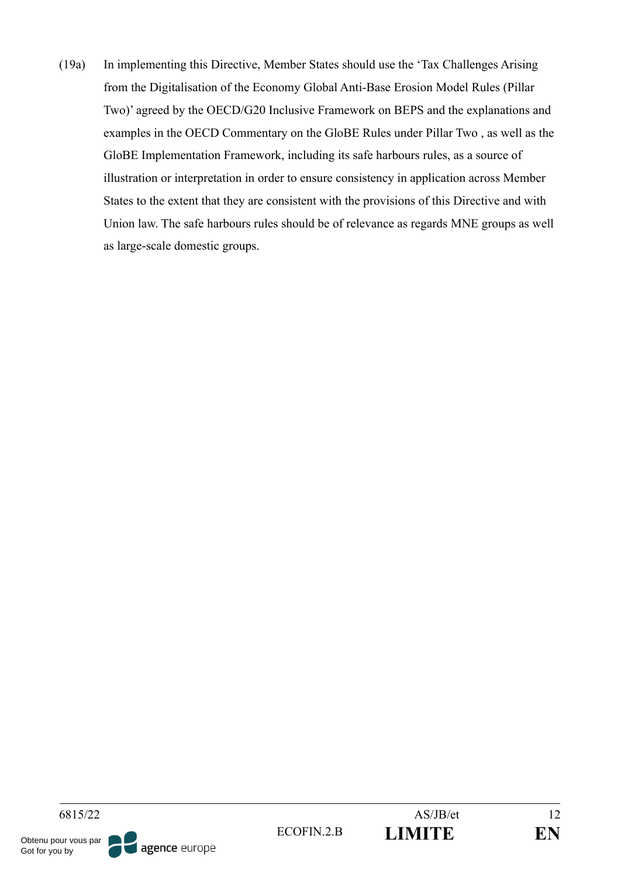(19a) In implementing this Directive, Member States should use the 'Tax Challenges Arising from the Digitalisation of the Economy Global Anti-Base Erosion Model Rules (Pillar Two)' agreed by the OECD/G20 Inclusive Framework on BEPS and the explanations and examples in the OECD Commentary on the GloBE Rules under Pillar Two , as well as the GloBE Implementation Framework, including its safe harbours rules, as a source of illustration or interpretation in order to ensure consistency in application across Member States to the extent that they are consistent with the provisions of this Directive and with Union law. The safe harbours rules should be of relevance as regards MNE groups as well as large-scale domestic groups.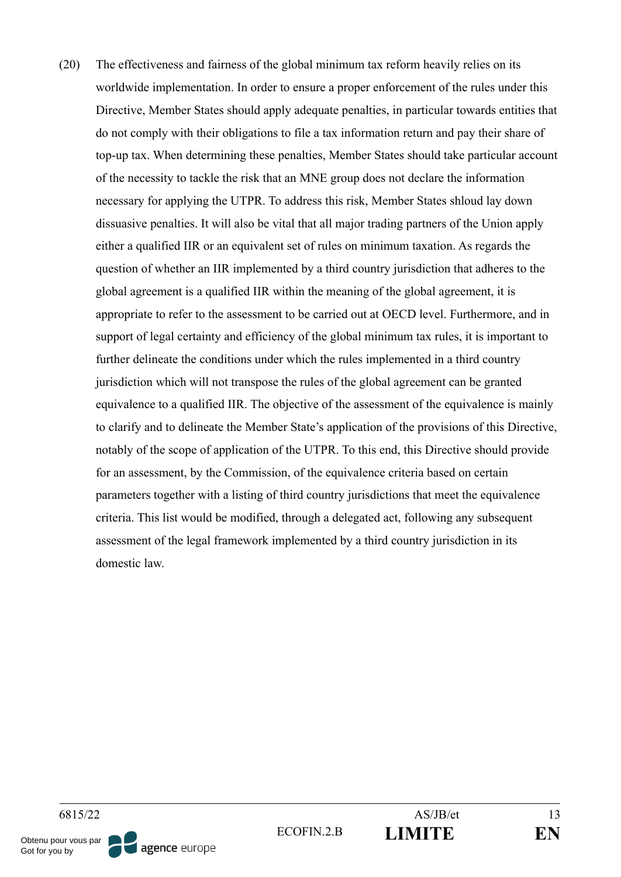(20) The effectiveness and fairness of the global minimum tax reform heavily relies on its worldwide implementation. In order to ensure a proper enforcement of the rules under this Directive, Member States should apply adequate penalties, in particular towards entities that do not comply with their obligations to file a tax information return and pay their share of top-up tax. When determining these penalties, Member States should take particular account of the necessity to tackle the risk that an MNE group does not declare the information necessary for applying the UTPR. To address this risk, Member States shloud lay down dissuasive penalties. It will also be vital that all major trading partners of the Union apply either a qualified IIR or an equivalent set of rules on minimum taxation. As regards the question of whether an IIR implemented by a third country jurisdiction that adheres to the global agreement is a qualified IIR within the meaning of the global agreement, it is appropriate to refer to the assessment to be carried out at OECD level. Furthermore, and in support of legal certainty and efficiency of the global minimum tax rules, it is important to further delineate the conditions under which the rules implemented in a third country jurisdiction which will not transpose the rules of the global agreement can be granted equivalence to a qualified IIR. The objective of the assessment of the equivalence is mainly to clarify and to delineate the Member State's application of the provisions of this Directive, notably of the scope of application of the UTPR. To this end, this Directive should provide for an assessment, by the Commission, of the equivalence criteria based on certain parameters together with a listing of third country jurisdictions that meet the equivalence criteria. This list would be modified, through a delegated act, following any subsequent assessment of the legal framework implemented by a third country jurisdiction in its domestic law.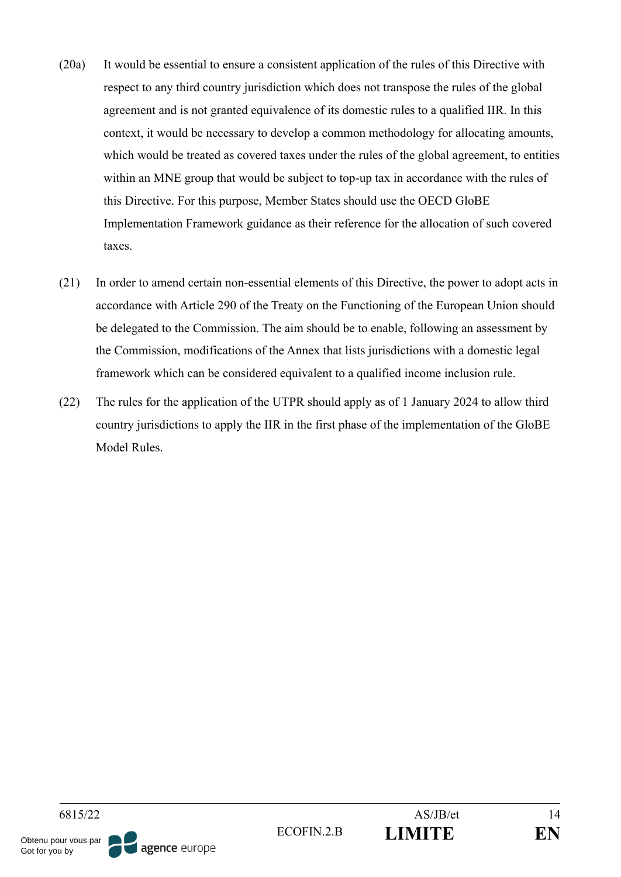- (20a) It would be essential to ensure a consistent application of the rules of this Directive with respect to any third country jurisdiction which does not transpose the rules of the global agreement and is not granted equivalence of its domestic rules to a qualified IIR. In this context, it would be necessary to develop a common methodology for allocating amounts, which would be treated as covered taxes under the rules of the global agreement, to entities within an MNE group that would be subject to top-up tax in accordance with the rules of this Directive. For this purpose, Member States should use the OECD GloBE Implementation Framework guidance as their reference for the allocation of such covered taxes.
- (21) In order to amend certain non-essential elements of this Directive, the power to adopt acts in accordance with Article 290 of the Treaty on the Functioning of the European Union should be delegated to the Commission. The aim should be to enable, following an assessment by the Commission, modifications of the Annex that lists jurisdictions with a domestic legal framework which can be considered equivalent to a qualified income inclusion rule.
- (22) The rules for the application of the UTPR should apply as of 1 January 2024 to allow third country jurisdictions to apply the IIR in the first phase of the implementation of the GloBE Model Rules.

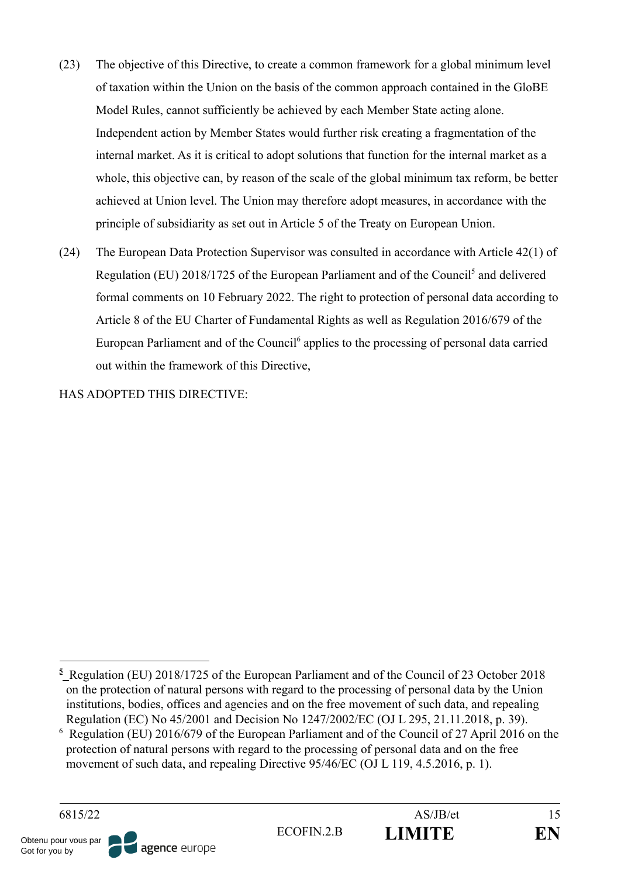- (23) The objective of this Directive, to create a common framework for a global minimum level of taxation within the Union on the basis of the common approach contained in the GloBE Model Rules, cannot sufficiently be achieved by each Member State acting alone. Independent action by Member States would further risk creating a fragmentation of the internal market. As it is critical to adopt solutions that function for the internal market as a whole, this objective can, by reason of the scale of the global minimum tax reform, be better achieved at Union level. The Union may therefore adopt measures, in accordance with the principle of subsidiarity as set out in Article 5 of the Treaty on European Union.
- (24) The European Data Protection Supervisor was consulted in accordance with Article 42(1) of Regulation (EU) 2018/1725 of the European Parliament and of the Council<sup>5</sup> and delivered formal comments on 10 February 2022. The right to protection of personal data according to Article 8 of the EU Charter of Fundamental Rights as well as Regulation 2016/679 of the European Parliament and of the Council<sup>6</sup> applies to the processing of personal data carried out within the framework of this Directive,

HAS ADOPTED THIS DIRECTIVE:

<sup>6</sup> Regulation (EU) 2016/679 of the European Parliament and of the Council of 27 April 2016 on the protection of natural persons with regard to the processing of personal data and on the free movement of such data, and repealing Directive 95/46/EC (OJ L 119, 4.5.2016, p. 1).



**<sup>5</sup>** Regulation (EU) 2018/1725 of the European Parliament and of the Council of 23 October 2018 on the protection of natural persons with regard to the processing of personal data by the Union institutions, bodies, offices and agencies and on the free movement of such data, and repealing Regulation (EC) No 45/2001 and Decision No 1247/2002/EC (OJ L 295, 21.11.2018, p. 39).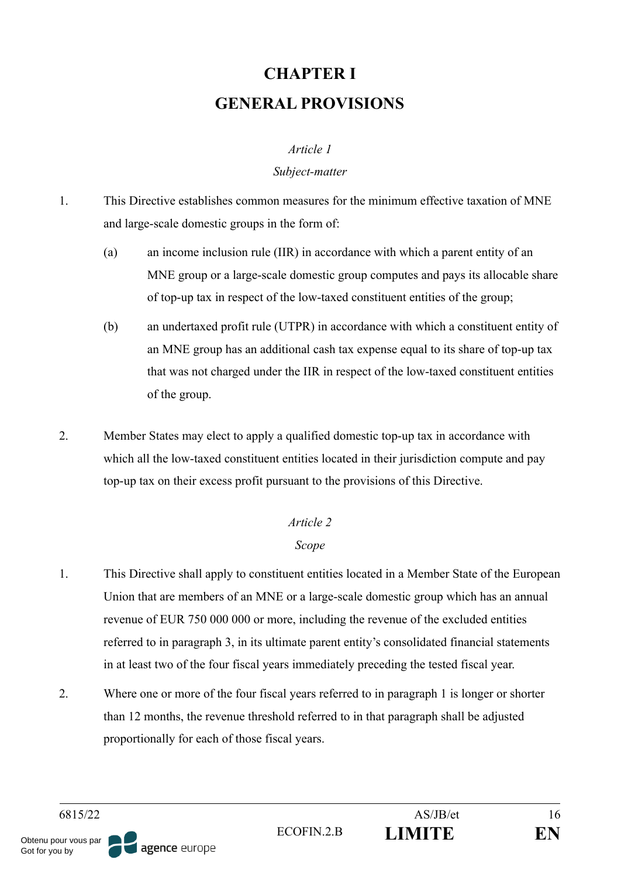# **CHAPTER I GENERAL PROVISIONS**

### *Article 1*

### *Subject-matter*

- 1. This Directive establishes common measures for the minimum effective taxation of MNE and large-scale domestic groups in the form of:
	- (a) an income inclusion rule (IIR) in accordance with which a parent entity of an MNE group or a large-scale domestic group computes and pays its allocable share of top-up tax in respect of the low-taxed constituent entities of the group;
	- (b) an undertaxed profit rule (UTPR) in accordance with which a constituent entity of an MNE group has an additional cash tax expense equal to its share of top-up tax that was not charged under the IIR in respect of the low-taxed constituent entities of the group.
- 2. Member States may elect to apply a qualified domestic top-up tax in accordance with which all the low-taxed constituent entities located in their jurisdiction compute and pay top-up tax on their excess profit pursuant to the provisions of this Directive.

# *Article 2*

# *Scope*

- 1. This Directive shall apply to constituent entities located in a Member State of the European Union that are members of an MNE or a large-scale domestic group which has an annual revenue of EUR 750 000 000 or more, including the revenue of the excluded entities referred to in paragraph 3, in its ultimate parent entity's consolidated financial statements in at least two of the four fiscal years immediately preceding the tested fiscal year.
- 2. Where one or more of the four fiscal years referred to in paragraph 1 is longer or shorter than 12 months, the revenue threshold referred to in that paragraph shall be adjusted proportionally for each of those fiscal years.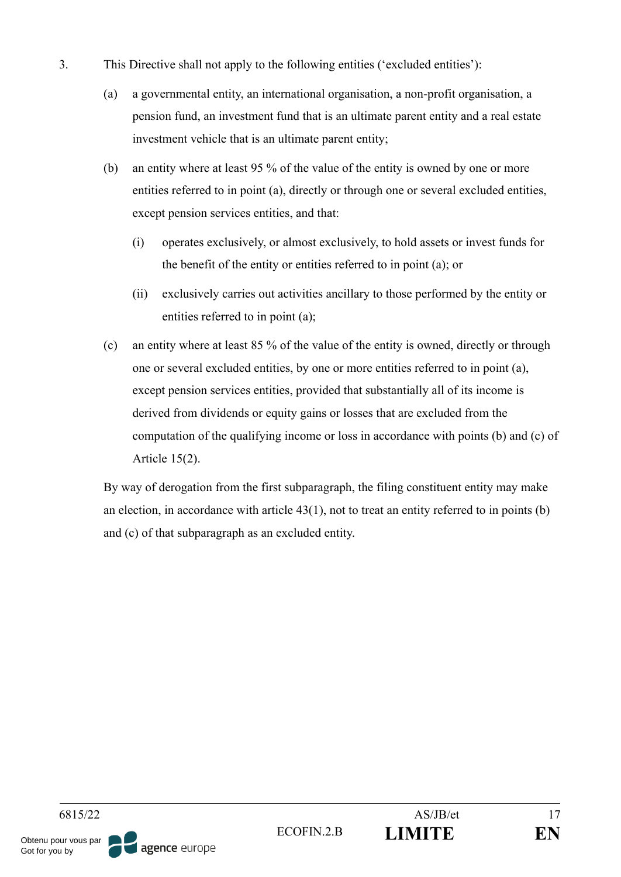- 3. This Directive shall not apply to the following entities ('excluded entities'):
	- (a) a governmental entity, an international organisation, a non-profit organisation, a pension fund, an investment fund that is an ultimate parent entity and a real estate investment vehicle that is an ultimate parent entity;
	- (b) an entity where at least 95 % of the value of the entity is owned by one or more entities referred to in point (a), directly or through one or several excluded entities, except pension services entities, and that:
		- (i) operates exclusively, or almost exclusively, to hold assets or invest funds for the benefit of the entity or entities referred to in point (a); or
		- (ii) exclusively carries out activities ancillary to those performed by the entity or entities referred to in point (a);
	- (c) an entity where at least 85 % of the value of the entity is owned, directly or through one or several excluded entities, by one or more entities referred to in point (a), except pension services entities, provided that substantially all of its income is derived from dividends or equity gains or losses that are excluded from the computation of the qualifying income or loss in accordance with points (b) and (c) of Article 15(2).

By way of derogation from the first subparagraph, the filing constituent entity may make an election, in accordance with article 43(1), not to treat an entity referred to in points (b) and (c) of that subparagraph as an excluded entity.

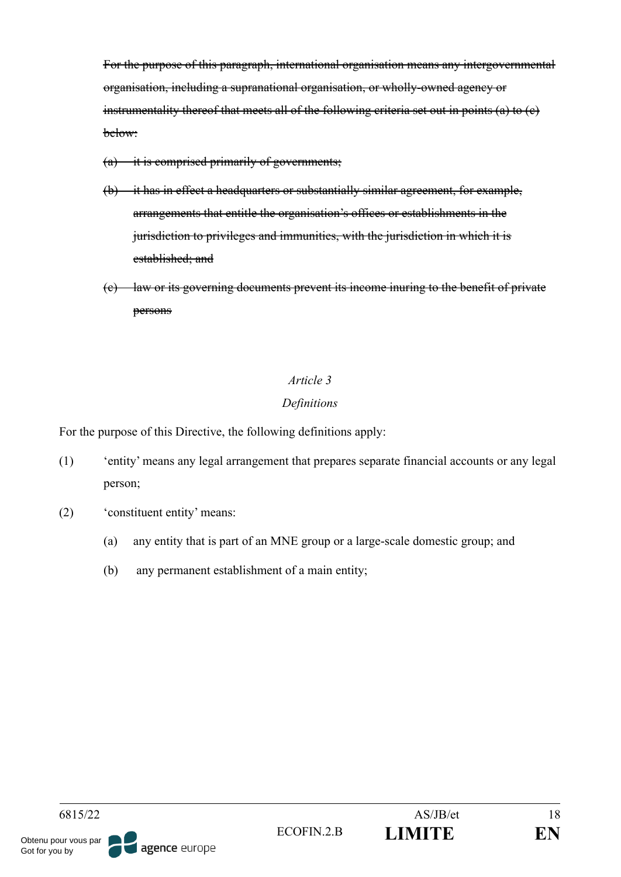For the purpose of this paragraph, international organisation means any intergovernmental organisation, including a supranational organisation, or wholly-owned agency or instrumentality thereof that meets all of the following criteria set out in points (a) to (c) below:

- $(a)$  it is comprised primarily of governments;
- (b) it has in effect a headquarters or substantially similar agreement, for example, arrangements that entitle the organisation's offices or establishments in the jurisdiction to privileges and immunities, with the jurisdiction in which it is established; and
- (c) law or its governing documents prevent its income inuring to the benefit of private persons

# *Article 3*

# *Definitions*

For the purpose of this Directive, the following definitions apply:

- (1) 'entity' means any legal arrangement that prepares separate financial accounts or any legal person;
- (2) 'constituent entity' means:
	- (a) any entity that is part of an MNE group or a large-scale domestic group; and
	- (b) any permanent establishment of a main entity;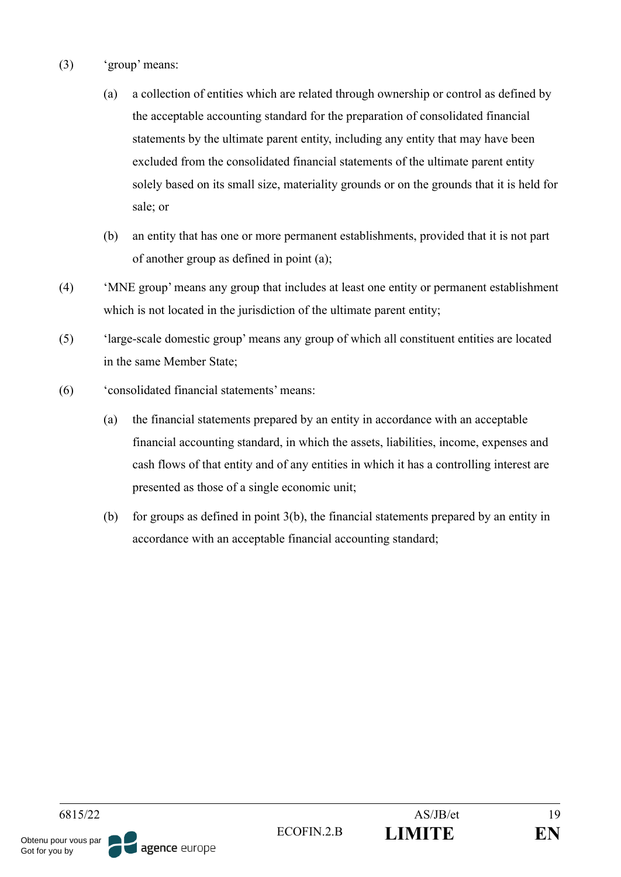- (3) 'group' means:
	- (a) a collection of entities which are related through ownership or control as defined by the acceptable accounting standard for the preparation of consolidated financial statements by the ultimate parent entity, including any entity that may have been excluded from the consolidated financial statements of the ultimate parent entity solely based on its small size, materiality grounds or on the grounds that it is held for sale; or
	- (b) an entity that has one or more permanent establishments, provided that it is not part of another group as defined in point (a);
- (4) 'MNE group' means any group that includes at least one entity or permanent establishment which is not located in the jurisdiction of the ultimate parent entity;
- (5) 'large-scale domestic group' means any group of which all constituent entities are located in the same Member State;
- (6) 'consolidated financial statements' means:
	- (a) the financial statements prepared by an entity in accordance with an acceptable financial accounting standard, in which the assets, liabilities, income, expenses and cash flows of that entity and of any entities in which it has a controlling interest are presented as those of a single economic unit;
	- (b) for groups as defined in point 3(b), the financial statements prepared by an entity in accordance with an acceptable financial accounting standard;

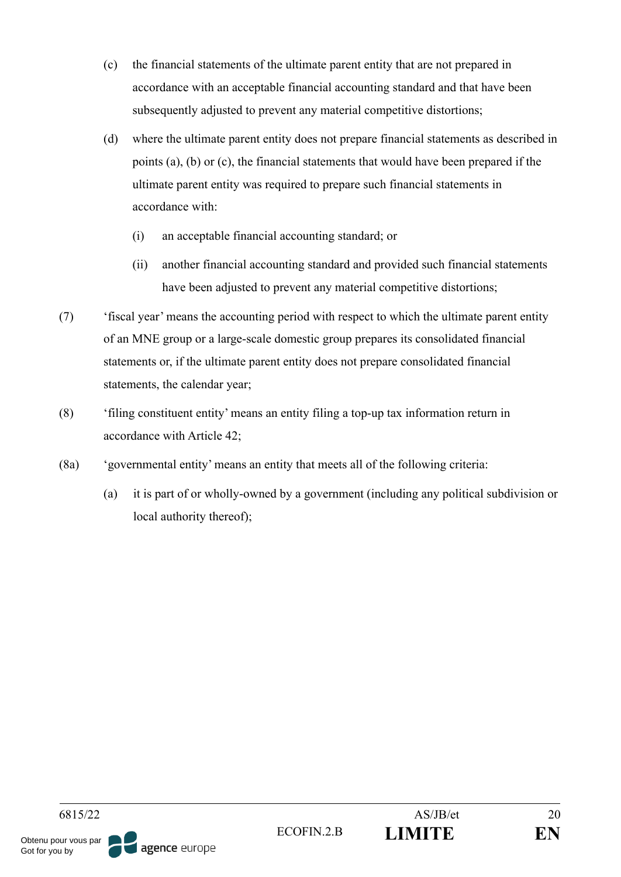- (c) the financial statements of the ultimate parent entity that are not prepared in accordance with an acceptable financial accounting standard and that have been subsequently adjusted to prevent any material competitive distortions;
- (d) where the ultimate parent entity does not prepare financial statements as described in points (a), (b) or (c), the financial statements that would have been prepared if the ultimate parent entity was required to prepare such financial statements in accordance with:
	- (i) an acceptable financial accounting standard; or
	- (ii) another financial accounting standard and provided such financial statements have been adjusted to prevent any material competitive distortions;
- (7) 'fiscal year' means the accounting period with respect to which the ultimate parent entity of an MNE group or a large-scale domestic group prepares its consolidated financial statements or, if the ultimate parent entity does not prepare consolidated financial statements, the calendar year;
- (8) 'filing constituent entity' means an entity filing a top-up tax information return in accordance with Article 42;
- (8a) 'governmental entity' means an entity that meets all of the following criteria:
	- (a) it is part of or wholly-owned by a government (including any political subdivision or local authority thereof);

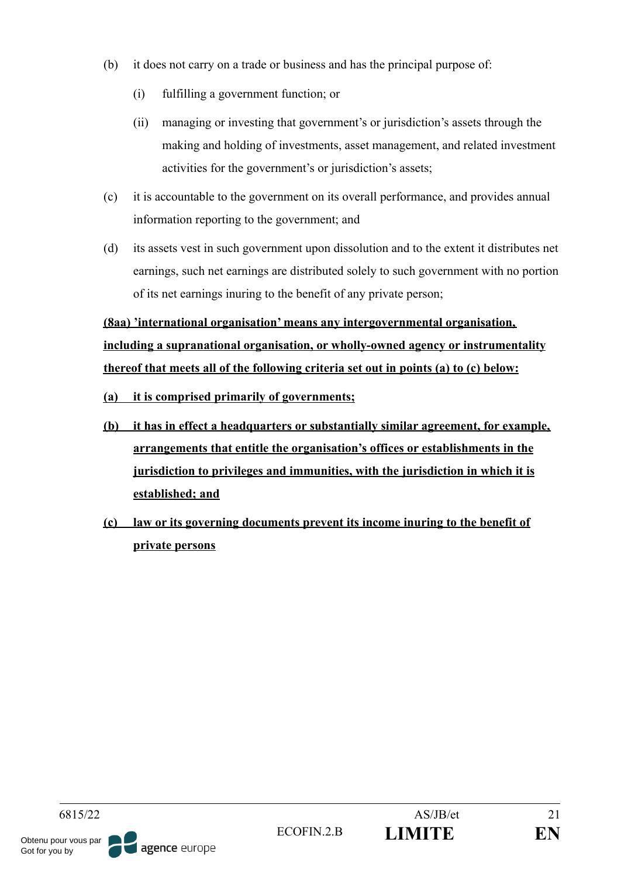- (b) it does not carry on a trade or business and has the principal purpose of:
	- (i) fulfilling a government function; or
	- (ii) managing or investing that government's or jurisdiction's assets through the making and holding of investments, asset management, and related investment activities for the government's or jurisdiction's assets;
- (c) it is accountable to the government on its overall performance, and provides annual information reporting to the government; and
- (d) its assets vest in such government upon dissolution and to the extent it distributes net earnings, such net earnings are distributed solely to such government with no portion of its net earnings inuring to the benefit of any private person;

**(8aa) 'international organisation' means any intergovernmental organisation, including a supranational organisation, or wholly-owned agency or instrumentality thereof that meets all of the following criteria set out in points (a) to (c) below:**

- **(a) it is comprised primarily of governments;**
- **(b) it has in effect a headquarters or substantially similar agreement, for example, arrangements that entitle the organisation's offices or establishments in the jurisdiction to privileges and immunities, with the jurisdiction in which it is established; and**
- **(c) law or its governing documents prevent its income inuring to the benefit of private persons**

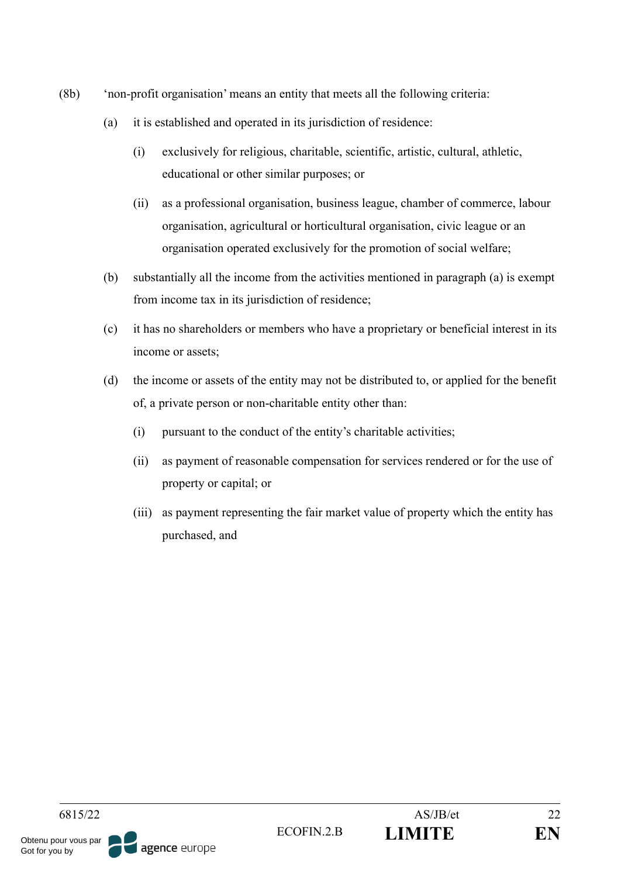- (8b) 'non-profit organisation' means an entity that meets all the following criteria:
	- (a) it is established and operated in its jurisdiction of residence:
		- (i) exclusively for religious, charitable, scientific, artistic, cultural, athletic, educational or other similar purposes; or
		- (ii) as a professional organisation, business league, chamber of commerce, labour organisation, agricultural or horticultural organisation, civic league or an organisation operated exclusively for the promotion of social welfare;
	- (b) substantially all the income from the activities mentioned in paragraph (a) is exempt from income tax in its jurisdiction of residence;
	- (c) it has no shareholders or members who have a proprietary or beneficial interest in its income or assets;
	- (d) the income or assets of the entity may not be distributed to, or applied for the benefit of, a private person or non-charitable entity other than:
		- (i) pursuant to the conduct of the entity's charitable activities;
		- (ii) as payment of reasonable compensation for services rendered or for the use of property or capital; or
		- (iii) as payment representing the fair market value of property which the entity has purchased, and

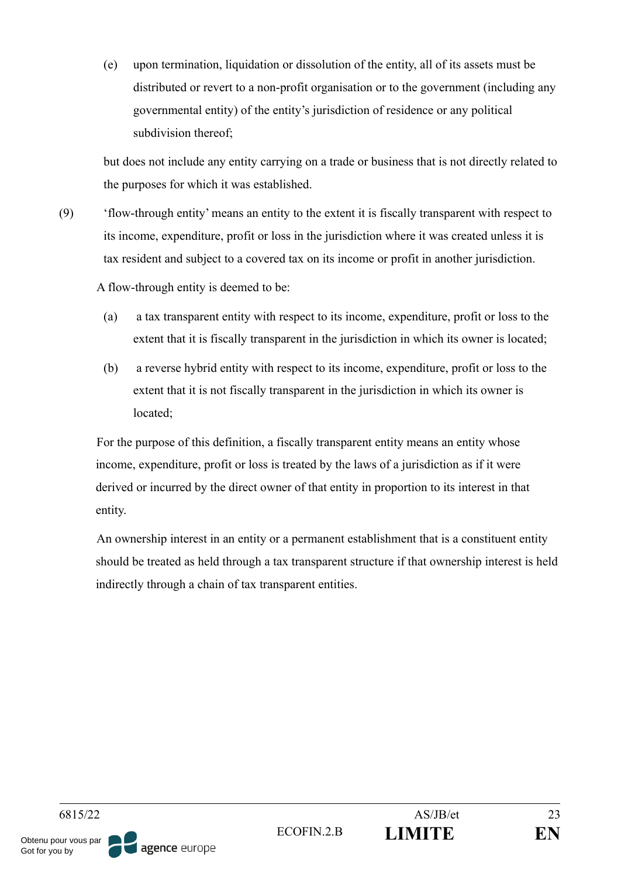(e) upon termination, liquidation or dissolution of the entity, all of its assets must be distributed or revert to a non-profit organisation or to the government (including any governmental entity) of the entity's jurisdiction of residence or any political subdivision thereof;

but does not include any entity carrying on a trade or business that is not directly related to the purposes for which it was established.

(9) 'flow-through entity' means an entity to the extent it is fiscally transparent with respect to its income, expenditure, profit or loss in the jurisdiction where it was created unless it is tax resident and subject to a covered tax on its income or profit in another jurisdiction.

A flow-through entity is deemed to be:

- (a) a tax transparent entity with respect to its income, expenditure, profit or loss to the extent that it is fiscally transparent in the jurisdiction in which its owner is located;
- (b) a reverse hybrid entity with respect to its income, expenditure, profit or loss to the extent that it is not fiscally transparent in the jurisdiction in which its owner is located;

For the purpose of this definition, a fiscally transparent entity means an entity whose income, expenditure, profit or loss is treated by the laws of a jurisdiction as if it were derived or incurred by the direct owner of that entity in proportion to its interest in that entity.

An ownership interest in an entity or a permanent establishment that is a constituent entity should be treated as held through a tax transparent structure if that ownership interest is held indirectly through a chain of tax transparent entities.

6815/22 AS/JB/et 23 ECOFIN.2.B **LIMITE EN** Obtenu pour vous par agence europe Got for you by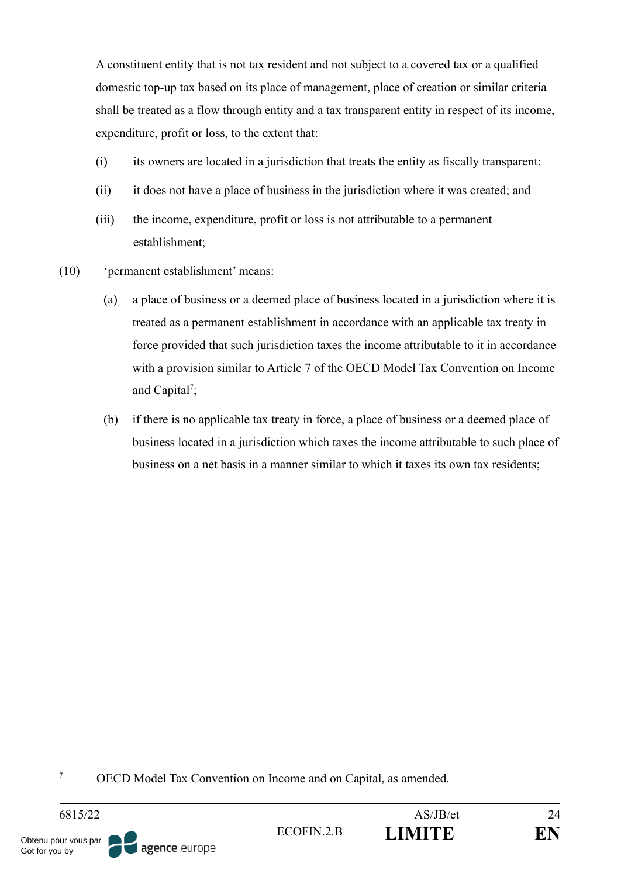A constituent entity that is not tax resident and not subject to a covered tax or a qualified domestic top-up tax based on its place of management, place of creation or similar criteria shall be treated as a flow through entity and a tax transparent entity in respect of its income, expenditure, profit or loss, to the extent that:

- (i) its owners are located in a jurisdiction that treats the entity as fiscally transparent;
- (ii) it does not have a place of business in the jurisdiction where it was created; and
- (iii) the income, expenditure, profit or loss is not attributable to a permanent establishment;
- (10) 'permanent establishment' means:
	- (a) a place of business or a deemed place of business located in a jurisdiction where it is treated as a permanent establishment in accordance with an applicable tax treaty in force provided that such jurisdiction taxes the income attributable to it in accordance with a provision similar to Article 7 of the OECD Model Tax Convention on Income and Capital<sup>7</sup>;
	- (b) if there is no applicable tax treaty in force, a place of business or a deemed place of business located in a jurisdiction which taxes the income attributable to such place of business on a net basis in a manner similar to which it taxes its own tax residents;

<sup>7</sup> OECD Model Tax Convention on Income and on Capital, as amended.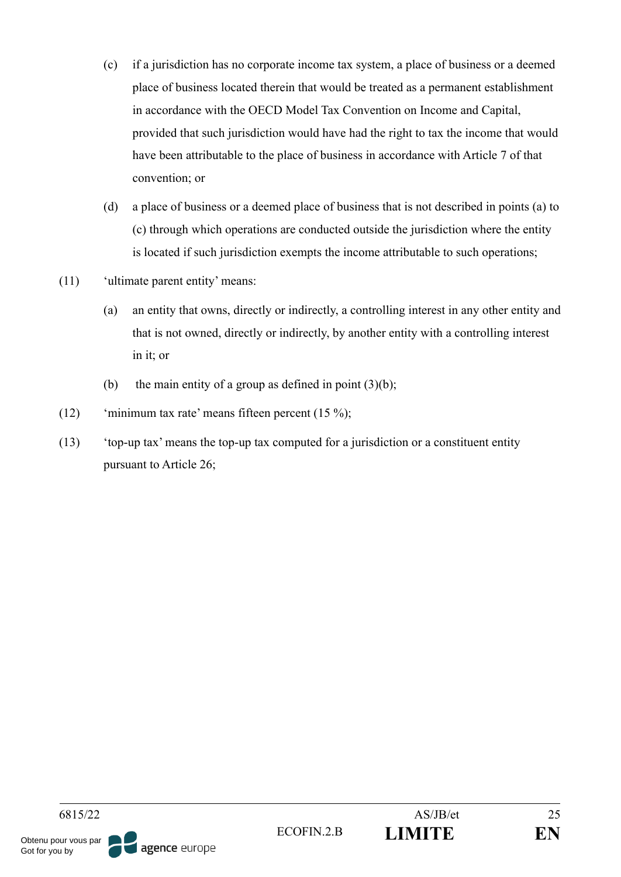- (c) if a jurisdiction has no corporate income tax system, a place of business or a deemed place of business located therein that would be treated as a permanent establishment in accordance with the OECD Model Tax Convention on Income and Capital, provided that such jurisdiction would have had the right to tax the income that would have been attributable to the place of business in accordance with Article 7 of that convention; or
- (d) a place of business or a deemed place of business that is not described in points (a) to (c) through which operations are conducted outside the jurisdiction where the entity is located if such jurisdiction exempts the income attributable to such operations;
- (11) 'ultimate parent entity' means:
	- (a) an entity that owns, directly or indirectly, a controlling interest in any other entity and that is not owned, directly or indirectly, by another entity with a controlling interest in it; or
	- (b) the main entity of a group as defined in point  $(3)(b)$ ;
- (12) 'minimum tax rate' means fifteen percent (15 %);
- (13) 'top-up tax' means the top-up tax computed for a jurisdiction or a constituent entity pursuant to Article 26;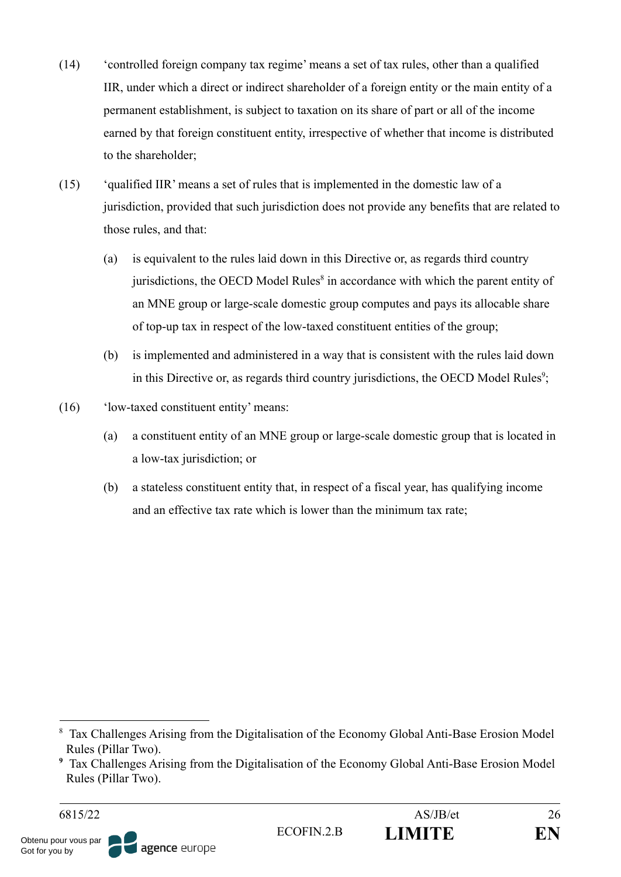- (14) 'controlled foreign company tax regime' means a set of tax rules, other than a qualified IIR, under which a direct or indirect shareholder of a foreign entity or the main entity of a permanent establishment, is subject to taxation on its share of part or all of the income earned by that foreign constituent entity, irrespective of whether that income is distributed to the shareholder;
- (15) 'qualified IIR' means a set of rules that is implemented in the domestic law of a jurisdiction, provided that such jurisdiction does not provide any benefits that are related to those rules, and that:
	- (a) is equivalent to the rules laid down in this Directive or, as regards third country jurisdictions, the OECD Model Rules $<sup>8</sup>$  in accordance with which the parent entity of</sup> an MNE group or large-scale domestic group computes and pays its allocable share of top-up tax in respect of the low-taxed constituent entities of the group;
	- (b) is implemented and administered in a way that is consistent with the rules laid down in this Directive or, as regards third country jurisdictions, the OECD Model Rules<sup>9</sup>;
- (16) 'low-taxed constituent entity' means:
	- (a) a constituent entity of an MNE group or large-scale domestic group that is located in a low-tax jurisdiction; or
	- (b) a stateless constituent entity that, in respect of a fiscal year, has qualifying income and an effective tax rate which is lower than the minimum tax rate;

<sup>&</sup>lt;sup>8</sup> Tax Challenges Arising from the Digitalisation of the Economy Global Anti-Base Erosion Model Rules (Pillar Two).

**<sup>9</sup>** Tax Challenges Arising from the Digitalisation of the Economy Global Anti-Base Erosion Model Rules (Pillar Two).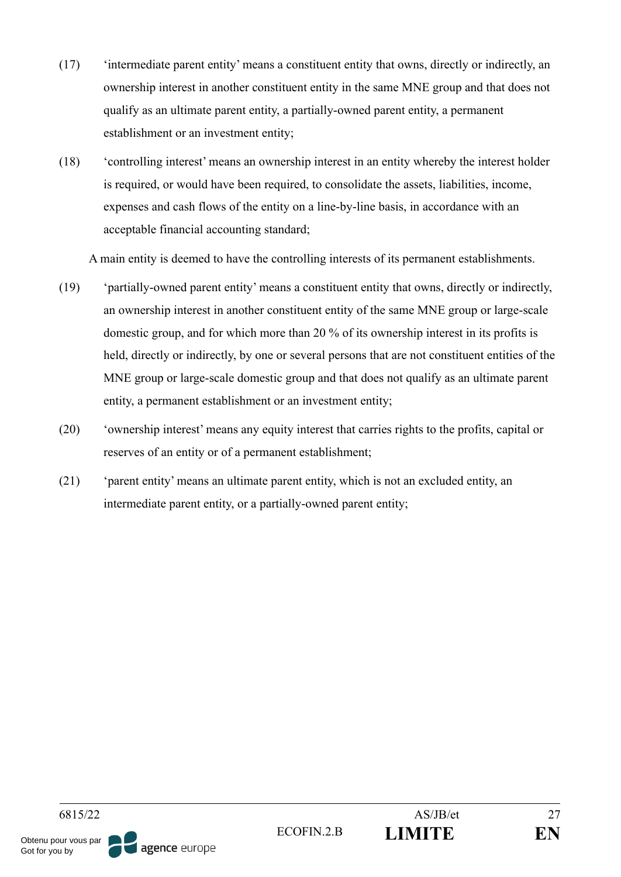- (17) 'intermediate parent entity' means a constituent entity that owns, directly or indirectly, an ownership interest in another constituent entity in the same MNE group and that does not qualify as an ultimate parent entity, a partially-owned parent entity, a permanent establishment or an investment entity;
- (18) 'controlling interest' means an ownership interest in an entity whereby the interest holder is required, or would have been required, to consolidate the assets, liabilities, income, expenses and cash flows of the entity on a line-by-line basis, in accordance with an acceptable financial accounting standard;

A main entity is deemed to have the controlling interests of its permanent establishments.

- (19) 'partially-owned parent entity' means a constituent entity that owns, directly or indirectly, an ownership interest in another constituent entity of the same MNE group or large-scale domestic group, and for which more than 20 % of its ownership interest in its profits is held, directly or indirectly, by one or several persons that are not constituent entities of the MNE group or large-scale domestic group and that does not qualify as an ultimate parent entity, a permanent establishment or an investment entity;
- (20) 'ownership interest' means any equity interest that carries rights to the profits, capital or reserves of an entity or of a permanent establishment;
- (21) 'parent entity' means an ultimate parent entity, which is not an excluded entity, an intermediate parent entity, or a partially-owned parent entity;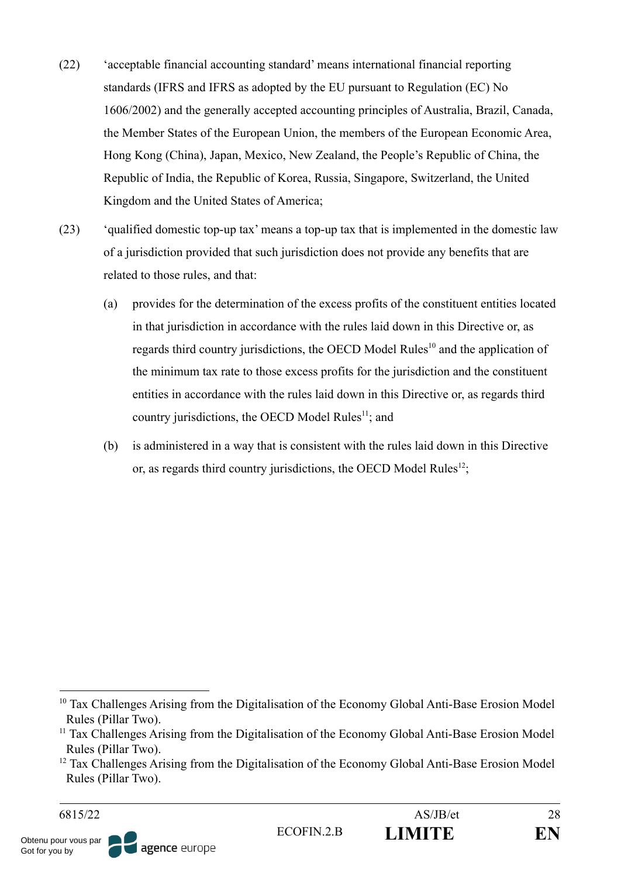- (22) 'acceptable financial accounting standard' means international financial reporting standards (IFRS and IFRS as adopted by the EU pursuant to Regulation (EC) No 1606/2002) and the generally accepted accounting principles of Australia, Brazil, Canada, the Member States of the European Union, the members of the European Economic Area, Hong Kong (China), Japan, Mexico, New Zealand, the People's Republic of China, the Republic of India, the Republic of Korea, Russia, Singapore, Switzerland, the United Kingdom and the United States of America;
- (23) 'qualified domestic top-up tax' means a top-up tax that is implemented in the domestic law of a jurisdiction provided that such jurisdiction does not provide any benefits that are related to those rules, and that:
	- (a) provides for the determination of the excess profits of the constituent entities located in that jurisdiction in accordance with the rules laid down in this Directive or, as regards third country jurisdictions, the OECD Model Rules<sup>10</sup> and the application of the minimum tax rate to those excess profits for the jurisdiction and the constituent entities in accordance with the rules laid down in this Directive or, as regards third country jurisdictions, the OECD Model Rules<sup> $11$ </sup>; and
	- (b) is administered in a way that is consistent with the rules laid down in this Directive or, as regards third country jurisdictions, the OECD Model Rules $^{12}$ ;

<sup>&</sup>lt;sup>10</sup> Tax Challenges Arising from the Digitalisation of the Economy Global Anti-Base Erosion Model Rules (Pillar Two).

<sup>&</sup>lt;sup>11</sup> Tax Challenges Arising from the Digitalisation of the Economy Global Anti-Base Erosion Model Rules (Pillar Two).

 $12$  Tax Challenges Arising from the Digitalisation of the Economy Global Anti-Base Erosion Model Rules (Pillar Two).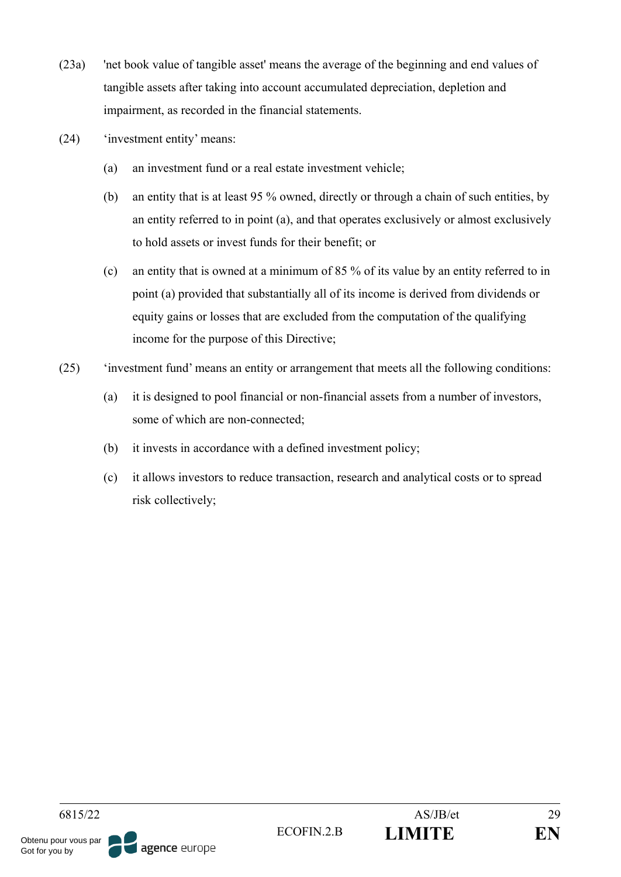- (23a) 'net book value of tangible asset' means the average of the beginning and end values of tangible assets after taking into account accumulated depreciation, depletion and impairment, as recorded in the financial statements.
- (24) 'investment entity' means:
	- (a) an investment fund or a real estate investment vehicle;
	- (b) an entity that is at least 95 % owned, directly or through a chain of such entities, by an entity referred to in point (a), and that operates exclusively or almost exclusively to hold assets or invest funds for their benefit; or
	- (c) an entity that is owned at a minimum of 85 % of its value by an entity referred to in point (a) provided that substantially all of its income is derived from dividends or equity gains or losses that are excluded from the computation of the qualifying income for the purpose of this Directive;
- (25) 'investment fund' means an entity or arrangement that meets all the following conditions:
	- (a) it is designed to pool financial or non-financial assets from a number of investors, some of which are non-connected;
	- (b) it invests in accordance with a defined investment policy;
	- (c) it allows investors to reduce transaction, research and analytical costs or to spread risk collectively;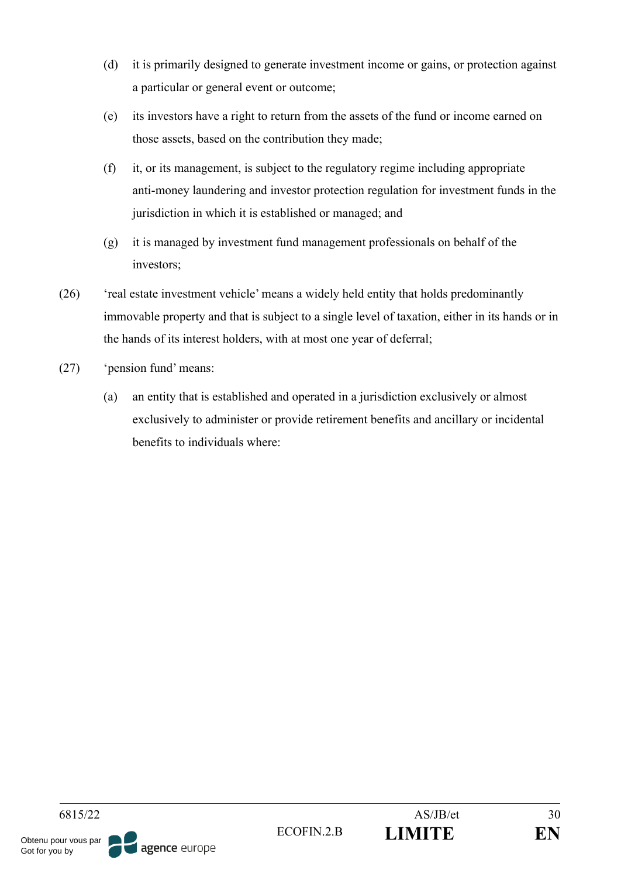- (d) it is primarily designed to generate investment income or gains, or protection against a particular or general event or outcome;
- (e) its investors have a right to return from the assets of the fund or income earned on those assets, based on the contribution they made;
- (f) it, or its management, is subject to the regulatory regime including appropriate anti-money laundering and investor protection regulation for investment funds in the jurisdiction in which it is established or managed; and
- (g) it is managed by investment fund management professionals on behalf of the investors;
- (26) 'real estate investment vehicle' means a widely held entity that holds predominantly immovable property and that is subject to a single level of taxation, either in its hands or in the hands of its interest holders, with at most one year of deferral;
- (27) 'pension fund' means:
	- (a) an entity that is established and operated in a jurisdiction exclusively or almost exclusively to administer or provide retirement benefits and ancillary or incidental benefits to individuals where: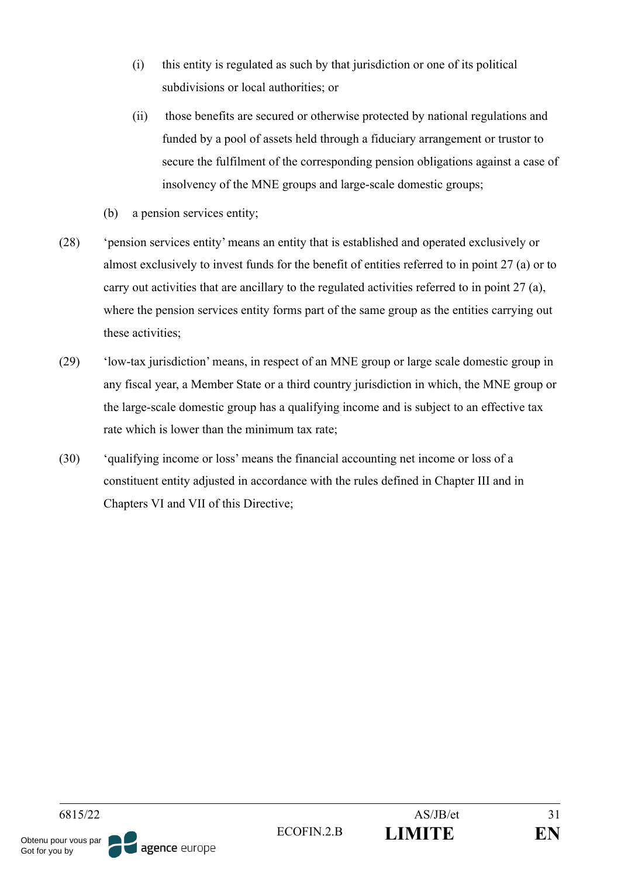- (i) this entity is regulated as such by that jurisdiction or one of its political subdivisions or local authorities; or
- (ii) those benefits are secured or otherwise protected by national regulations and funded by a pool of assets held through a fiduciary arrangement or trustor to secure the fulfilment of the corresponding pension obligations against a case of insolvency of the MNE groups and large-scale domestic groups;
- (b) a pension services entity;
- (28) 'pension services entity' means an entity that is established and operated exclusively or almost exclusively to invest funds for the benefit of entities referred to in point 27 (a) or to carry out activities that are ancillary to the regulated activities referred to in point 27 (a), where the pension services entity forms part of the same group as the entities carrying out these activities;
- (29) 'low-tax jurisdiction' means, in respect of an MNE group or large scale domestic group in any fiscal year, a Member State or a third country jurisdiction in which, the MNE group or the large-scale domestic group has a qualifying income and is subject to an effective tax rate which is lower than the minimum tax rate;
- (30) 'qualifying income or loss' means the financial accounting net income or loss of a constituent entity adjusted in accordance with the rules defined in Chapter III and in Chapters VI and VII of this Directive;

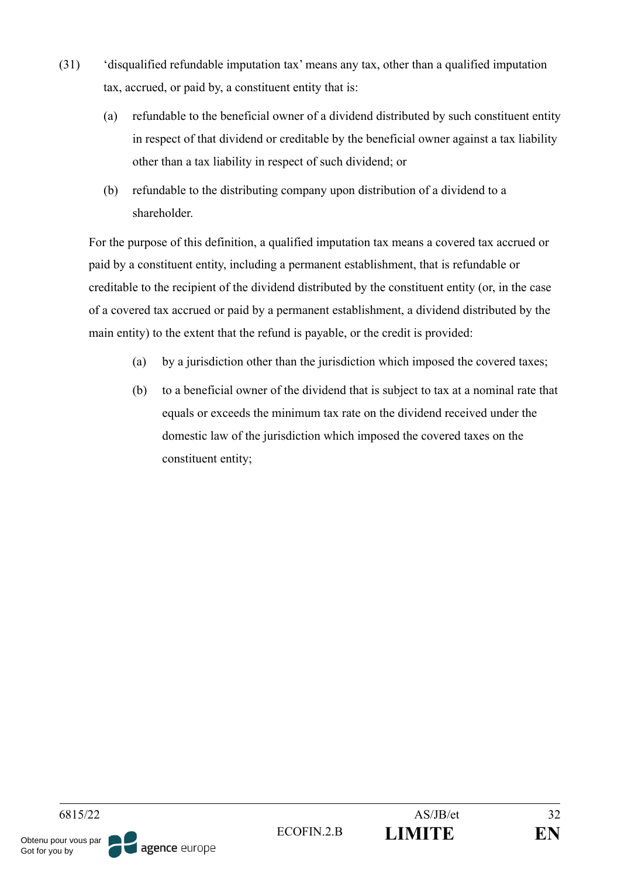- (31) 'disqualified refundable imputation tax' means any tax, other than a qualified imputation tax, accrued, or paid by, a constituent entity that is:
	- (a) refundable to the beneficial owner of a dividend distributed by such constituent entity in respect of that dividend or creditable by the beneficial owner against a tax liability other than a tax liability in respect of such dividend; or
	- (b) refundable to the distributing company upon distribution of a dividend to a shareholder.

For the purpose of this definition, a qualified imputation tax means a covered tax accrued or paid by a constituent entity, including a permanent establishment, that is refundable or creditable to the recipient of the dividend distributed by the constituent entity (or, in the case of a covered tax accrued or paid by a permanent establishment, a dividend distributed by the main entity) to the extent that the refund is payable, or the credit is provided:

- (a) by a jurisdiction other than the jurisdiction which imposed the covered taxes;
- (b) to a beneficial owner of the dividend that is subject to tax at a nominal rate that equals or exceeds the minimum tax rate on the dividend received under the domestic law of the jurisdiction which imposed the covered taxes on the constituent entity;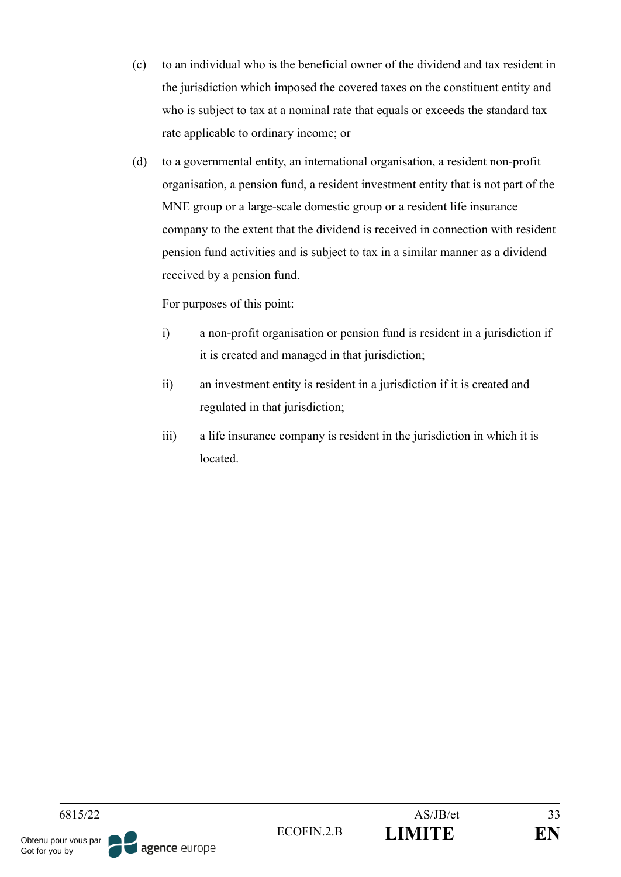- (c) to an individual who is the beneficial owner of the dividend and tax resident in the jurisdiction which imposed the covered taxes on the constituent entity and who is subject to tax at a nominal rate that equals or exceeds the standard tax rate applicable to ordinary income; or
- (d) to a governmental entity, an international organisation, a resident non-profit organisation, a pension fund, a resident investment entity that is not part of the MNE group or a large-scale domestic group or a resident life insurance company to the extent that the dividend is received in connection with resident pension fund activities and is subject to tax in a similar manner as a dividend received by a pension fund.

For purposes of this point:

- i) a non-profit organisation or pension fund is resident in a jurisdiction if it is created and managed in that jurisdiction;
- ii) an investment entity is resident in a jurisdiction if it is created and regulated in that jurisdiction;
- iii) a life insurance company is resident in the jurisdiction in which it is located.

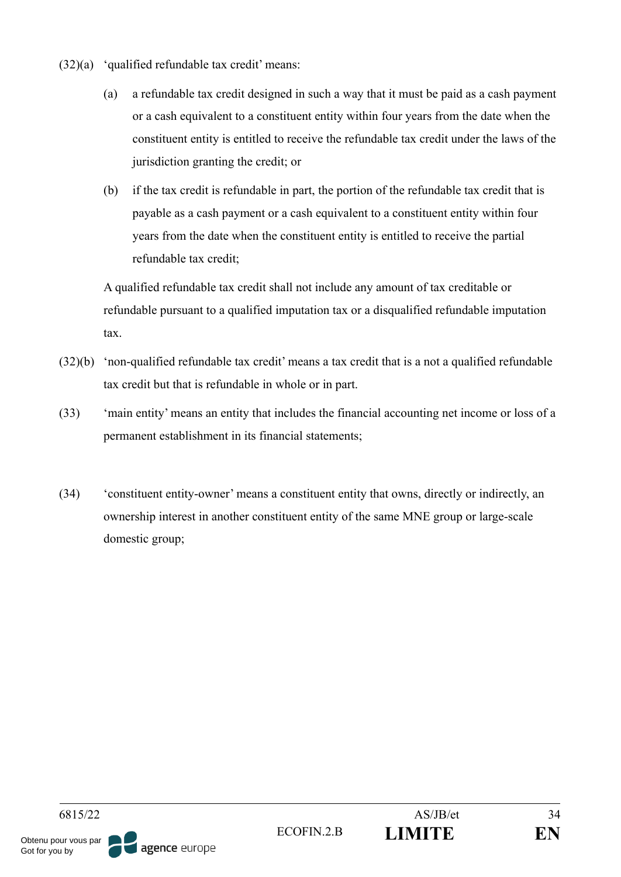- $(32)(a)$  'qualified refundable tax credit' means:
	- (a) a refundable tax credit designed in such a way that it must be paid as a cash payment or a cash equivalent to a constituent entity within four years from the date when the constituent entity is entitled to receive the refundable tax credit under the laws of the jurisdiction granting the credit; or
	- (b) if the tax credit is refundable in part, the portion of the refundable tax credit that is payable as a cash payment or a cash equivalent to a constituent entity within four years from the date when the constituent entity is entitled to receive the partial refundable tax credit;

A qualified refundable tax credit shall not include any amount of tax creditable or refundable pursuant to a qualified imputation tax or a disqualified refundable imputation tax.

- (32)(b) 'non-qualified refundable tax credit' means a tax credit that is a not a qualified refundable tax credit but that is refundable in whole or in part.
- (33) 'main entity' means an entity that includes the financial accounting net income or loss of a permanent establishment in its financial statements;
- (34) 'constituent entity-owner' means a constituent entity that owns, directly or indirectly, an ownership interest in another constituent entity of the same MNE group or large-scale domestic group;

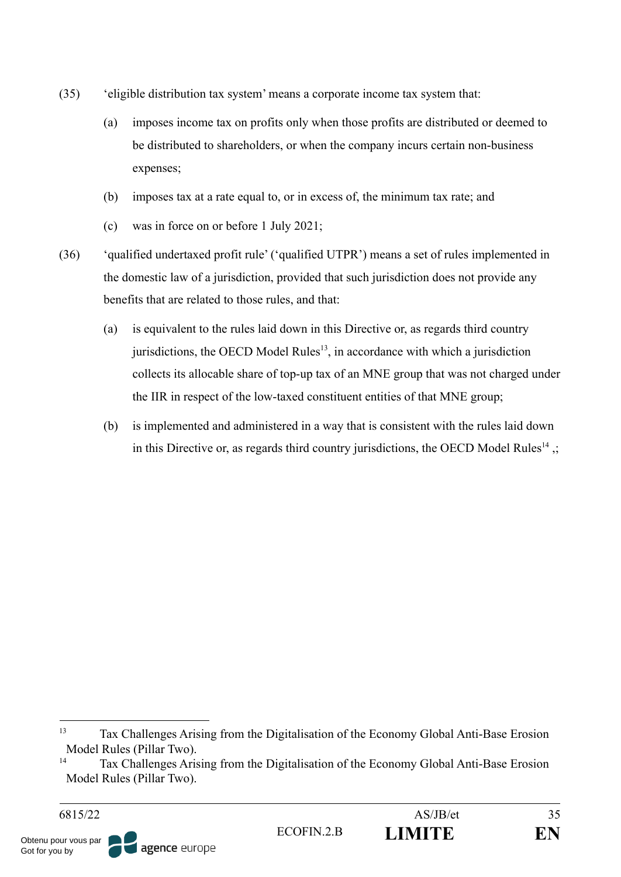- (35) 'eligible distribution tax system' means a corporate income tax system that:
	- (a) imposes income tax on profits only when those profits are distributed or deemed to be distributed to shareholders, or when the company incurs certain non-business expenses;
	- (b) imposes tax at a rate equal to, or in excess of, the minimum tax rate; and
	- (c) was in force on or before 1 July 2021;
- (36) 'qualified undertaxed profit rule' ('qualified UTPR') means a set of rules implemented in the domestic law of a jurisdiction, provided that such jurisdiction does not provide any benefits that are related to those rules, and that:
	- (a) is equivalent to the rules laid down in this Directive or, as regards third country jurisdictions, the OECD Model Rules $<sup>13</sup>$ , in accordance with which a jurisdiction</sup> collects its allocable share of top-up tax of an MNE group that was not charged under the IIR in respect of the low-taxed constituent entities of that MNE group;
	- (b) is implemented and administered in a way that is consistent with the rules laid down in this Directive or, as regards third country jurisdictions, the OECD Model Rules<sup>14</sup>.

<sup>13</sup> Tax Challenges Arising from the Digitalisation of the Economy Global Anti-Base Erosion Model Rules (Pillar Two).

<sup>14</sup> Tax Challenges Arising from the Digitalisation of the Economy Global Anti-Base Erosion Model Rules (Pillar Two).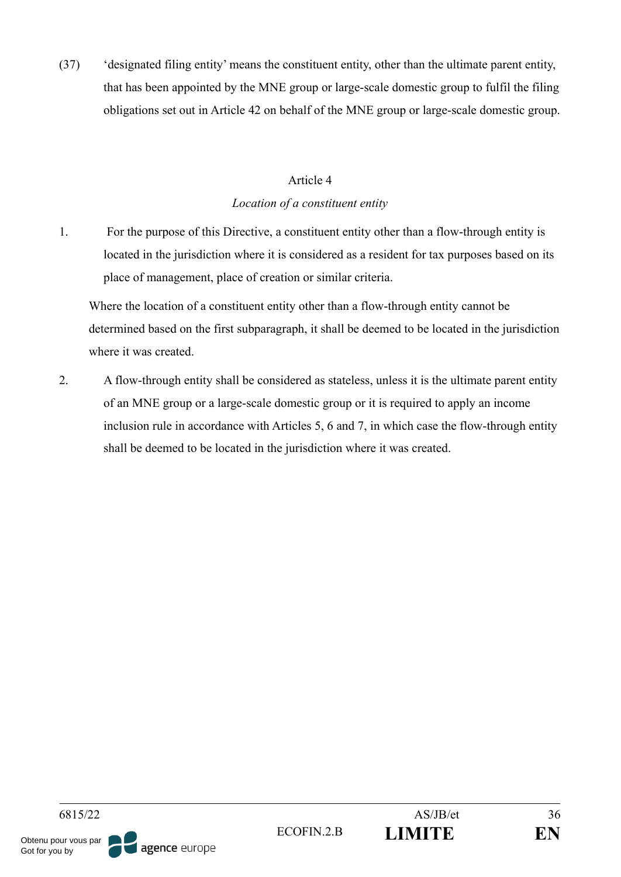(37) 'designated filing entity' means the constituent entity, other than the ultimate parent entity, that has been appointed by the MNE group or large-scale domestic group to fulfil the filing obligations set out in Article 42 on behalf of the MNE group or large-scale domestic group.

### Article 4

### *Location of a constituent entity*

1. For the purpose of this Directive, a constituent entity other than a flow-through entity is located in the jurisdiction where it is considered as a resident for tax purposes based on its place of management, place of creation or similar criteria.

Where the location of a constituent entity other than a flow-through entity cannot be determined based on the first subparagraph, it shall be deemed to be located in the jurisdiction where it was created.

2. A flow-through entity shall be considered as stateless, unless it is the ultimate parent entity of an MNE group or a large-scale domestic group or it is required to apply an income inclusion rule in accordance with Articles 5, 6 and 7, in which case the flow-through entity shall be deemed to be located in the jurisdiction where it was created.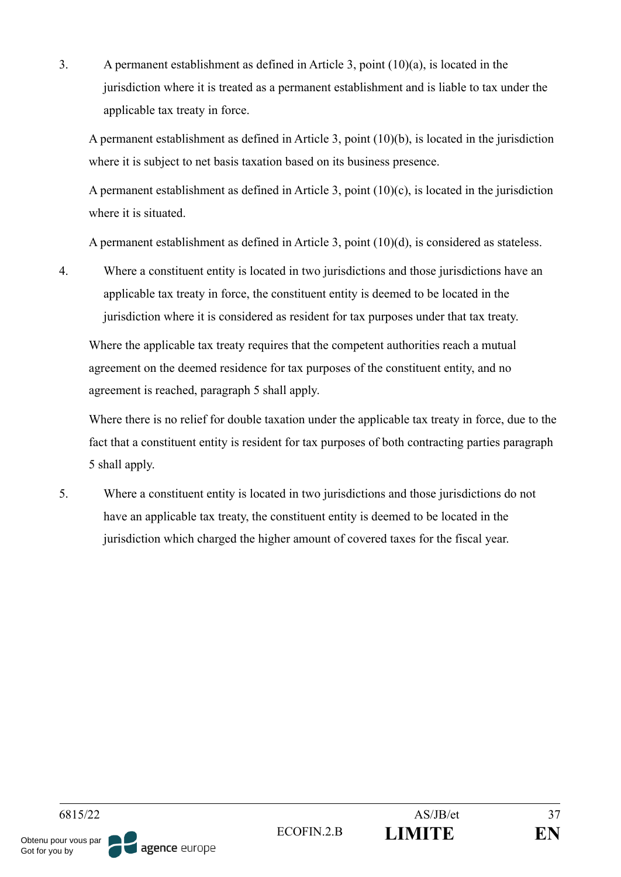3. A permanent establishment as defined in Article 3, point (10)(a), is located in the jurisdiction where it is treated as a permanent establishment and is liable to tax under the applicable tax treaty in force.

A permanent establishment as defined in Article 3, point (10)(b), is located in the jurisdiction where it is subject to net basis taxation based on its business presence.

A permanent establishment as defined in Article 3, point (10)(c), is located in the jurisdiction where it is situated.

A permanent establishment as defined in Article 3, point (10)(d), is considered as stateless.

4. Where a constituent entity is located in two jurisdictions and those jurisdictions have an applicable tax treaty in force, the constituent entity is deemed to be located in the jurisdiction where it is considered as resident for tax purposes under that tax treaty.

Where the applicable tax treaty requires that the competent authorities reach a mutual agreement on the deemed residence for tax purposes of the constituent entity, and no agreement is reached, paragraph 5 shall apply.

Where there is no relief for double taxation under the applicable tax treaty in force, due to the fact that a constituent entity is resident for tax purposes of both contracting parties paragraph 5 shall apply.

5. Where a constituent entity is located in two jurisdictions and those jurisdictions do not have an applicable tax treaty, the constituent entity is deemed to be located in the jurisdiction which charged the higher amount of covered taxes for the fiscal year.

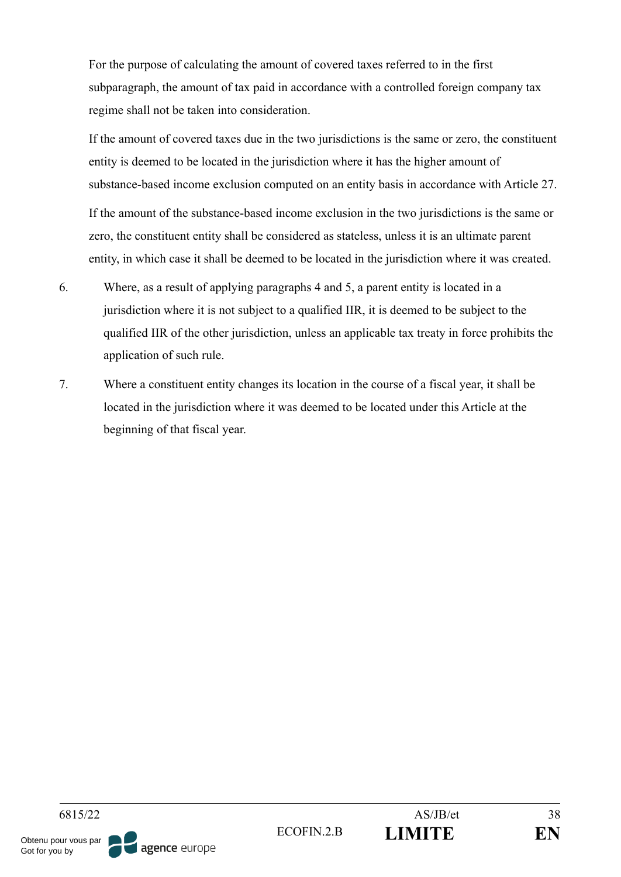For the purpose of calculating the amount of covered taxes referred to in the first subparagraph, the amount of tax paid in accordance with a controlled foreign company tax regime shall not be taken into consideration.

If the amount of covered taxes due in the two jurisdictions is the same or zero, the constituent entity is deemed to be located in the jurisdiction where it has the higher amount of substance-based income exclusion computed on an entity basis in accordance with Article 27.

If the amount of the substance-based income exclusion in the two jurisdictions is the same or zero, the constituent entity shall be considered as stateless, unless it is an ultimate parent entity, in which case it shall be deemed to be located in the jurisdiction where it was created.

- 6. Where, as a result of applying paragraphs 4 and 5, a parent entity is located in a jurisdiction where it is not subject to a qualified IIR, it is deemed to be subject to the qualified IIR of the other jurisdiction, unless an applicable tax treaty in force prohibits the application of such rule.
- 7. Where a constituent entity changes its location in the course of a fiscal year, it shall be located in the jurisdiction where it was deemed to be located under this Article at the beginning of that fiscal year.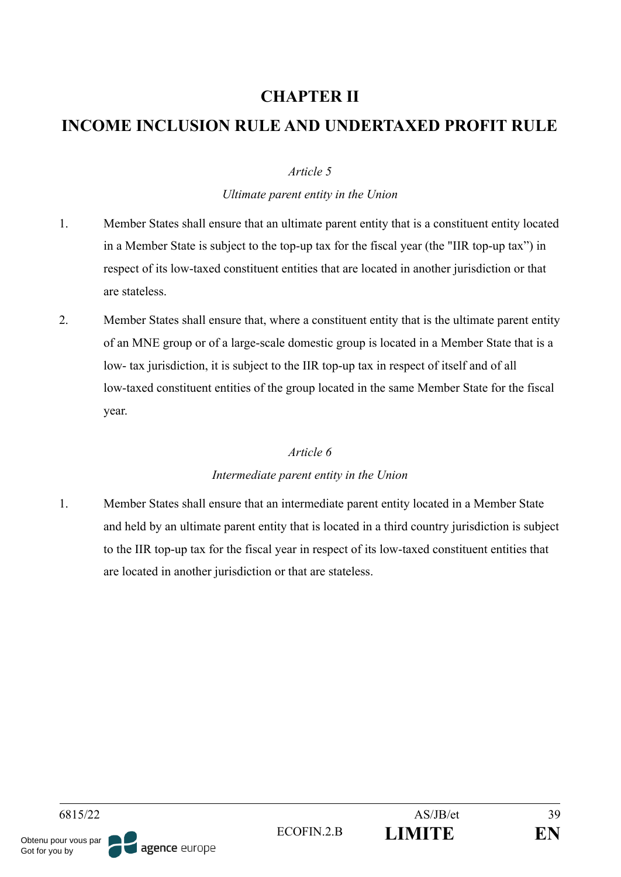# **CHAPTER II**

# **INCOME INCLUSION RULE AND UNDERTAXED PROFIT RULE**

## *Article 5*

## *Ultimate parent entity in the Union*

- 1. Member States shall ensure that an ultimate parent entity that is a constituent entity located in a Member State is subject to the top-up tax for the fiscal year (the "IIR top-up tax") in respect of its low-taxed constituent entities that are located in another jurisdiction or that are stateless.
- 2. Member States shall ensure that, where a constituent entity that is the ultimate parent entity of an MNE group or of a large-scale domestic group is located in a Member State that is a low- tax jurisdiction, it is subject to the IIR top-up tax in respect of itself and of all low-taxed constituent entities of the group located in the same Member State for the fiscal year.

### *Article 6*

## *Intermediate parent entity in the Union*

1. Member States shall ensure that an intermediate parent entity located in a Member State and held by an ultimate parent entity that is located in a third country jurisdiction is subject to the IIR top-up tax for the fiscal year in respect of its low-taxed constituent entities that are located in another jurisdiction or that are stateless.

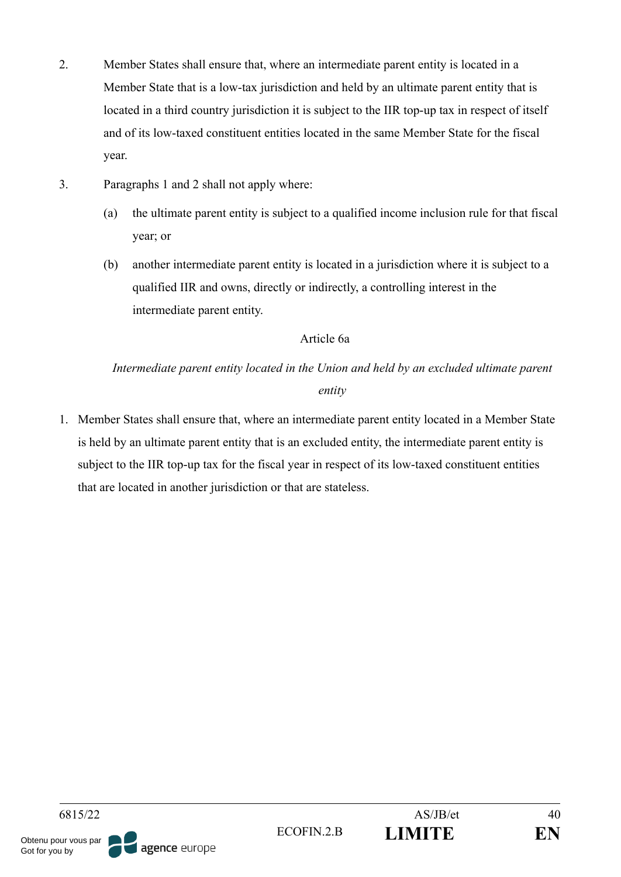- 2. Member States shall ensure that, where an intermediate parent entity is located in a Member State that is a low-tax jurisdiction and held by an ultimate parent entity that is located in a third country jurisdiction it is subject to the IIR top-up tax in respect of itself and of its low-taxed constituent entities located in the same Member State for the fiscal year.
- 3. Paragraphs 1 and 2 shall not apply where:
	- (a) the ultimate parent entity is subject to a qualified income inclusion rule for that fiscal year; or
	- (b) another intermediate parent entity is located in a jurisdiction where it is subject to a qualified IIR and owns, directly or indirectly, a controlling interest in the intermediate parent entity.

## Article 6a

*Intermediate parent entity located in the Union and held by an excluded ultimate parent entity*

1. Member States shall ensure that, where an intermediate parent entity located in a Member State is held by an ultimate parent entity that is an excluded entity, the intermediate parent entity is subject to the IIR top-up tax for the fiscal year in respect of its low-taxed constituent entities that are located in another jurisdiction or that are stateless.

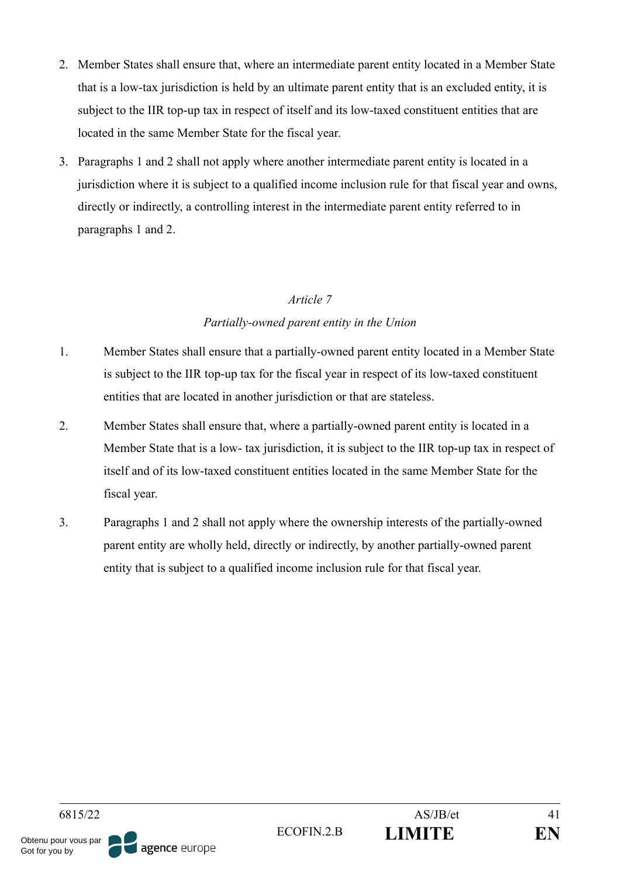- 2. Member States shall ensure that, where an intermediate parent entity located in a Member State that is a low-tax jurisdiction is held by an ultimate parent entity that is an excluded entity, it is subject to the IIR top-up tax in respect of itself and its low-taxed constituent entities that are located in the same Member State for the fiscal year.
- 3. Paragraphs 1 and 2 shall not apply where another intermediate parent entity is located in a jurisdiction where it is subject to a qualified income inclusion rule for that fiscal year and owns, directly or indirectly, a controlling interest in the intermediate parent entity referred to in paragraphs 1 and 2.

## *Partially-owned parent entity in the Union*

- 1. Member States shall ensure that a partially-owned parent entity located in a Member State is subject to the IIR top-up tax for the fiscal year in respect of its low-taxed constituent entities that are located in another jurisdiction or that are stateless.
- 2. Member States shall ensure that, where a partially-owned parent entity is located in a Member State that is a low- tax jurisdiction, it is subject to the IIR top-up tax in respect of itself and of its low-taxed constituent entities located in the same Member State for the fiscal year.
- 3. Paragraphs 1 and 2 shall not apply where the ownership interests of the partially-owned parent entity are wholly held, directly or indirectly, by another partially-owned parent entity that is subject to a qualified income inclusion rule for that fiscal year.

Got for you by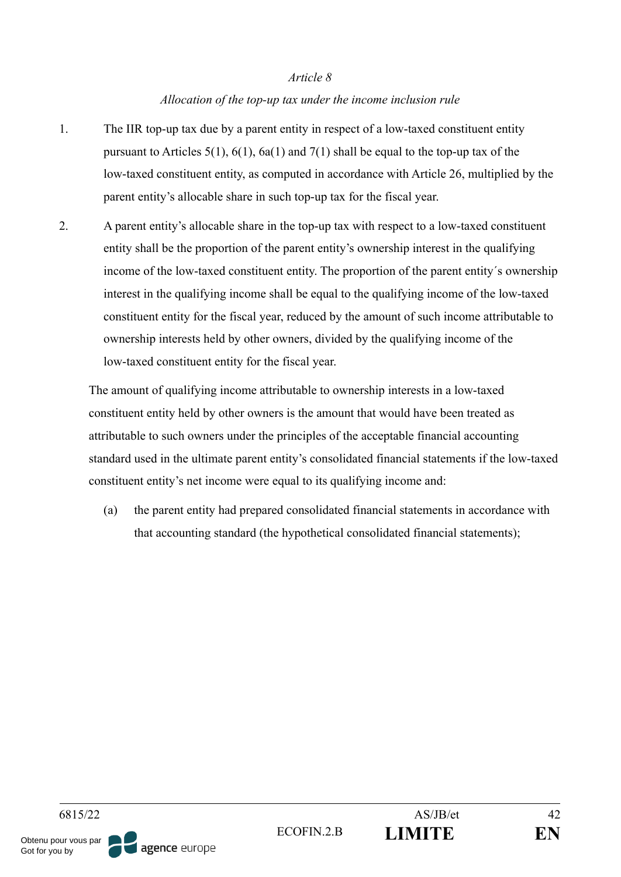### *Allocation of the top-up tax under the income inclusion rule*

- 1. The IIR top-up tax due by a parent entity in respect of a low-taxed constituent entity pursuant to Articles 5(1), 6(1), 6a(1) and 7(1) shall be equal to the top-up tax of the low-taxed constituent entity, as computed in accordance with Article 26, multiplied by the parent entity's allocable share in such top-up tax for the fiscal year.
- 2. A parent entity's allocable share in the top-up tax with respect to a low-taxed constituent entity shall be the proportion of the parent entity's ownership interest in the qualifying income of the low-taxed constituent entity. The proportion of the parent entity´s ownership interest in the qualifying income shall be equal to the qualifying income of the low-taxed constituent entity for the fiscal year, reduced by the amount of such income attributable to ownership interests held by other owners, divided by the qualifying income of the low-taxed constituent entity for the fiscal year.

The amount of qualifying income attributable to ownership interests in a low-taxed constituent entity held by other owners is the amount that would have been treated as attributable to such owners under the principles of the acceptable financial accounting standard used in the ultimate parent entity's consolidated financial statements if the low-taxed constituent entity's net income were equal to its qualifying income and:

(a) the parent entity had prepared consolidated financial statements in accordance with that accounting standard (the hypothetical consolidated financial statements);

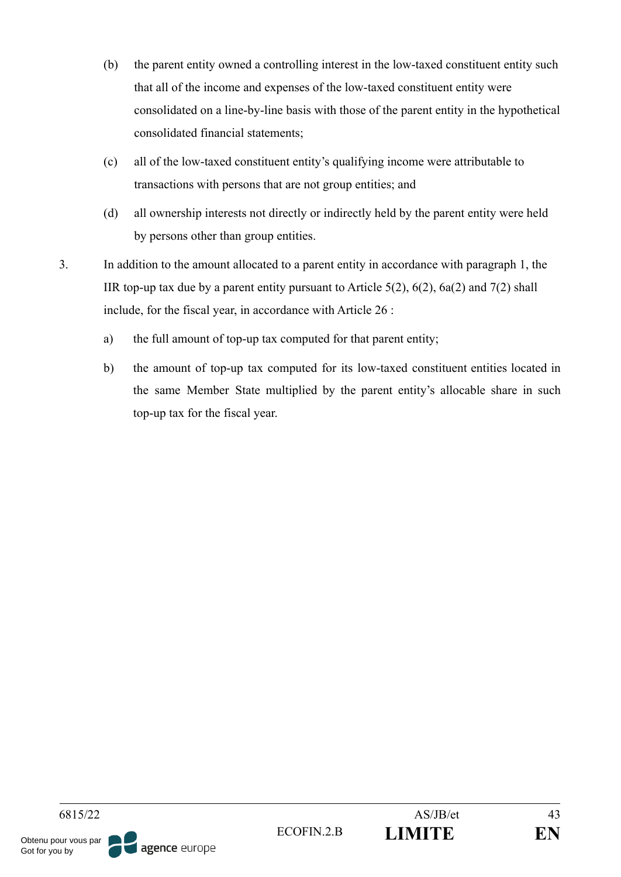- (b) the parent entity owned a controlling interest in the low-taxed constituent entity such that all of the income and expenses of the low-taxed constituent entity were consolidated on a line-by-line basis with those of the parent entity in the hypothetical consolidated financial statements;
- (c) all of the low-taxed constituent entity's qualifying income were attributable to transactions with persons that are not group entities; and
- (d) all ownership interests not directly or indirectly held by the parent entity were held by persons other than group entities.
- 3. In addition to the amount allocated to a parent entity in accordance with paragraph 1, the IIR top-up tax due by a parent entity pursuant to Article  $5(2)$ ,  $6(2)$ ,  $6a(2)$  and  $7(2)$  shall include, for the fiscal year, in accordance with Article 26 :
	- a) the full amount of top-up tax computed for that parent entity;
	- b) the amount of top-up tax computed for its low-taxed constituent entities located in the same Member State multiplied by the parent entity's allocable share in such top-up tax for the fiscal year.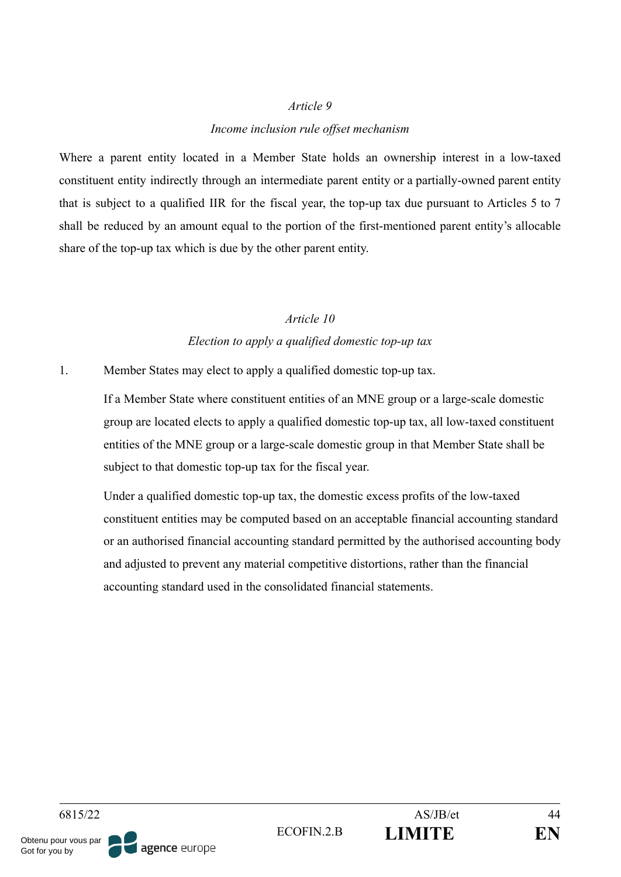#### *Income inclusion rule offset mechanism*

Where a parent entity located in a Member State holds an ownership interest in a low-taxed constituent entity indirectly through an intermediate parent entity or a partially-owned parent entity that is subject to a qualified IIR for the fiscal year, the top-up tax due pursuant to Articles 5 to 7 shall be reduced by an amount equal to the portion of the first-mentioned parent entity's allocable share of the top-up tax which is due by the other parent entity.

#### *Article 10*

#### *Election to apply a qualified domestic top-up tax*

1. Member States may elect to apply a qualified domestic top-up tax.

If a Member State where constituent entities of an MNE group or a large-scale domestic group are located elects to apply a qualified domestic top-up tax, all low-taxed constituent entities of the MNE group or a large-scale domestic group in that Member State shall be subject to that domestic top-up tax for the fiscal year.

Under a qualified domestic top-up tax, the domestic excess profits of the low-taxed constituent entities may be computed based on an acceptable financial accounting standard or an authorised financial accounting standard permitted by the authorised accounting body and adjusted to prevent any material competitive distortions, rather than the financial accounting standard used in the consolidated financial statements.

6815/22 AS/JB/et 44 ECOFIN.2.B **LIMITE EN** Obtenu pour vous par agence europe Got for you by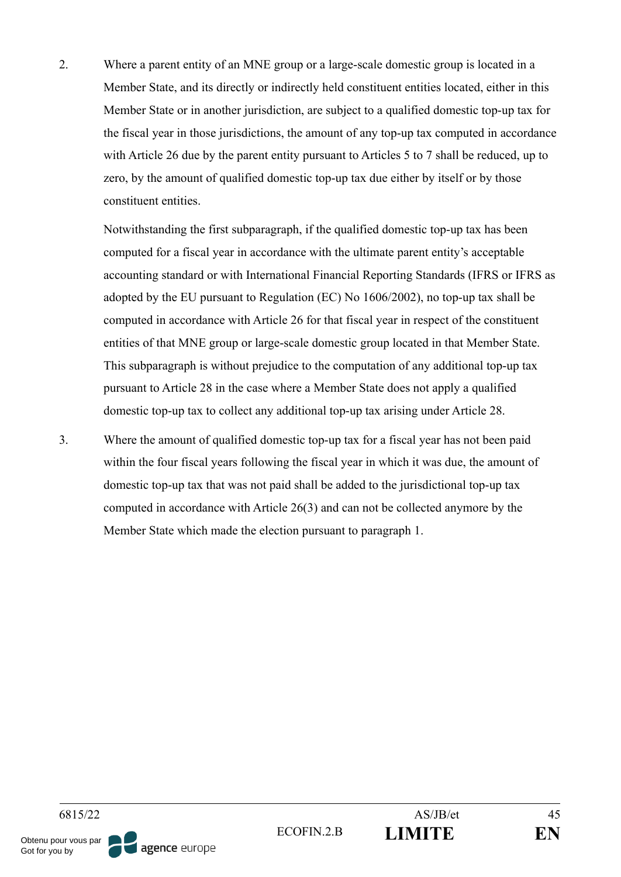2. Where a parent entity of an MNE group or a large-scale domestic group is located in a Member State, and its directly or indirectly held constituent entities located, either in this Member State or in another jurisdiction, are subject to a qualified domestic top-up tax for the fiscal year in those jurisdictions, the amount of any top-up tax computed in accordance with Article 26 due by the parent entity pursuant to Articles 5 to 7 shall be reduced, up to zero, by the amount of qualified domestic top-up tax due either by itself or by those constituent entities.

Notwithstanding the first subparagraph, if the qualified domestic top-up tax has been computed for a fiscal year in accordance with the ultimate parent entity's acceptable accounting standard or with International Financial Reporting Standards (IFRS or IFRS as adopted by the EU pursuant to Regulation (EC) No 1606/2002), no top-up tax shall be computed in accordance with Article 26 for that fiscal year in respect of the constituent entities of that MNE group or large-scale domestic group located in that Member State. This subparagraph is without prejudice to the computation of any additional top-up tax pursuant to Article 28 in the case where a Member State does not apply a qualified domestic top-up tax to collect any additional top-up tax arising under Article 28.

3. Where the amount of qualified domestic top-up tax for a fiscal year has not been paid within the four fiscal years following the fiscal year in which it was due, the amount of domestic top-up tax that was not paid shall be added to the jurisdictional top-up tax computed in accordance with Article 26(3) and can not be collected anymore by the Member State which made the election pursuant to paragraph 1.

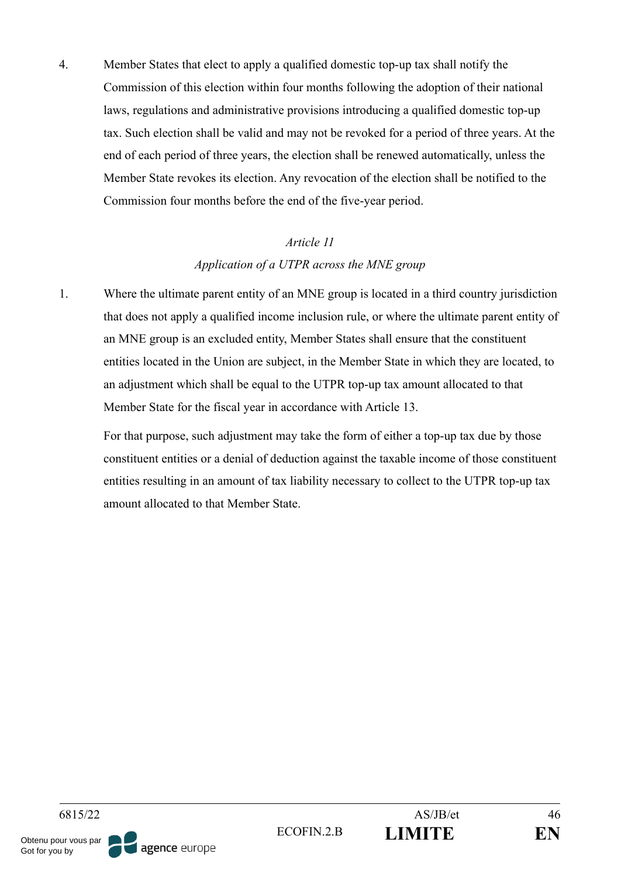4. Member States that elect to apply a qualified domestic top-up tax shall notify the Commission of this election within four months following the adoption of their national laws, regulations and administrative provisions introducing a qualified domestic top-up tax. Such election shall be valid and may not be revoked for a period of three years. At the end of each period of three years, the election shall be renewed automatically, unless the Member State revokes its election. Any revocation of the election shall be notified to the Commission four months before the end of the five-year period.

### *Article 11*

#### *Application of a UTPR across the MNE group*

1. Where the ultimate parent entity of an MNE group is located in a third country jurisdiction that does not apply a qualified income inclusion rule, or where the ultimate parent entity of an MNE group is an excluded entity, Member States shall ensure that the constituent entities located in the Union are subject, in the Member State in which they are located, to an adjustment which shall be equal to the UTPR top-up tax amount allocated to that Member State for the fiscal year in accordance with Article 13.

For that purpose, such adjustment may take the form of either a top-up tax due by those constituent entities or a denial of deduction against the taxable income of those constituent entities resulting in an amount of tax liability necessary to collect to the UTPR top-up tax amount allocated to that Member State.

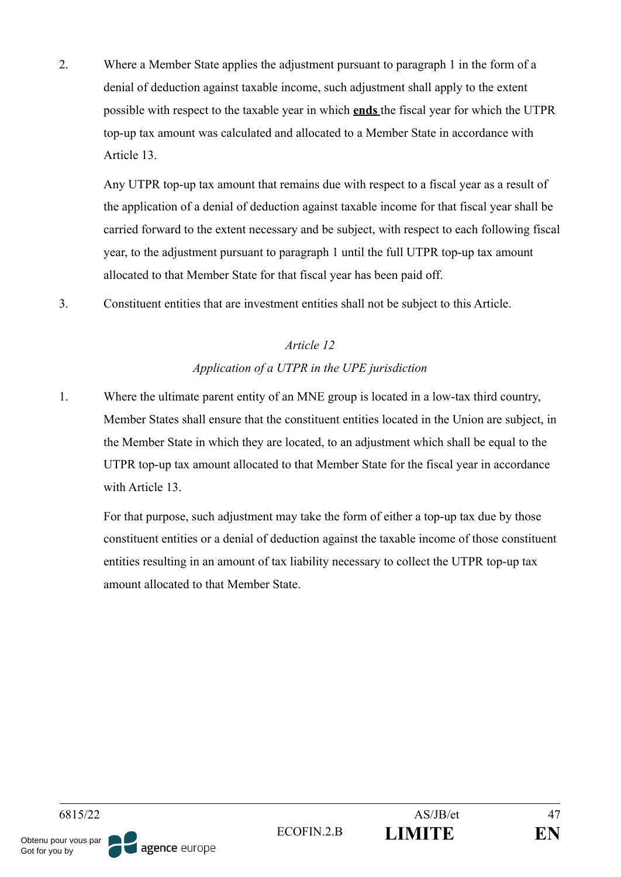2. Where a Member State applies the adjustment pursuant to paragraph 1 in the form of a denial of deduction against taxable income, such adjustment shall apply to the extent possible with respect to the taxable year in which **ends** the fiscal year for which the UTPR top-up tax amount was calculated and allocated to a Member State in accordance with Article 13.

Any UTPR top-up tax amount that remains due with respect to a fiscal year as a result of the application of a denial of deduction against taxable income for that fiscal year shall be carried forward to the extent necessary and be subject, with respect to each following fiscal year, to the adjustment pursuant to paragraph 1 until the full UTPR top-up tax amount allocated to that Member State for that fiscal year has been paid off.

3. Constituent entities that are investment entities shall not be subject to this Article.

## *Article 12*

## *Application of a UTPR in the UPE jurisdiction*

1. Where the ultimate parent entity of an MNE group is located in a low-tax third country, Member States shall ensure that the constituent entities located in the Union are subject, in the Member State in which they are located, to an adjustment which shall be equal to the UTPR top-up tax amount allocated to that Member State for the fiscal year in accordance with Article 13

For that purpose, such adjustment may take the form of either a top-up tax due by those constituent entities or a denial of deduction against the taxable income of those constituent entities resulting in an amount of tax liability necessary to collect the UTPR top-up tax amount allocated to that Member State.

6815/22 AS/JB/et 47 ECOFIN.2.B **LIMITE EN** Obtenu pour vous par agence europe Got for you by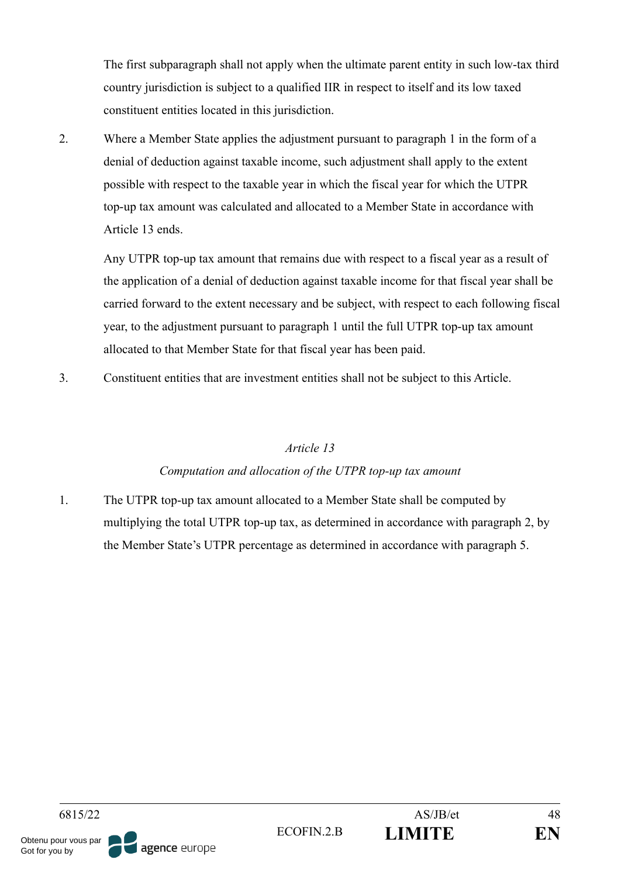The first subparagraph shall not apply when the ultimate parent entity in such low-tax third country jurisdiction is subject to a qualified IIR in respect to itself and its low taxed constituent entities located in this jurisdiction.

2. Where a Member State applies the adjustment pursuant to paragraph 1 in the form of a denial of deduction against taxable income, such adjustment shall apply to the extent possible with respect to the taxable year in which the fiscal year for which the UTPR top-up tax amount was calculated and allocated to a Member State in accordance with Article 13 ends.

Any UTPR top-up tax amount that remains due with respect to a fiscal year as a result of the application of a denial of deduction against taxable income for that fiscal year shall be carried forward to the extent necessary and be subject, with respect to each following fiscal year, to the adjustment pursuant to paragraph 1 until the full UTPR top-up tax amount allocated to that Member State for that fiscal year has been paid.

3. Constituent entities that are investment entities shall not be subject to this Article.

## *Article 13*

## *Computation and allocation of the UTPR top-up tax amount*

1. The UTPR top-up tax amount allocated to a Member State shall be computed by multiplying the total UTPR top-up tax, as determined in accordance with paragraph 2, by the Member State's UTPR percentage as determined in accordance with paragraph 5.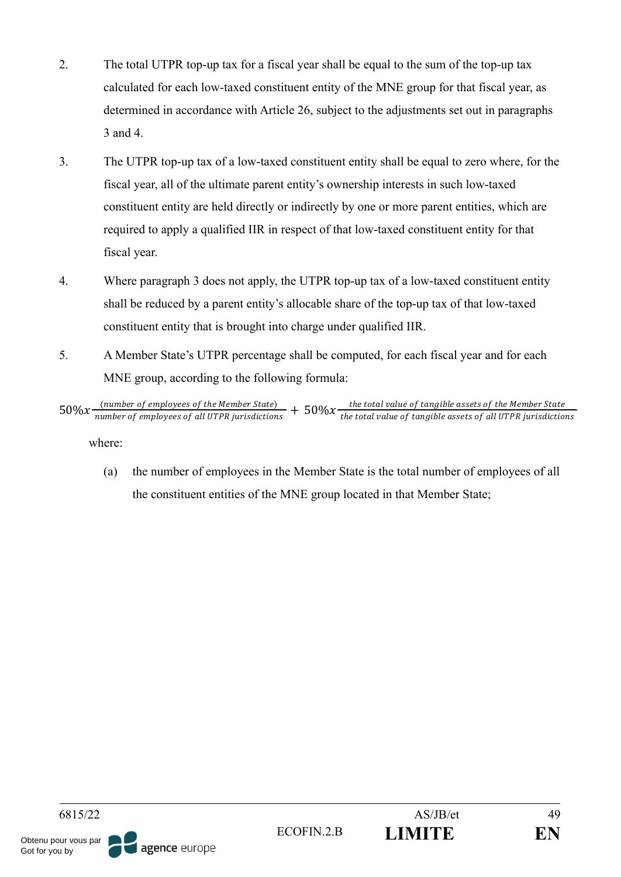- 2. The total UTPR top-up tax for a fiscal year shall be equal to the sum of the top-up tax calculated for each low-taxed constituent entity of the MNE group for that fiscal year, as determined in accordance with Article 26, subject to the adjustments set out in paragraphs 3 and 4.
- 3. The UTPR top-up tax of a low-taxed constituent entity shall be equal to zero where, for the fiscal year, all of the ultimate parent entity's ownership interests in such low-taxed constituent entity are held directly or indirectly by one or more parent entities, which are required to apply a qualified IIR in respect of that low-taxed constituent entity for that fiscal year.
- 4. Where paragraph 3 does not apply, the UTPR top-up tax of a low-taxed constituent entity shall be reduced by a parent entity's allocable share of the top-up tax of that low-taxed constituent entity that is brought into charge under qualified IIR.
- 5. A Member State's UTPR percentage shall be computed, for each fiscal year and for each MNE group, according to the following formula:

where:

(a) the number of employees in the Member State is the total number of employees of all the constituent entities of the MNE group located in that Member State;



 $50\%x$  (number of employees of the Member State)  $+50\%x$  the total value of tangible assets of the Member State<br>the total value of employees of all UTPR jurisdictions  $+50\%x$  the total value of tangible assets of all U the total value of tangible assets of all UTPR jurisdictions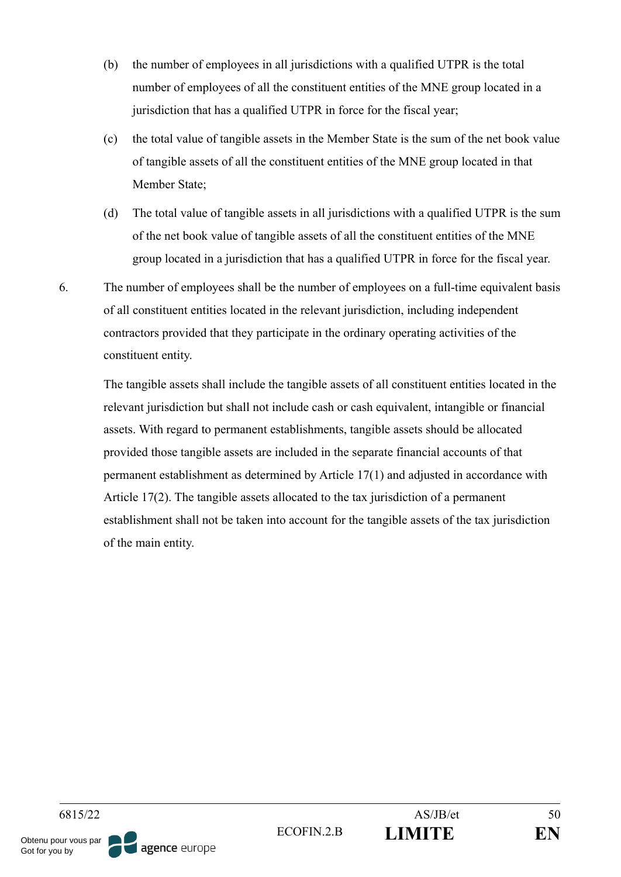- (b) the number of employees in all jurisdictions with a qualified UTPR is the total number of employees of all the constituent entities of the MNE group located in a jurisdiction that has a qualified UTPR in force for the fiscal year;
- (c) the total value of tangible assets in the Member State is the sum of the net book value of tangible assets of all the constituent entities of the MNE group located in that Member State;
- (d) The total value of tangible assets in all jurisdictions with a qualified UTPR is the sum of the net book value of tangible assets of all the constituent entities of the MNE group located in a jurisdiction that has a qualified UTPR in force for the fiscal year.
- 6. The number of employees shall be the number of employees on a full-time equivalent basis of all constituent entities located in the relevant jurisdiction, including independent contractors provided that they participate in the ordinary operating activities of the constituent entity.

The tangible assets shall include the tangible assets of all constituent entities located in the relevant jurisdiction but shall not include cash or cash equivalent, intangible or financial assets. With regard to permanent establishments, tangible assets should be allocated provided those tangible assets are included in the separate financial accounts of that permanent establishment as determined by Article 17(1) and adjusted in accordance with Article 17(2). The tangible assets allocated to the tax jurisdiction of a permanent establishment shall not be taken into account for the tangible assets of the tax jurisdiction of the main entity.

6815/22 AS/JB/et 50 ECOFIN.2.B **LIMITE EN** Obtenu pour vous par agence europe Got for you by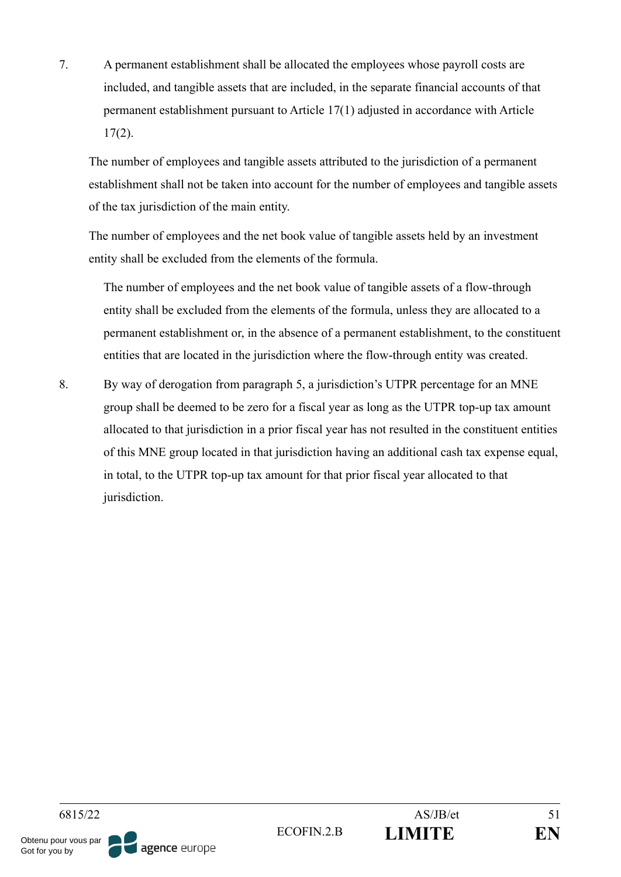7. A permanent establishment shall be allocated the employees whose payroll costs are included, and tangible assets that are included, in the separate financial accounts of that permanent establishment pursuant to Article 17(1) adjusted in accordance with Article  $17(2)$ .

The number of employees and tangible assets attributed to the jurisdiction of a permanent establishment shall not be taken into account for the number of employees and tangible assets of the tax jurisdiction of the main entity.

The number of employees and the net book value of tangible assets held by an investment entity shall be excluded from the elements of the formula.

The number of employees and the net book value of tangible assets of a flow-through entity shall be excluded from the elements of the formula, unless they are allocated to a permanent establishment or, in the absence of a permanent establishment, to the constituent entities that are located in the jurisdiction where the flow-through entity was created.

8. By way of derogation from paragraph 5, a jurisdiction's UTPR percentage for an MNE group shall be deemed to be zero for a fiscal year as long as the UTPR top-up tax amount allocated to that jurisdiction in a prior fiscal year has not resulted in the constituent entities of this MNE group located in that jurisdiction having an additional cash tax expense equal, in total, to the UTPR top-up tax amount for that prior fiscal year allocated to that jurisdiction.

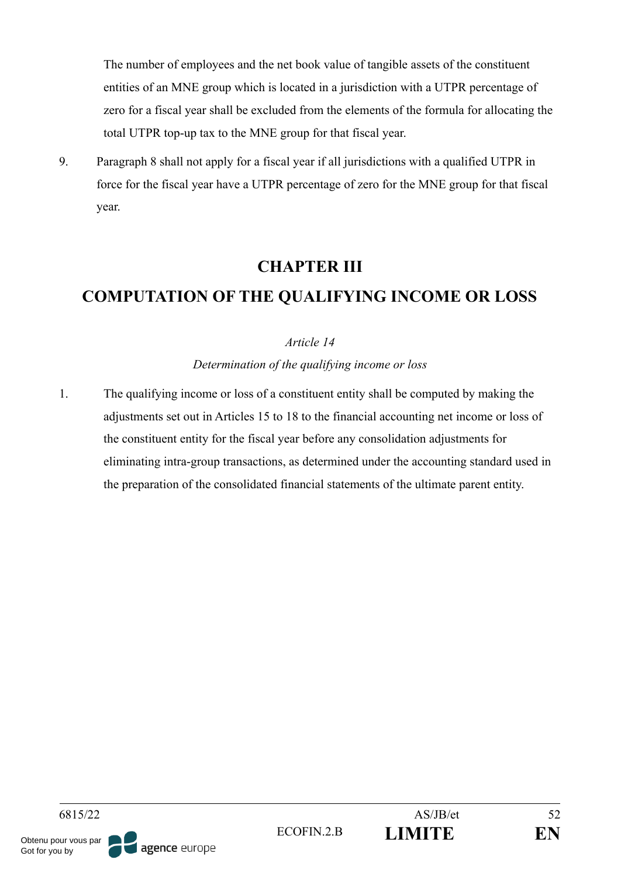The number of employees and the net book value of tangible assets of the constituent entities of an MNE group which is located in a jurisdiction with a UTPR percentage of zero for a fiscal year shall be excluded from the elements of the formula for allocating the total UTPR top-up tax to the MNE group for that fiscal year.

9. Paragraph 8 shall not apply for a fiscal year if all jurisdictions with a qualified UTPR in force for the fiscal year have a UTPR percentage of zero for the MNE group for that fiscal year.

## **CHAPTER III**

# **COMPUTATION OF THE QUALIFYING INCOME OR LOSS**

## *Article 14*

*Determination of the qualifying income or loss*

1. The qualifying income or loss of a constituent entity shall be computed by making the adjustments set out in Articles 15 to 18 to the financial accounting net income or loss of the constituent entity for the fiscal year before any consolidation adjustments for eliminating intra-group transactions, as determined under the accounting standard used in the preparation of the consolidated financial statements of the ultimate parent entity.

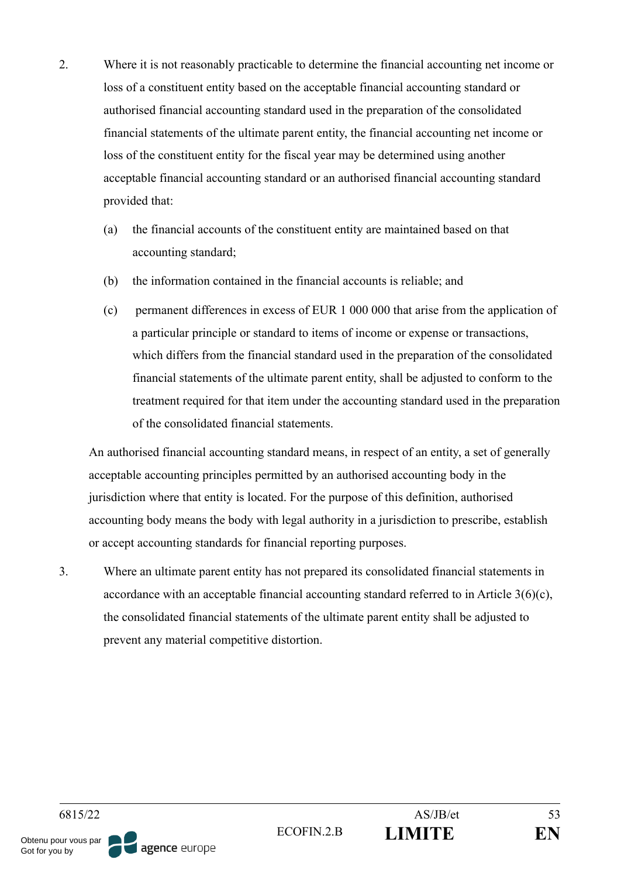- 2. Where it is not reasonably practicable to determine the financial accounting net income or loss of a constituent entity based on the acceptable financial accounting standard or authorised financial accounting standard used in the preparation of the consolidated financial statements of the ultimate parent entity, the financial accounting net income or loss of the constituent entity for the fiscal year may be determined using another acceptable financial accounting standard or an authorised financial accounting standard provided that:
	- (a) the financial accounts of the constituent entity are maintained based on that accounting standard;
	- (b) the information contained in the financial accounts is reliable; and
	- (c) permanent differences in excess of EUR 1 000 000 that arise from the application of a particular principle or standard to items of income or expense or transactions, which differs from the financial standard used in the preparation of the consolidated financial statements of the ultimate parent entity, shall be adjusted to conform to the treatment required for that item under the accounting standard used in the preparation of the consolidated financial statements.

An authorised financial accounting standard means, in respect of an entity, a set of generally acceptable accounting principles permitted by an authorised accounting body in the jurisdiction where that entity is located. For the purpose of this definition, authorised accounting body means the body with legal authority in a jurisdiction to prescribe, establish or accept accounting standards for financial reporting purposes.

3. Where an ultimate parent entity has not prepared its consolidated financial statements in accordance with an acceptable financial accounting standard referred to in Article 3(6)(c), the consolidated financial statements of the ultimate parent entity shall be adjusted to prevent any material competitive distortion.

agence europe

ECOFIN.2.B **LIMITE EN**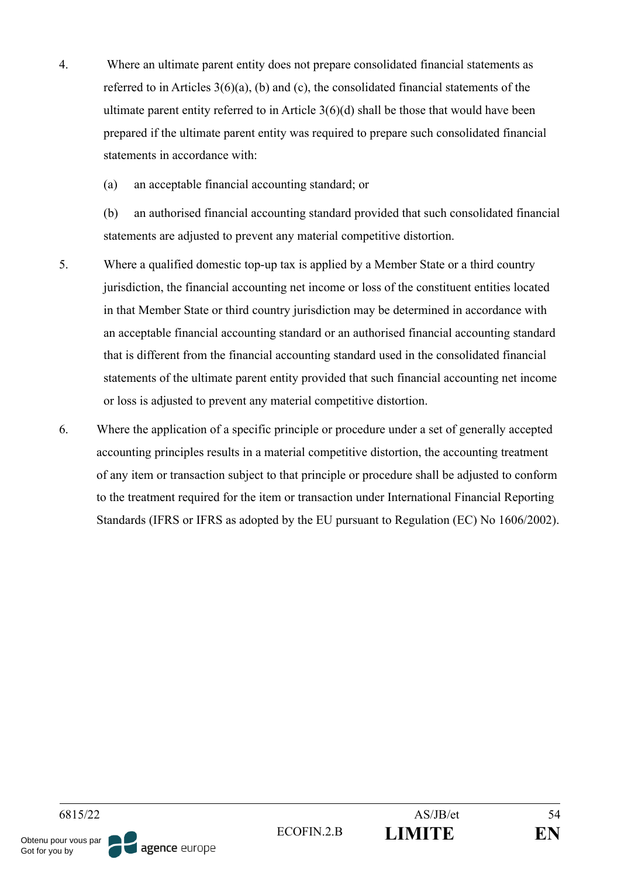- 4. Where an ultimate parent entity does not prepare consolidated financial statements as referred to in Articles 3(6)(a), (b) and (c), the consolidated financial statements of the ultimate parent entity referred to in Article 3(6)(d) shall be those that would have been prepared if the ultimate parent entity was required to prepare such consolidated financial statements in accordance with:
	- (a) an acceptable financial accounting standard; or

(b) an authorised financial accounting standard provided that such consolidated financial statements are adjusted to prevent any material competitive distortion.

- 5. Where a qualified domestic top-up tax is applied by a Member State or a third country jurisdiction, the financial accounting net income or loss of the constituent entities located in that Member State or third country jurisdiction may be determined in accordance with an acceptable financial accounting standard or an authorised financial accounting standard that is different from the financial accounting standard used in the consolidated financial statements of the ultimate parent entity provided that such financial accounting net income or loss is adjusted to prevent any material competitive distortion.
- 6. Where the application of a specific principle or procedure under a set of generally accepted accounting principles results in a material competitive distortion, the accounting treatment of any item or transaction subject to that principle or procedure shall be adjusted to conform to the treatment required for the item or transaction under International Financial Reporting Standards (IFRS or IFRS as adopted by the EU pursuant to Regulation (EC) No 1606/2002).

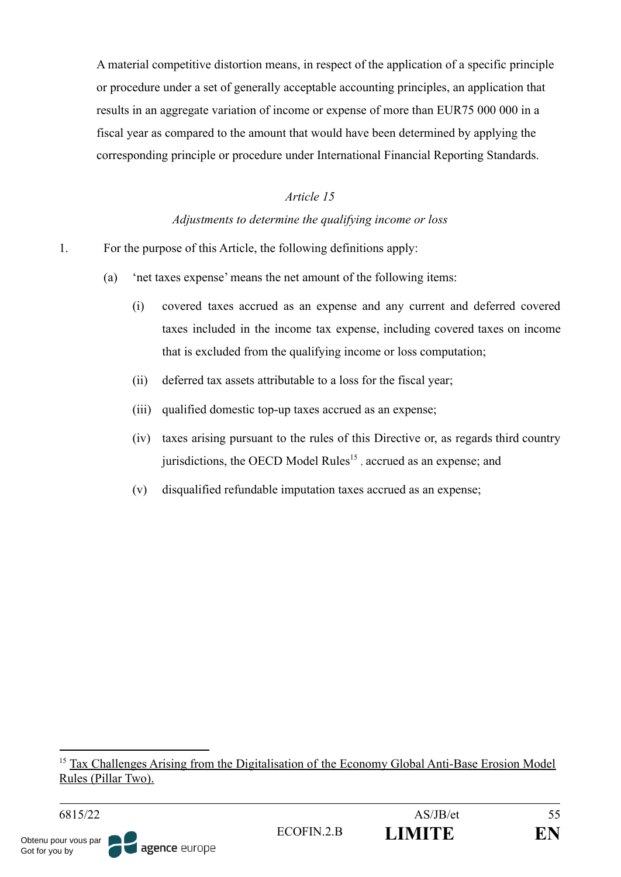A material competitive distortion means, in respect of the application of a specific principle or procedure under a set of generally acceptable accounting principles, an application that results in an aggregate variation of income or expense of more than EUR75 000 000 in a fiscal year as compared to the amount that would have been determined by applying the corresponding principle or procedure under International Financial Reporting Standards.

### *Article 15*

#### *Adjustments to determine the qualifying income or loss*

- 1. For the purpose of this Article, the following definitions apply:
	- (a) 'net taxes expense' means the net amount of the following items:
		- (i) covered taxes accrued as an expense and any current and deferred covered taxes included in the income tax expense, including covered taxes on income that is excluded from the qualifying income or loss computation;
		- (ii) deferred tax assets attributable to a loss for the fiscal year;
		- (iii) qualified domestic top-up taxes accrued as an expense;
		- (iv) taxes arising pursuant to the rules of this Directive or, as regards third country jurisdictions, the OECD Model Rules<sup>15</sup>, accrued as an expense; and
		- (v) disqualified refundable imputation taxes accrued as an expense;

<sup>&</sup>lt;sup>15</sup> Tax Challenges Arising from the Digitalisation of the Economy Global Anti-Base Erosion Model Rules (Pillar Two).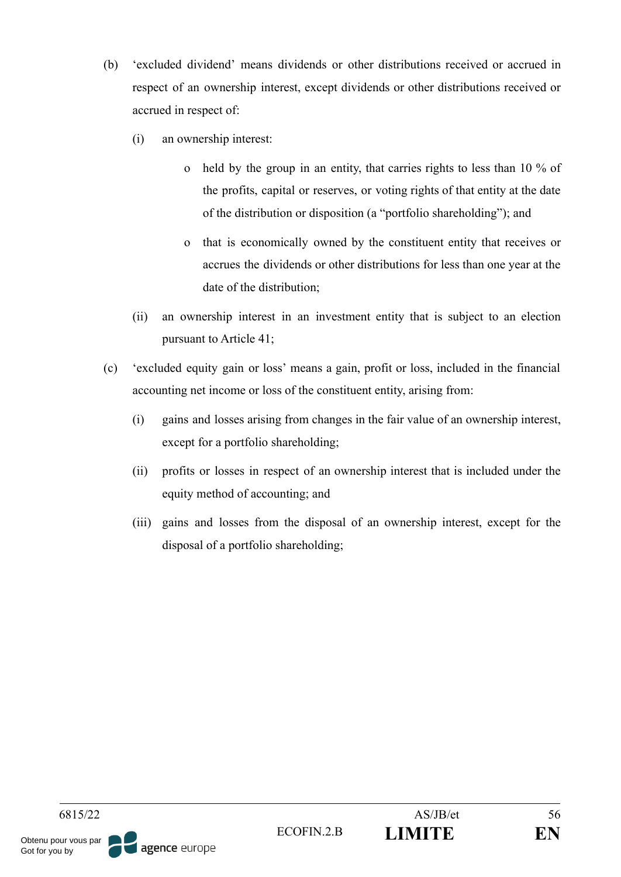- (b) 'excluded dividend' means dividends or other distributions received or accrued in respect of an ownership interest, except dividends or other distributions received or accrued in respect of:
	- (i) an ownership interest:
		- o held by the group in an entity, that carries rights to less than 10 % of the profits, capital or reserves, or voting rights of that entity at the date of the distribution or disposition (a "portfolio shareholding"); and
		- o that is economically owned by the constituent entity that receives or accrues the dividends or other distributions for less than one year at the date of the distribution;
	- (ii) an ownership interest in an investment entity that is subject to an election pursuant to Article 41;
- (c) 'excluded equity gain or loss' means a gain, profit or loss, included in the financial accounting net income or loss of the constituent entity, arising from:
	- (i) gains and losses arising from changes in the fair value of an ownership interest, except for a portfolio shareholding;
	- (ii) profits or losses in respect of an ownership interest that is included under the equity method of accounting; and
	- (iii) gains and losses from the disposal of an ownership interest, except for the disposal of a portfolio shareholding;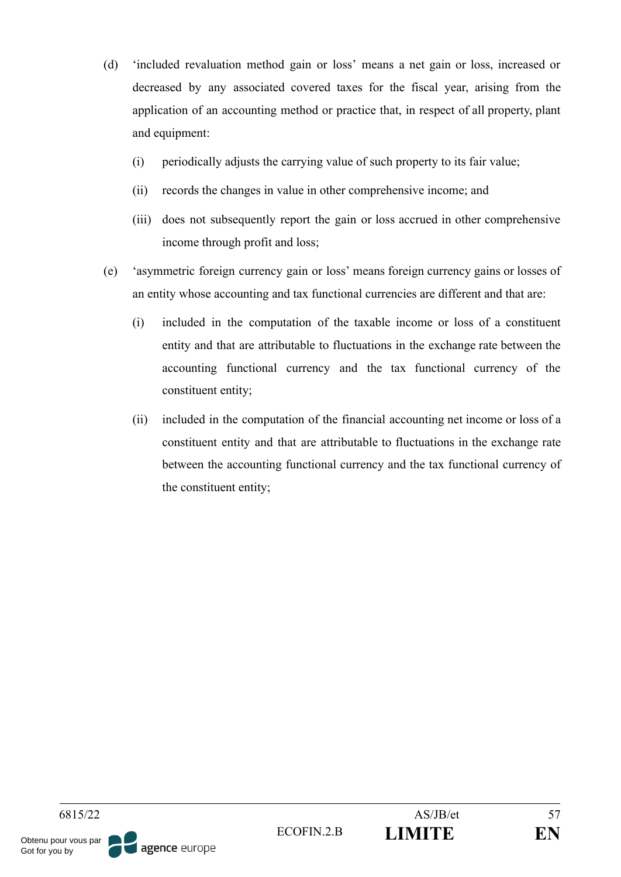- (d) 'included revaluation method gain or loss' means a net gain or loss, increased or decreased by any associated covered taxes for the fiscal year, arising from the application of an accounting method or practice that, in respect of all property, plant and equipment:
	- (i) periodically adjusts the carrying value of such property to its fair value;
	- (ii) records the changes in value in other comprehensive income; and
	- (iii) does not subsequently report the gain or loss accrued in other comprehensive income through profit and loss;
- (e) 'asymmetric foreign currency gain or loss' means foreign currency gains or losses of an entity whose accounting and tax functional currencies are different and that are:
	- (i) included in the computation of the taxable income or loss of a constituent entity and that are attributable to fluctuations in the exchange rate between the accounting functional currency and the tax functional currency of the constituent entity;
	- (ii) included in the computation of the financial accounting net income or loss of a constituent entity and that are attributable to fluctuations in the exchange rate between the accounting functional currency and the tax functional currency of the constituent entity;

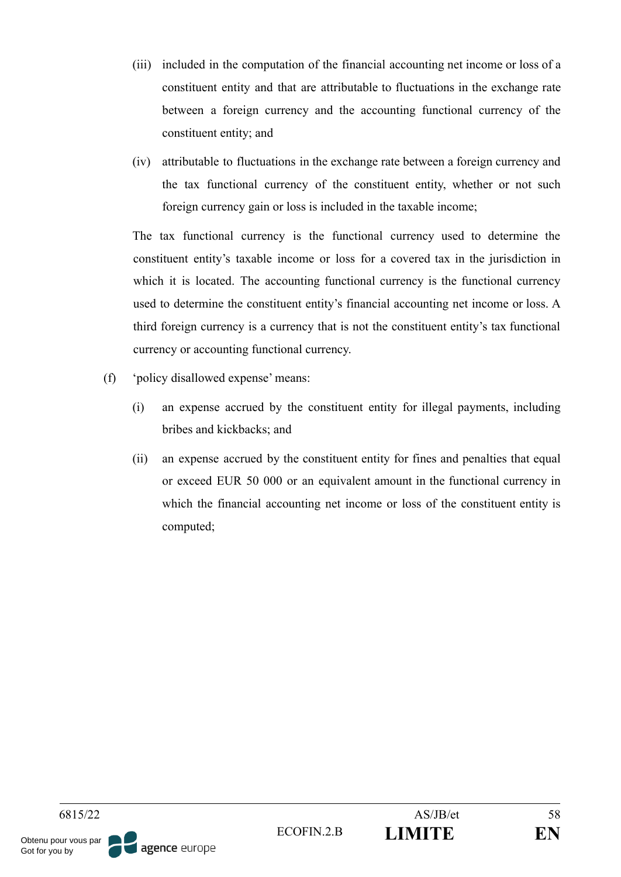- (iii) included in the computation of the financial accounting net income or loss of a constituent entity and that are attributable to fluctuations in the exchange rate between a foreign currency and the accounting functional currency of the constituent entity; and
- (iv) attributable to fluctuations in the exchange rate between a foreign currency and the tax functional currency of the constituent entity, whether or not such foreign currency gain or loss is included in the taxable income;

The tax functional currency is the functional currency used to determine the constituent entity's taxable income or loss for a covered tax in the jurisdiction in which it is located. The accounting functional currency is the functional currency used to determine the constituent entity's financial accounting net income or loss. A third foreign currency is a currency that is not the constituent entity's tax functional currency or accounting functional currency.

- (f) 'policy disallowed expense' means:
	- (i) an expense accrued by the constituent entity for illegal payments, including bribes and kickbacks; and
	- (ii) an expense accrued by the constituent entity for fines and penalties that equal or exceed EUR 50 000 or an equivalent amount in the functional currency in which the financial accounting net income or loss of the constituent entity is computed;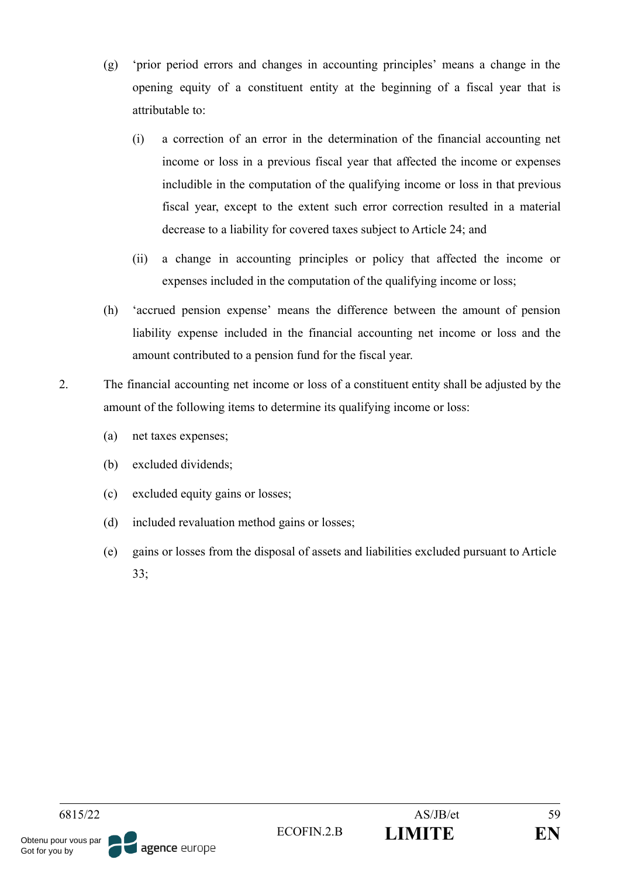- (g) 'prior period errors and changes in accounting principles' means a change in the opening equity of a constituent entity at the beginning of a fiscal year that is attributable to:
	- (i) a correction of an error in the determination of the financial accounting net income or loss in a previous fiscal year that affected the income or expenses includible in the computation of the qualifying income or loss in that previous fiscal year, except to the extent such error correction resulted in a material decrease to a liability for covered taxes subject to Article 24; and
	- (ii) a change in accounting principles or policy that affected the income or expenses included in the computation of the qualifying income or loss;
- (h) 'accrued pension expense' means the difference between the amount of pension liability expense included in the financial accounting net income or loss and the amount contributed to a pension fund for the fiscal year.
- 2. The financial accounting net income or loss of a constituent entity shall be adjusted by the amount of the following items to determine its qualifying income or loss:
	- (a) net taxes expenses;
	- (b) excluded dividends;
	- (c) excluded equity gains or losses;
	- (d) included revaluation method gains or losses;
	- (e) gains or losses from the disposal of assets and liabilities excluded pursuant to Article 33;

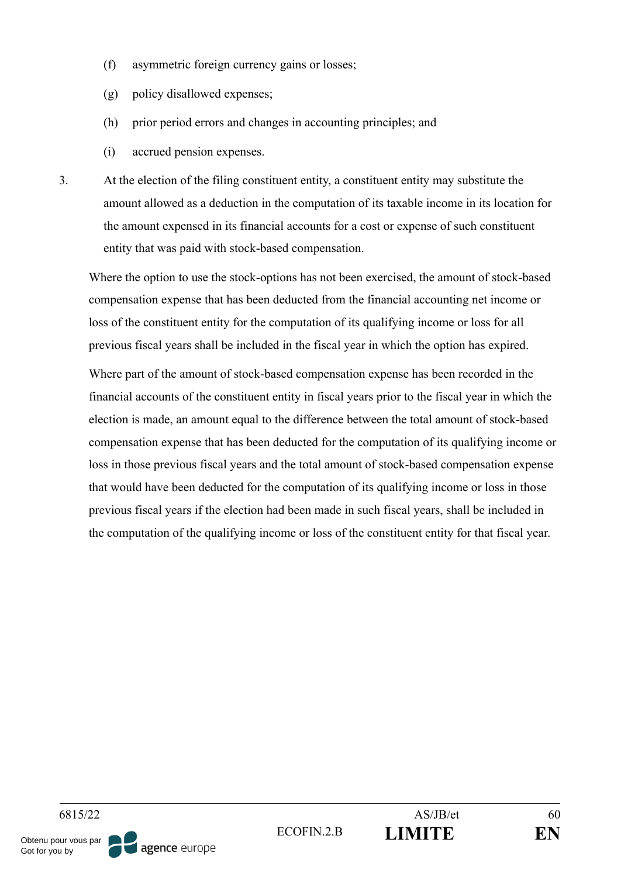- (f) asymmetric foreign currency gains or losses;
- (g) policy disallowed expenses;
- (h) prior period errors and changes in accounting principles; and
- (i) accrued pension expenses.
- 3. At the election of the filing constituent entity, a constituent entity may substitute the amount allowed as a deduction in the computation of its taxable income in its location for the amount expensed in its financial accounts for a cost or expense of such constituent entity that was paid with stock-based compensation.

Where the option to use the stock-options has not been exercised, the amount of stock-based compensation expense that has been deducted from the financial accounting net income or loss of the constituent entity for the computation of its qualifying income or loss for all previous fiscal years shall be included in the fiscal year in which the option has expired.

Where part of the amount of stock-based compensation expense has been recorded in the financial accounts of the constituent entity in fiscal years prior to the fiscal year in which the election is made, an amount equal to the difference between the total amount of stock-based compensation expense that has been deducted for the computation of its qualifying income or loss in those previous fiscal years and the total amount of stock-based compensation expense that would have been deducted for the computation of its qualifying income or loss in those previous fiscal years if the election had been made in such fiscal years, shall be included in the computation of the qualifying income or loss of the constituent entity for that fiscal year.

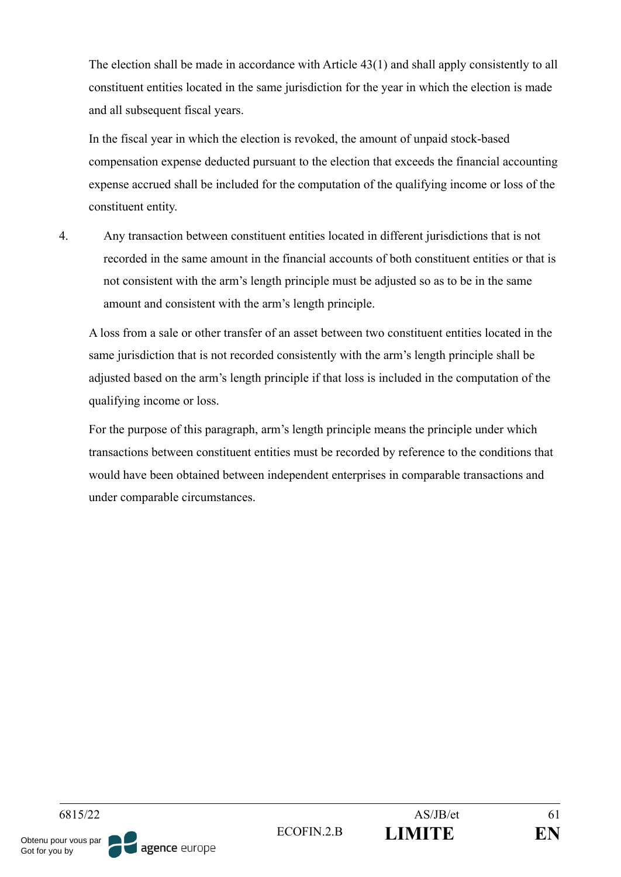The election shall be made in accordance with Article 43(1) and shall apply consistently to all constituent entities located in the same jurisdiction for the year in which the election is made and all subsequent fiscal years.

In the fiscal year in which the election is revoked, the amount of unpaid stock-based compensation expense deducted pursuant to the election that exceeds the financial accounting expense accrued shall be included for the computation of the qualifying income or loss of the constituent entity.

4. Any transaction between constituent entities located in different jurisdictions that is not recorded in the same amount in the financial accounts of both constituent entities or that is not consistent with the arm's length principle must be adjusted so as to be in the same amount and consistent with the arm's length principle.

A loss from a sale or other transfer of an asset between two constituent entities located in the same jurisdiction that is not recorded consistently with the arm's length principle shall be adjusted based on the arm's length principle if that loss is included in the computation of the qualifying income or loss.

For the purpose of this paragraph, arm's length principle means the principle under which transactions between constituent entities must be recorded by reference to the conditions that would have been obtained between independent enterprises in comparable transactions and under comparable circumstances.

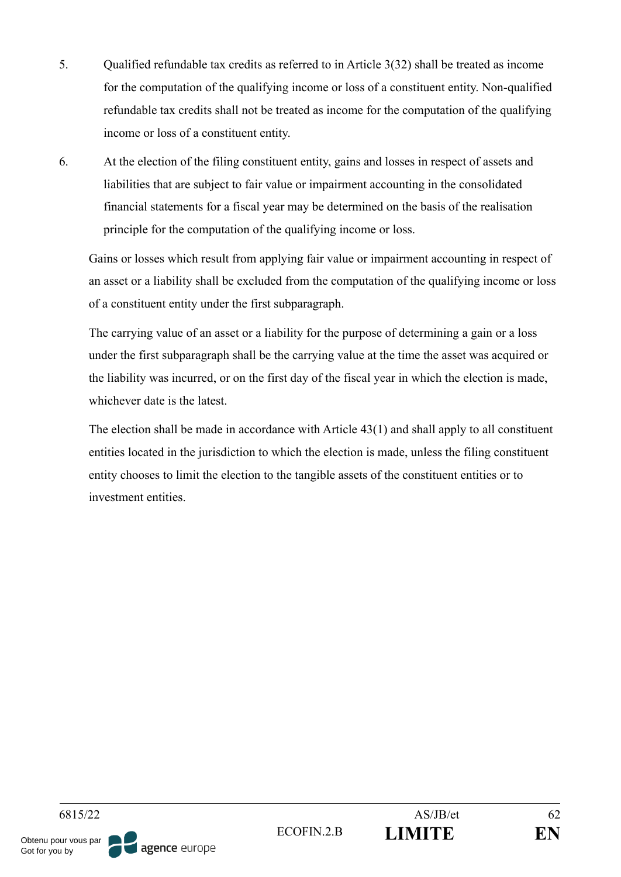- 5. Qualified refundable tax credits as referred to in Article 3(32) shall be treated as income for the computation of the qualifying income or loss of a constituent entity. Non-qualified refundable tax credits shall not be treated as income for the computation of the qualifying income or loss of a constituent entity.
- 6. At the election of the filing constituent entity, gains and losses in respect of assets and liabilities that are subject to fair value or impairment accounting in the consolidated financial statements for a fiscal year may be determined on the basis of the realisation principle for the computation of the qualifying income or loss.

Gains or losses which result from applying fair value or impairment accounting in respect of an asset or a liability shall be excluded from the computation of the qualifying income or loss of a constituent entity under the first subparagraph.

The carrying value of an asset or a liability for the purpose of determining a gain or a loss under the first subparagraph shall be the carrying value at the time the asset was acquired or the liability was incurred, or on the first day of the fiscal year in which the election is made, whichever date is the latest.

The election shall be made in accordance with Article 43(1) and shall apply to all constituent entities located in the jurisdiction to which the election is made, unless the filing constituent entity chooses to limit the election to the tangible assets of the constituent entities or to investment entities.

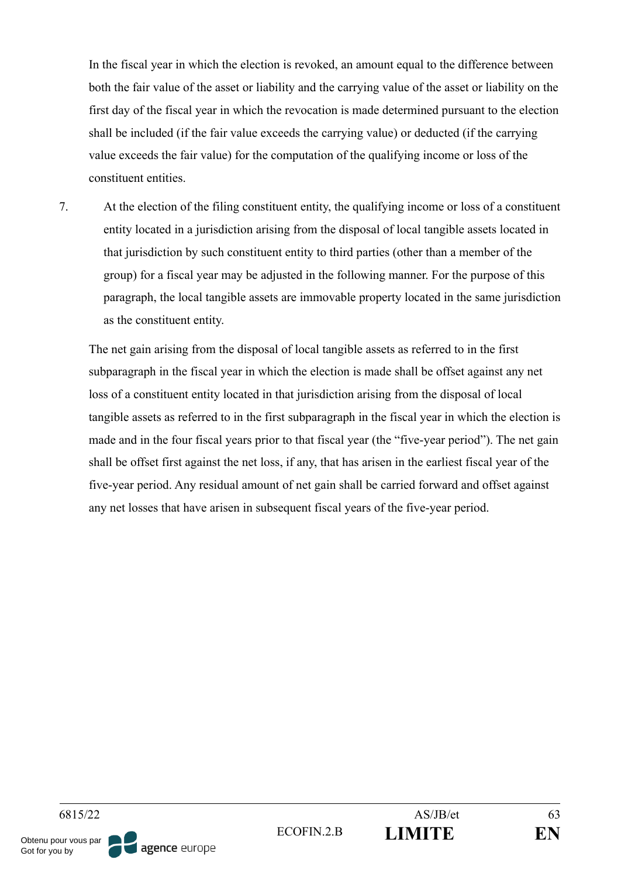In the fiscal year in which the election is revoked, an amount equal to the difference between both the fair value of the asset or liability and the carrying value of the asset or liability on the first day of the fiscal year in which the revocation is made determined pursuant to the election shall be included (if the fair value exceeds the carrying value) or deducted (if the carrying value exceeds the fair value) for the computation of the qualifying income or loss of the constituent entities.

7. At the election of the filing constituent entity, the qualifying income or loss of a constituent entity located in a jurisdiction arising from the disposal of local tangible assets located in that jurisdiction by such constituent entity to third parties (other than a member of the group) for a fiscal year may be adjusted in the following manner. For the purpose of this paragraph, the local tangible assets are immovable property located in the same jurisdiction as the constituent entity.

The net gain arising from the disposal of local tangible assets as referred to in the first subparagraph in the fiscal year in which the election is made shall be offset against any net loss of a constituent entity located in that jurisdiction arising from the disposal of local tangible assets as referred to in the first subparagraph in the fiscal year in which the election is made and in the four fiscal years prior to that fiscal year (the "five-year period"). The net gain shall be offset first against the net loss, if any, that has arisen in the earliest fiscal year of the five-year period. Any residual amount of net gain shall be carried forward and offset against any net losses that have arisen in subsequent fiscal years of the five-year period.

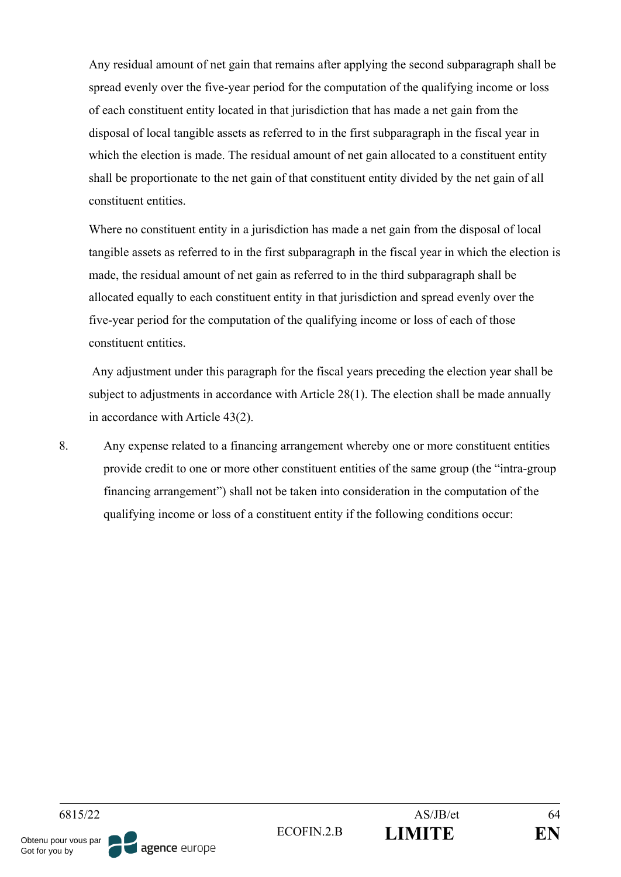Any residual amount of net gain that remains after applying the second subparagraph shall be spread evenly over the five-year period for the computation of the qualifying income or loss of each constituent entity located in that jurisdiction that has made a net gain from the disposal of local tangible assets as referred to in the first subparagraph in the fiscal year in which the election is made. The residual amount of net gain allocated to a constituent entity shall be proportionate to the net gain of that constituent entity divided by the net gain of all constituent entities.

Where no constituent entity in a jurisdiction has made a net gain from the disposal of local tangible assets as referred to in the first subparagraph in the fiscal year in which the election is made, the residual amount of net gain as referred to in the third subparagraph shall be allocated equally to each constituent entity in that jurisdiction and spread evenly over the five-year period for the computation of the qualifying income or loss of each of those constituent entities.

Any adjustment under this paragraph for the fiscal years preceding the election year shall be subject to adjustments in accordance with Article 28(1). The election shall be made annually in accordance with Article 43(2).

8. Any expense related to a financing arrangement whereby one or more constituent entities provide credit to one or more other constituent entities of the same group (the "intra-group financing arrangement") shall not be taken into consideration in the computation of the qualifying income or loss of a constituent entity if the following conditions occur:

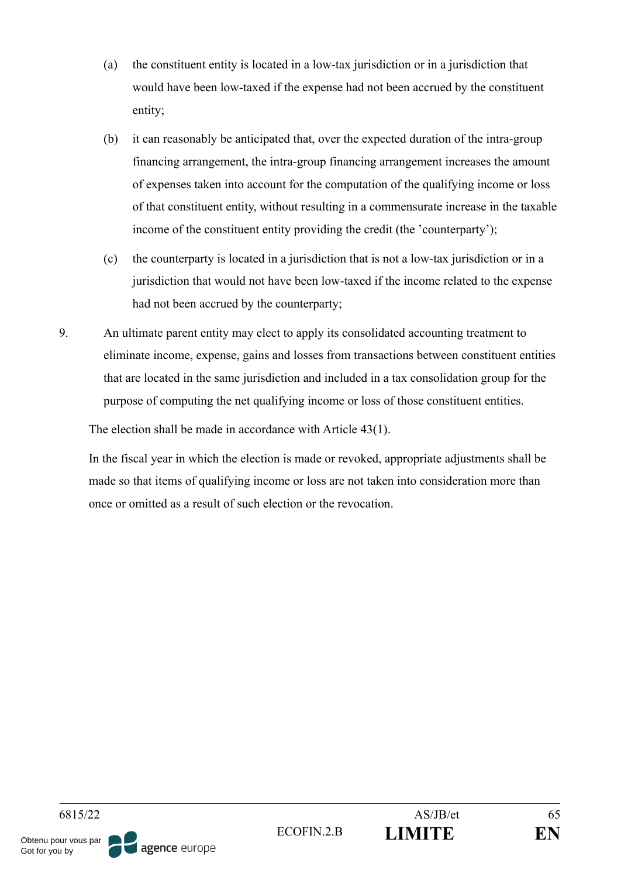- (a) the constituent entity is located in a low-tax jurisdiction or in a jurisdiction that would have been low-taxed if the expense had not been accrued by the constituent entity;
- (b) it can reasonably be anticipated that, over the expected duration of the intra-group financing arrangement, the intra-group financing arrangement increases the amount of expenses taken into account for the computation of the qualifying income or loss of that constituent entity, without resulting in a commensurate increase in the taxable income of the constituent entity providing the credit (the 'counterparty');
- (c) the counterparty is located in a jurisdiction that is not a low-tax jurisdiction or in a jurisdiction that would not have been low-taxed if the income related to the expense had not been accrued by the counterparty;
- 9. An ultimate parent entity may elect to apply its consolidated accounting treatment to eliminate income, expense, gains and losses from transactions between constituent entities that are located in the same jurisdiction and included in a tax consolidation group for the purpose of computing the net qualifying income or loss of those constituent entities.

The election shall be made in accordance with Article 43(1).

In the fiscal year in which the election is made or revoked, appropriate adjustments shall be made so that items of qualifying income or loss are not taken into consideration more than once or omitted as a result of such election or the revocation.

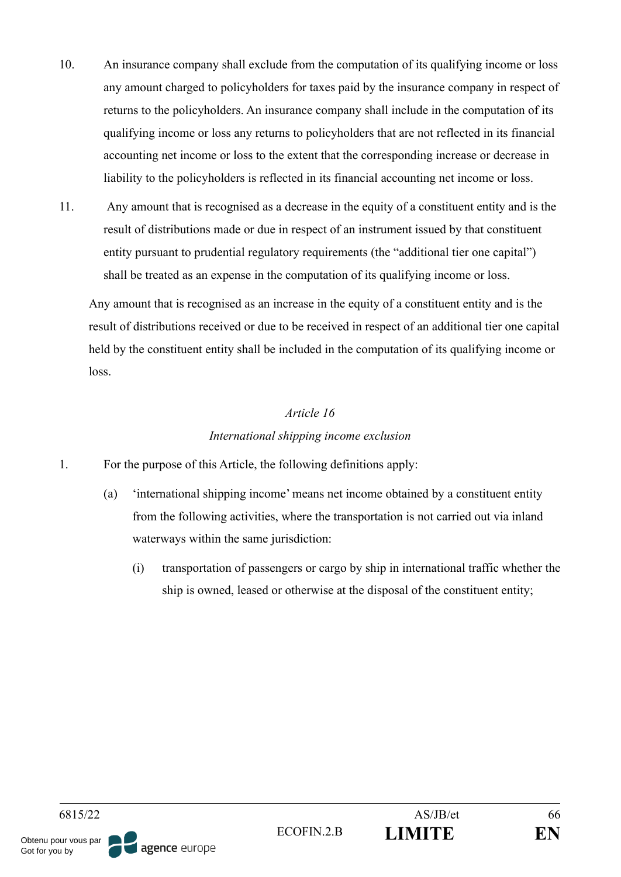- 10. An insurance company shall exclude from the computation of its qualifying income or loss any amount charged to policyholders for taxes paid by the insurance company in respect of returns to the policyholders. An insurance company shall include in the computation of its qualifying income or loss any returns to policyholders that are not reflected in its financial accounting net income or loss to the extent that the corresponding increase or decrease in liability to the policyholders is reflected in its financial accounting net income or loss.
- 11. Any amount that is recognised as a decrease in the equity of a constituent entity and is the result of distributions made or due in respect of an instrument issued by that constituent entity pursuant to prudential regulatory requirements (the "additional tier one capital") shall be treated as an expense in the computation of its qualifying income or loss.

Any amount that is recognised as an increase in the equity of a constituent entity and is the result of distributions received or due to be received in respect of an additional tier one capital held by the constituent entity shall be included in the computation of its qualifying income or loss.

## *Article 16 International shipping income exclusion*

- 1. For the purpose of this Article, the following definitions apply:
	- (a) 'international shipping income' means net income obtained by a constituent entity from the following activities, where the transportation is not carried out via inland waterways within the same jurisdiction:
		- (i) transportation of passengers or cargo by ship in international traffic whether the ship is owned, leased or otherwise at the disposal of the constituent entity;

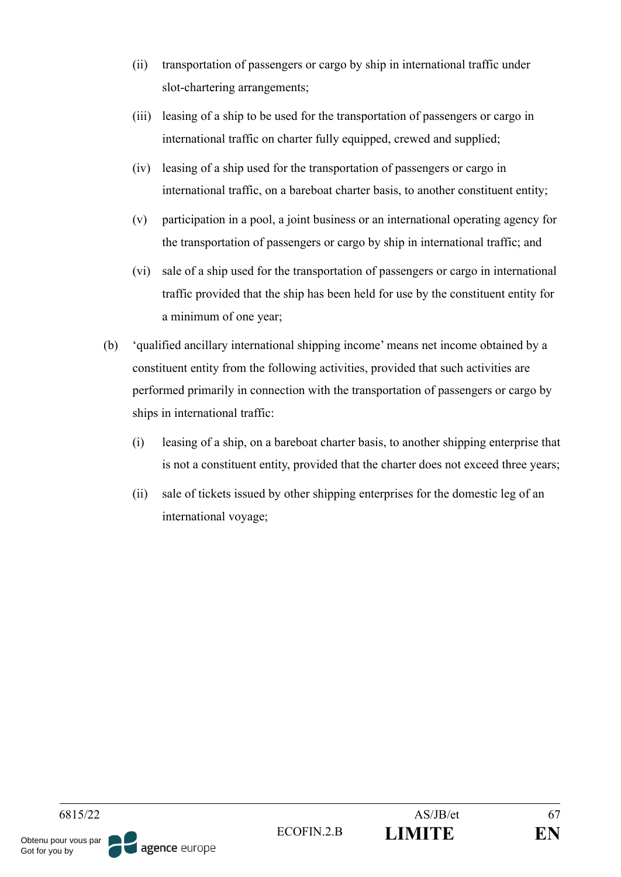- (ii) transportation of passengers or cargo by ship in international traffic under slot-chartering arrangements;
- (iii) leasing of a ship to be used for the transportation of passengers or cargo in international traffic on charter fully equipped, crewed and supplied;
- (iv) leasing of a ship used for the transportation of passengers or cargo in international traffic, on a bareboat charter basis, to another constituent entity;
- (v) participation in a pool, a joint business or an international operating agency for the transportation of passengers or cargo by ship in international traffic; and
- (vi) sale of a ship used for the transportation of passengers or cargo in international traffic provided that the ship has been held for use by the constituent entity for a minimum of one year;
- (b) 'qualified ancillary international shipping income' means net income obtained by a constituent entity from the following activities, provided that such activities are performed primarily in connection with the transportation of passengers or cargo by ships in international traffic:
	- (i) leasing of a ship, on a bareboat charter basis, to another shipping enterprise that is not a constituent entity, provided that the charter does not exceed three years;
	- (ii) sale of tickets issued by other shipping enterprises for the domestic leg of an international voyage;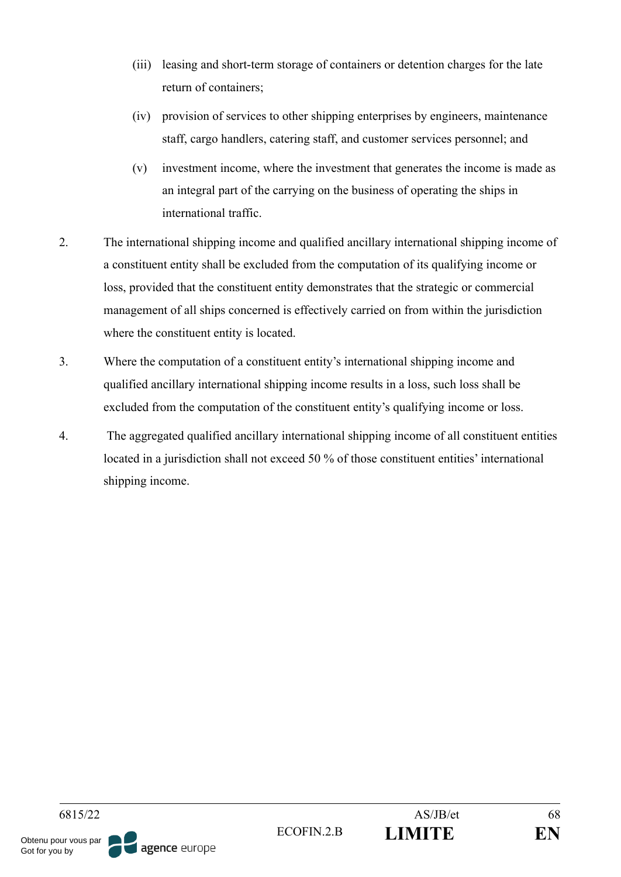- (iii) leasing and short-term storage of containers or detention charges for the late return of containers;
- (iv) provision of services to other shipping enterprises by engineers, maintenance staff, cargo handlers, catering staff, and customer services personnel; and
- (v) investment income, where the investment that generates the income is made as an integral part of the carrying on the business of operating the ships in international traffic.
- 2. The international shipping income and qualified ancillary international shipping income of a constituent entity shall be excluded from the computation of its qualifying income or loss, provided that the constituent entity demonstrates that the strategic or commercial management of all ships concerned is effectively carried on from within the jurisdiction where the constituent entity is located.
- 3. Where the computation of a constituent entity's international shipping income and qualified ancillary international shipping income results in a loss, such loss shall be excluded from the computation of the constituent entity's qualifying income or loss.
- 4. The aggregated qualified ancillary international shipping income of all constituent entities located in a jurisdiction shall not exceed 50 % of those constituent entities' international shipping income.

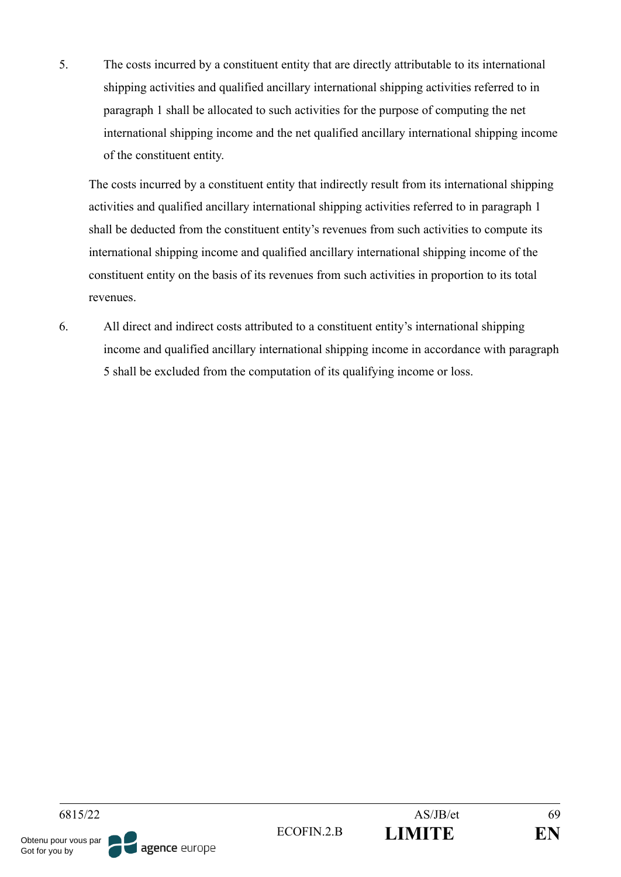5. The costs incurred by a constituent entity that are directly attributable to its international shipping activities and qualified ancillary international shipping activities referred to in paragraph 1 shall be allocated to such activities for the purpose of computing the net international shipping income and the net qualified ancillary international shipping income of the constituent entity.

The costs incurred by a constituent entity that indirectly result from its international shipping activities and qualified ancillary international shipping activities referred to in paragraph 1 shall be deducted from the constituent entity's revenues from such activities to compute its international shipping income and qualified ancillary international shipping income of the constituent entity on the basis of its revenues from such activities in proportion to its total revenues.

6. All direct and indirect costs attributed to a constituent entity's international shipping income and qualified ancillary international shipping income in accordance with paragraph 5 shall be excluded from the computation of its qualifying income or loss.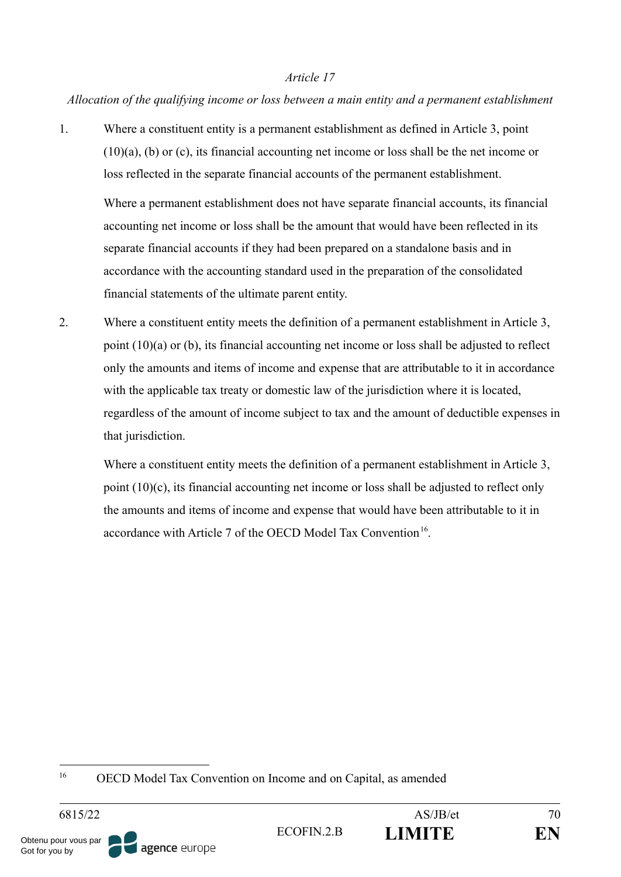### *Allocation of the qualifying income or loss between a main entity and a permanent establishment*

1. Where a constituent entity is a permanent establishment as defined in Article 3, point (10)(a), (b) or (c), its financial accounting net income or loss shall be the net income or loss reflected in the separate financial accounts of the permanent establishment.

Where a permanent establishment does not have separate financial accounts, its financial accounting net income or loss shall be the amount that would have been reflected in its separate financial accounts if they had been prepared on a standalone basis and in accordance with the accounting standard used in the preparation of the consolidated financial statements of the ultimate parent entity.

2. Where a constituent entity meets the definition of a permanent establishment in Article 3, point (10)(a) or (b), its financial accounting net income or loss shall be adjusted to reflect only the amounts and items of income and expense that are attributable to it in accordance with the applicable tax treaty or domestic law of the jurisdiction where it is located, regardless of the amount of income subject to tax and the amount of deductible expenses in that jurisdiction.

Where a constituent entity meets the definition of a permanent establishment in Article 3, point (10)(c), its financial accounting net income or loss shall be adjusted to reflect only the amounts and items of income and expense that would have been attributable to it in accordance with Article 7 of the OECD Model Tax Convention<sup>16</sup>.

<sup>16</sup> OECD Model Tax Convention on Income and on Capital, as amended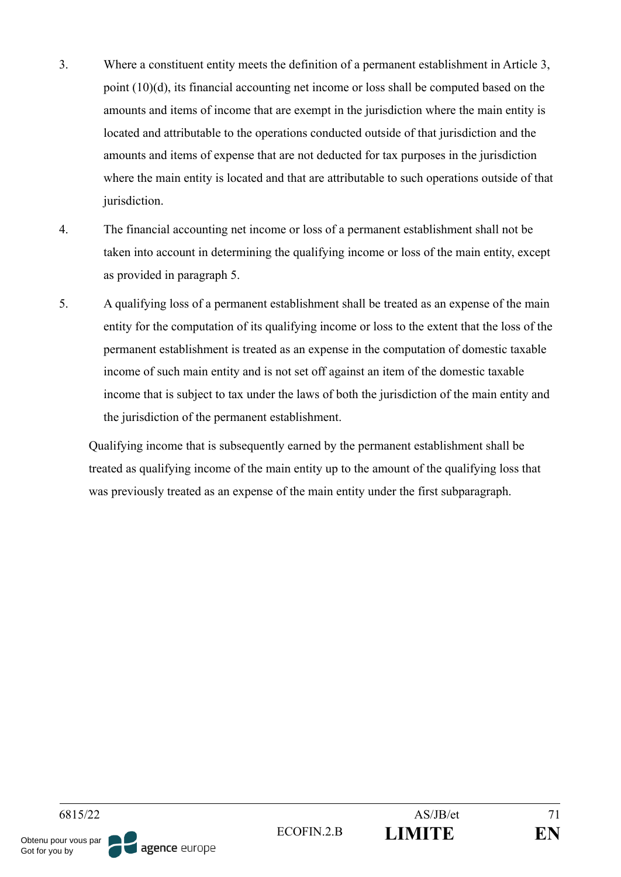- 3. Where a constituent entity meets the definition of a permanent establishment in Article 3, point (10)(d), its financial accounting net income or loss shall be computed based on the amounts and items of income that are exempt in the jurisdiction where the main entity is located and attributable to the operations conducted outside of that jurisdiction and the amounts and items of expense that are not deducted for tax purposes in the jurisdiction where the main entity is located and that are attributable to such operations outside of that jurisdiction.
- 4. The financial accounting net income or loss of a permanent establishment shall not be taken into account in determining the qualifying income or loss of the main entity, except as provided in paragraph 5.
- 5. A qualifying loss of a permanent establishment shall be treated as an expense of the main entity for the computation of its qualifying income or loss to the extent that the loss of the permanent establishment is treated as an expense in the computation of domestic taxable income of such main entity and is not set off against an item of the domestic taxable income that is subject to tax under the laws of both the jurisdiction of the main entity and the jurisdiction of the permanent establishment.

Qualifying income that is subsequently earned by the permanent establishment shall be treated as qualifying income of the main entity up to the amount of the qualifying loss that was previously treated as an expense of the main entity under the first subparagraph.

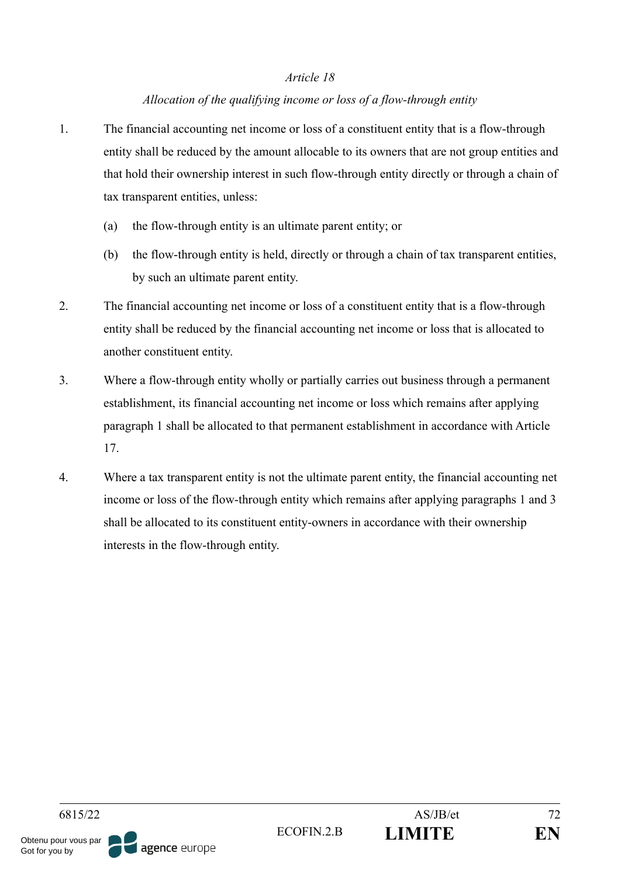## *Allocation of the qualifying income or loss of a flow-through entity*

- 1. The financial accounting net income or loss of a constituent entity that is a flow-through entity shall be reduced by the amount allocable to its owners that are not group entities and that hold their ownership interest in such flow-through entity directly or through a chain of tax transparent entities, unless:
	- (a) the flow-through entity is an ultimate parent entity; or
	- (b) the flow-through entity is held, directly or through a chain of tax transparent entities, by such an ultimate parent entity.
- 2. The financial accounting net income or loss of a constituent entity that is a flow-through entity shall be reduced by the financial accounting net income or loss that is allocated to another constituent entity.
- 3. Where a flow-through entity wholly or partially carries out business through a permanent establishment, its financial accounting net income or loss which remains after applying paragraph 1 shall be allocated to that permanent establishment in accordance with Article 17.
- 4. Where a tax transparent entity is not the ultimate parent entity, the financial accounting net income or loss of the flow-through entity which remains after applying paragraphs 1 and 3 shall be allocated to its constituent entity-owners in accordance with their ownership interests in the flow-through entity.

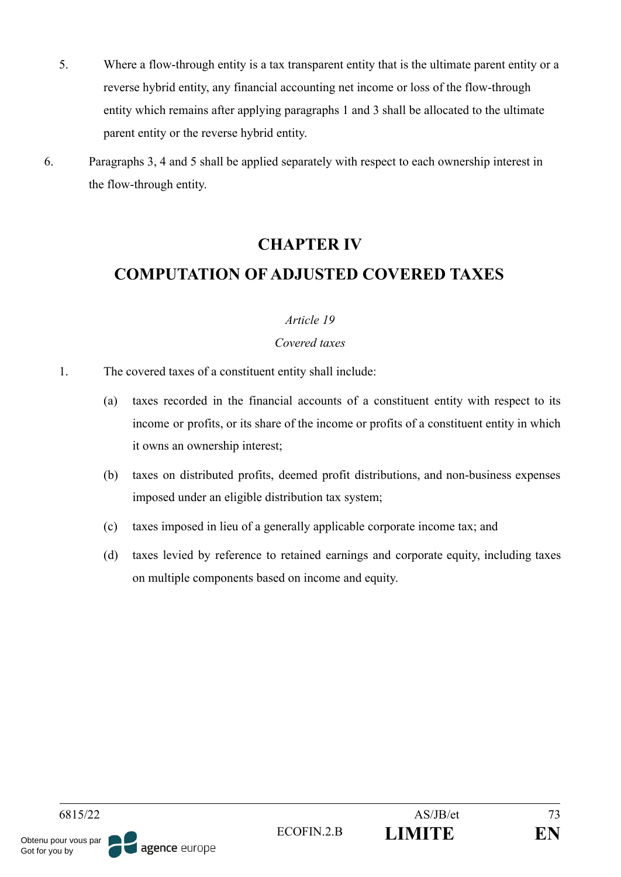- 5. Where a flow-through entity is a tax transparent entity that is the ultimate parent entity or a reverse hybrid entity, any financial accounting net income or loss of the flow-through entity which remains after applying paragraphs 1 and 3 shall be allocated to the ultimate parent entity or the reverse hybrid entity.
- 6. Paragraphs 3, 4 and 5 shall be applied separately with respect to each ownership interest in the flow-through entity.

# **CHAPTER IV COMPUTATION OF ADJUSTED COVERED TAXES**

# *Article 19*

# *Covered taxes*

- 1. The covered taxes of a constituent entity shall include:
	- (a) taxes recorded in the financial accounts of a constituent entity with respect to its income or profits, or its share of the income or profits of a constituent entity in which it owns an ownership interest;
	- (b) taxes on distributed profits, deemed profit distributions, and non-business expenses imposed under an eligible distribution tax system;
	- (c) taxes imposed in lieu of a generally applicable corporate income tax; and
	- (d) taxes levied by reference to retained earnings and corporate equity, including taxes on multiple components based on income and equity.

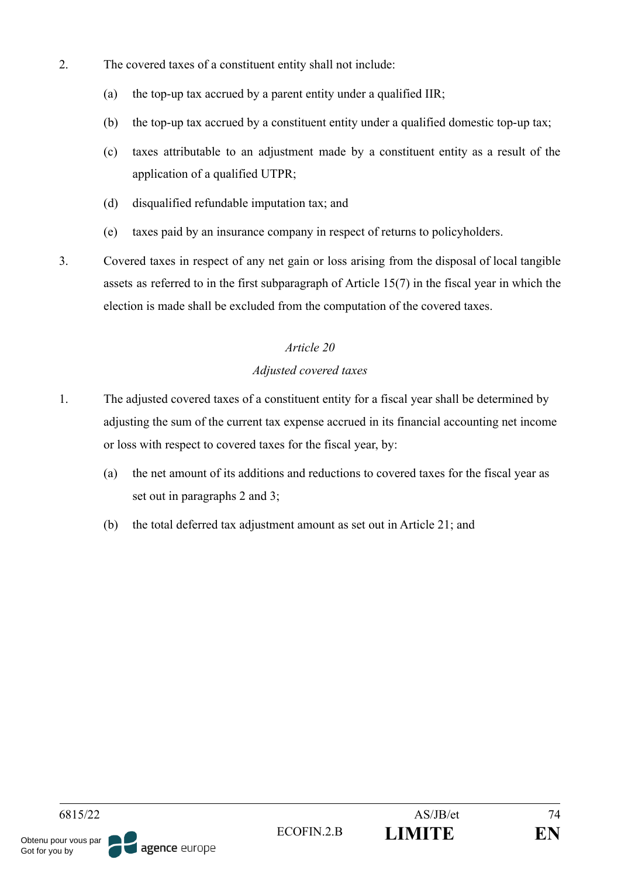- 2. The covered taxes of a constituent entity shall not include:
	- (a) the top-up tax accrued by a parent entity under a qualified IIR;
	- (b) the top-up tax accrued by a constituent entity under a qualified domestic top-up tax;
	- (c) taxes attributable to an adjustment made by a constituent entity as a result of the application of a qualified UTPR;
	- (d) disqualified refundable imputation tax; and
	- (e) taxes paid by an insurance company in respect of returns to policyholders.
- 3. Covered taxes in respect of any net gain or loss arising from the disposal of local tangible assets as referred to in the first subparagraph of Article 15(7) in the fiscal year in which the election is made shall be excluded from the computation of the covered taxes.

# *Adjusted covered taxes*

- 1. The adjusted covered taxes of a constituent entity for a fiscal year shall be determined by adjusting the sum of the current tax expense accrued in its financial accounting net income or loss with respect to covered taxes for the fiscal year, by:
	- (a) the net amount of its additions and reductions to covered taxes for the fiscal year as set out in paragraphs 2 and 3;
	- (b) the total deferred tax adjustment amount as set out in Article 21; and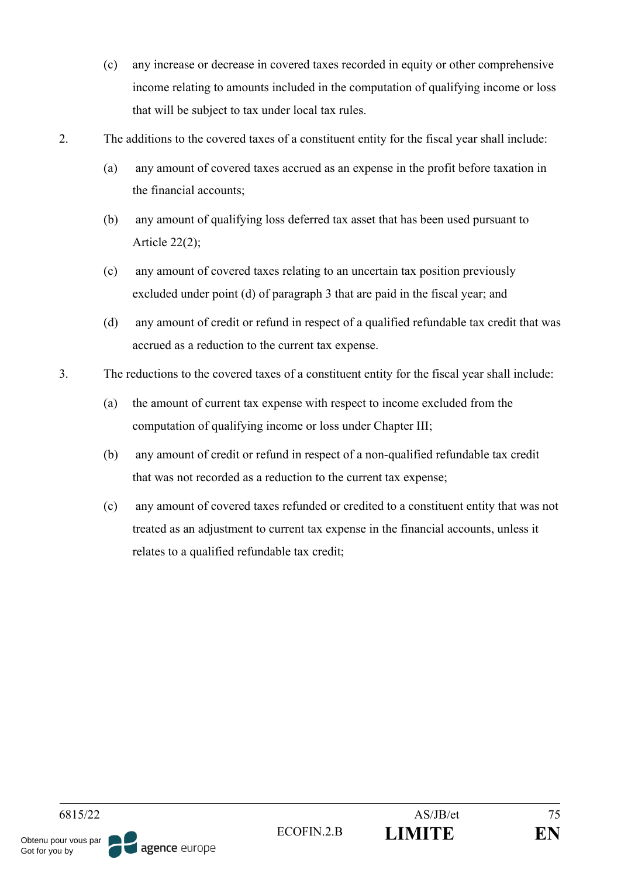- (c) any increase or decrease in covered taxes recorded in equity or other comprehensive income relating to amounts included in the computation of qualifying income or loss that will be subject to tax under local tax rules.
- 2. The additions to the covered taxes of a constituent entity for the fiscal year shall include:
	- (a) any amount of covered taxes accrued as an expense in the profit before taxation in the financial accounts;
	- (b) any amount of qualifying loss deferred tax asset that has been used pursuant to Article  $22(2)$ ;
	- (c) any amount of covered taxes relating to an uncertain tax position previously excluded under point (d) of paragraph 3 that are paid in the fiscal year; and
	- (d) any amount of credit or refund in respect of a qualified refundable tax credit that was accrued as a reduction to the current tax expense.
- 3. The reductions to the covered taxes of a constituent entity for the fiscal year shall include:
	- (a) the amount of current tax expense with respect to income excluded from the computation of qualifying income or loss under Chapter III;
	- (b) any amount of credit or refund in respect of a non-qualified refundable tax credit that was not recorded as a reduction to the current tax expense;
	- (c) any amount of covered taxes refunded or credited to a constituent entity that was not treated as an adjustment to current tax expense in the financial accounts, unless it relates to a qualified refundable tax credit;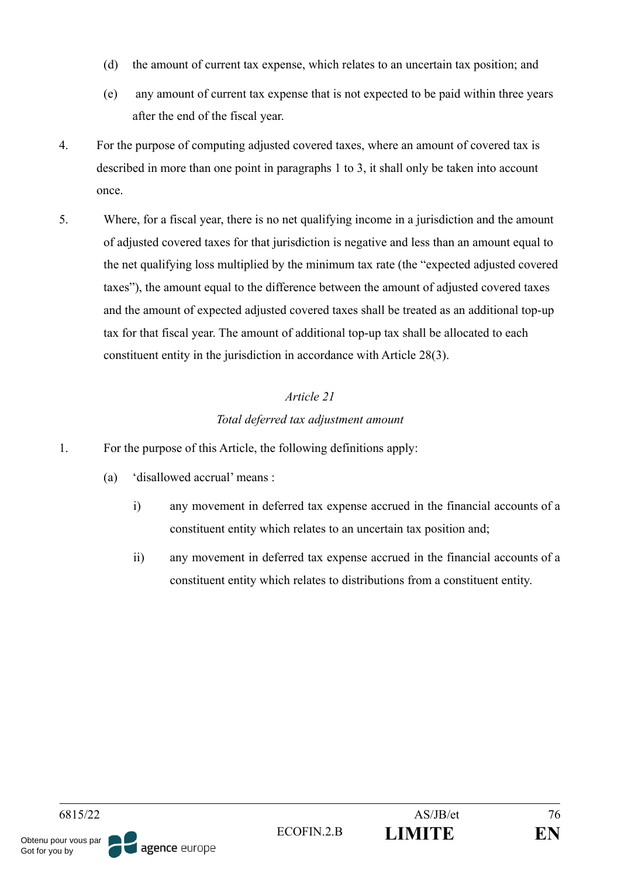- (d) the amount of current tax expense, which relates to an uncertain tax position; and
- (e) any amount of current tax expense that is not expected to be paid within three years after the end of the fiscal year.
- 4. For the purpose of computing adjusted covered taxes, where an amount of covered tax is described in more than one point in paragraphs 1 to 3, it shall only be taken into account once.
- 5. Where, for a fiscal year, there is no net qualifying income in a jurisdiction and the amount of adjusted covered taxes for that jurisdiction is negative and less than an amount equal to the net qualifying loss multiplied by the minimum tax rate (the "expected adjusted covered taxes"), the amount equal to the difference between the amount of adjusted covered taxes and the amount of expected adjusted covered taxes shall be treated as an additional top-up tax for that fiscal year. The amount of additional top-up tax shall be allocated to each constituent entity in the jurisdiction in accordance with Article 28(3).

# *Total deferred tax adjustment amount*

- 1. For the purpose of this Article, the following definitions apply:
	- (a) 'disallowed accrual' means :
		- i) any movement in deferred tax expense accrued in the financial accounts of a constituent entity which relates to an uncertain tax position and;
		- ii) any movement in deferred tax expense accrued in the financial accounts of a constituent entity which relates to distributions from a constituent entity.

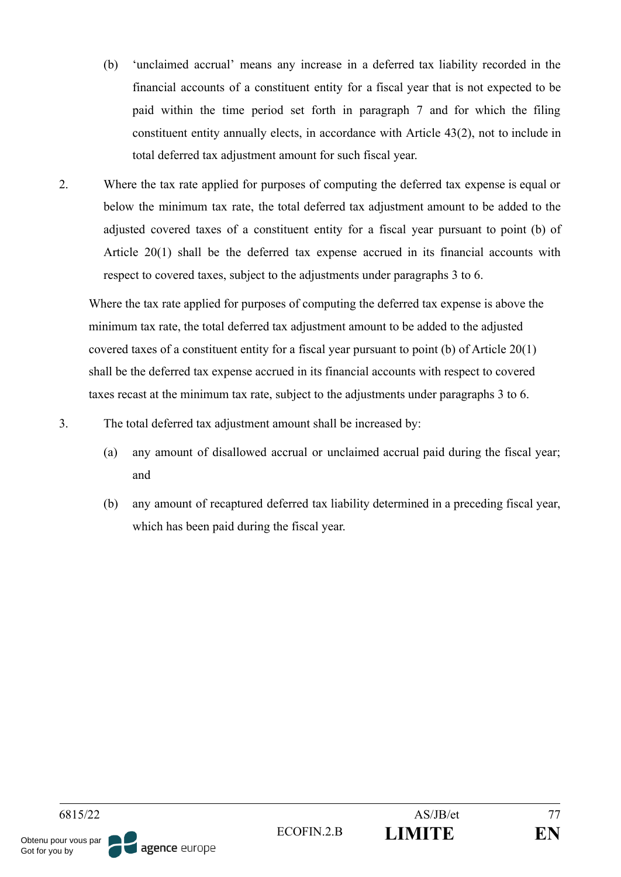- (b) 'unclaimed accrual' means any increase in a deferred tax liability recorded in the financial accounts of a constituent entity for a fiscal year that is not expected to be paid within the time period set forth in paragraph 7 and for which the filing constituent entity annually elects, in accordance with Article 43(2), not to include in total deferred tax adjustment amount for such fiscal year.
- 2. Where the tax rate applied for purposes of computing the deferred tax expense is equal or below the minimum tax rate, the total deferred tax adjustment amount to be added to the adjusted covered taxes of a constituent entity for a fiscal year pursuant to point (b) of Article 20(1) shall be the deferred tax expense accrued in its financial accounts with respect to covered taxes, subject to the adjustments under paragraphs 3 to 6.

Where the tax rate applied for purposes of computing the deferred tax expense is above the minimum tax rate, the total deferred tax adjustment amount to be added to the adjusted covered taxes of a constituent entity for a fiscal year pursuant to point (b) of Article 20(1) shall be the deferred tax expense accrued in its financial accounts with respect to covered taxes recast at the minimum tax rate, subject to the adjustments under paragraphs 3 to 6.

- 3. The total deferred tax adjustment amount shall be increased by:
	- (a) any amount of disallowed accrual or unclaimed accrual paid during the fiscal year; and
	- (b) any amount of recaptured deferred tax liability determined in a preceding fiscal year, which has been paid during the fiscal year.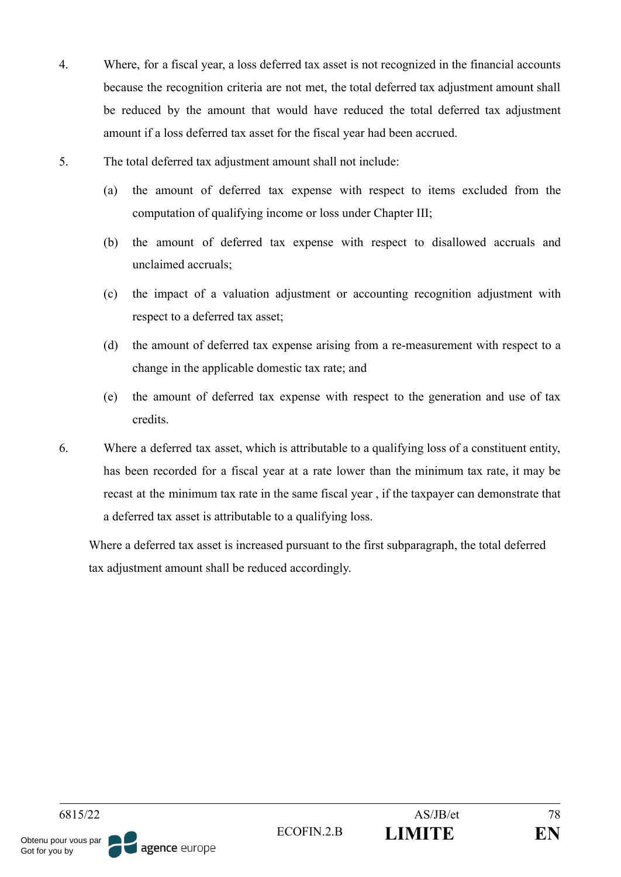- 4. Where, for a fiscal year, a loss deferred tax asset is not recognized in the financial accounts because the recognition criteria are not met, the total deferred tax adjustment amount shall be reduced by the amount that would have reduced the total deferred tax adjustment amount if a loss deferred tax asset for the fiscal year had been accrued.
- 5. The total deferred tax adjustment amount shall not include:
	- (a) the amount of deferred tax expense with respect to items excluded from the computation of qualifying income or loss under Chapter III;
	- (b) the amount of deferred tax expense with respect to disallowed accruals and unclaimed accruals;
	- (c) the impact of a valuation adjustment or accounting recognition adjustment with respect to a deferred tax asset;
	- (d) the amount of deferred tax expense arising from a re-measurement with respect to a change in the applicable domestic tax rate; and
	- (e) the amount of deferred tax expense with respect to the generation and use of tax credits.
- 6. Where a deferred tax asset, which is attributable to a qualifying loss of a constituent entity, has been recorded for a fiscal year at a rate lower than the minimum tax rate, it may be recast at the minimum tax rate in the same fiscal year , if the taxpayer can demonstrate that a deferred tax asset is attributable to a qualifying loss.

Where a deferred tax asset is increased pursuant to the first subparagraph, the total deferred tax adjustment amount shall be reduced accordingly.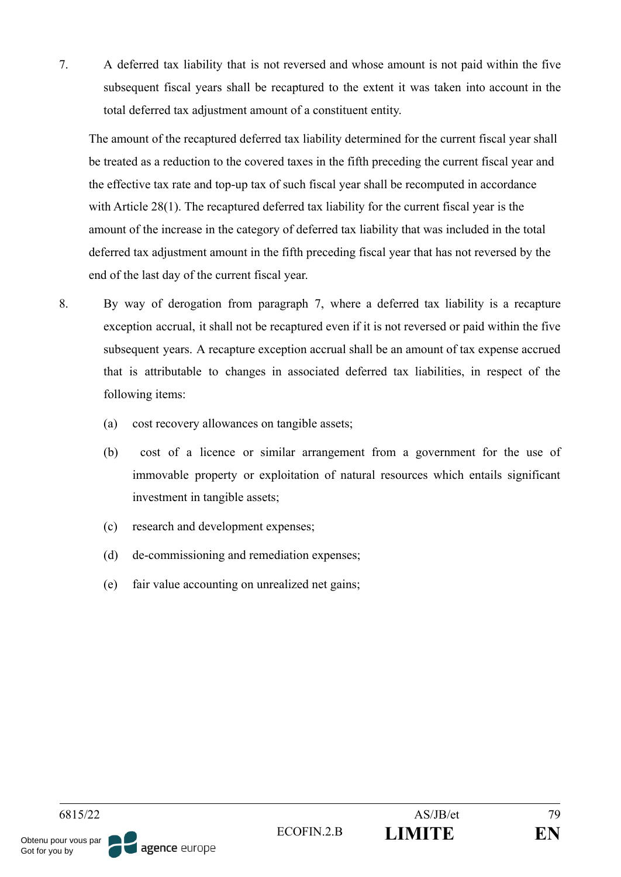7. A deferred tax liability that is not reversed and whose amount is not paid within the five subsequent fiscal years shall be recaptured to the extent it was taken into account in the total deferred tax adjustment amount of a constituent entity.

The amount of the recaptured deferred tax liability determined for the current fiscal year shall be treated as a reduction to the covered taxes in the fifth preceding the current fiscal year and the effective tax rate and top-up tax of such fiscal year shall be recomputed in accordance with Article 28(1). The recaptured deferred tax liability for the current fiscal year is the amount of the increase in the category of deferred tax liability that was included in the total deferred tax adjustment amount in the fifth preceding fiscal year that has not reversed by the end of the last day of the current fiscal year.

- 8. By way of derogation from paragraph 7, where a deferred tax liability is a recapture exception accrual, it shall not be recaptured even if it is not reversed or paid within the five subsequent years. A recapture exception accrual shall be an amount of tax expense accrued that is attributable to changes in associated deferred tax liabilities, in respect of the following items:
	- (a) cost recovery allowances on tangible assets;
	- (b) cost of a licence or similar arrangement from a government for the use of immovable property or exploitation of natural resources which entails significant investment in tangible assets;
	- (c) research and development expenses;
	- (d) de-commissioning and remediation expenses;
	- (e) fair value accounting on unrealized net gains;

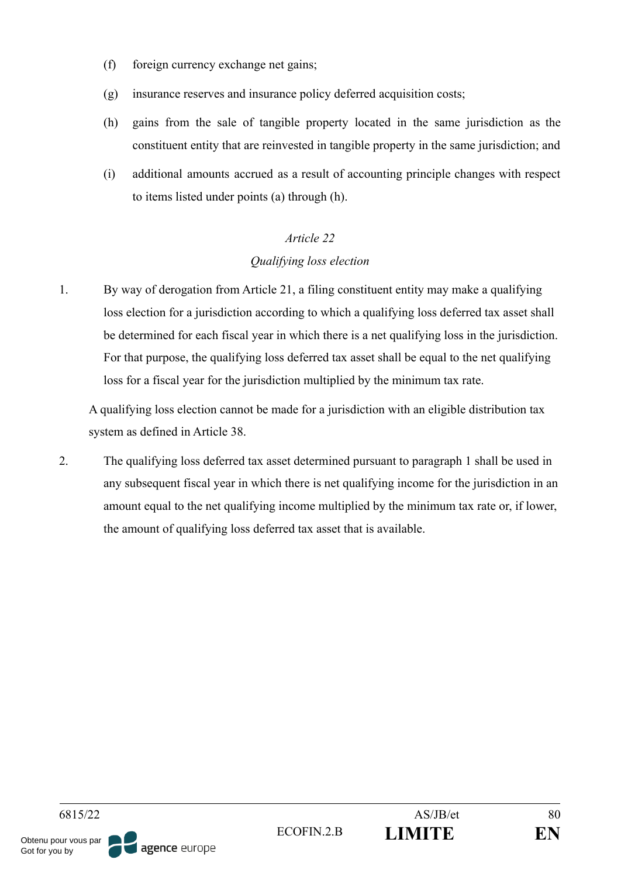- (f) foreign currency exchange net gains;
- (g) insurance reserves and insurance policy deferred acquisition costs;
- (h) gains from the sale of tangible property located in the same jurisdiction as the constituent entity that are reinvested in tangible property in the same jurisdiction; and
- (i) additional amounts accrued as a result of accounting principle changes with respect to items listed under points (a) through (h).

#### *Qualifying loss election*

1. By way of derogation from Article 21, a filing constituent entity may make a qualifying loss election for a jurisdiction according to which a qualifying loss deferred tax asset shall be determined for each fiscal year in which there is a net qualifying loss in the jurisdiction. For that purpose, the qualifying loss deferred tax asset shall be equal to the net qualifying loss for a fiscal year for the jurisdiction multiplied by the minimum tax rate.

A qualifying loss election cannot be made for a jurisdiction with an eligible distribution tax system as defined in Article 38.

2. The qualifying loss deferred tax asset determined pursuant to paragraph 1 shall be used in any subsequent fiscal year in which there is net qualifying income for the jurisdiction in an amount equal to the net qualifying income multiplied by the minimum tax rate or, if lower, the amount of qualifying loss deferred tax asset that is available.

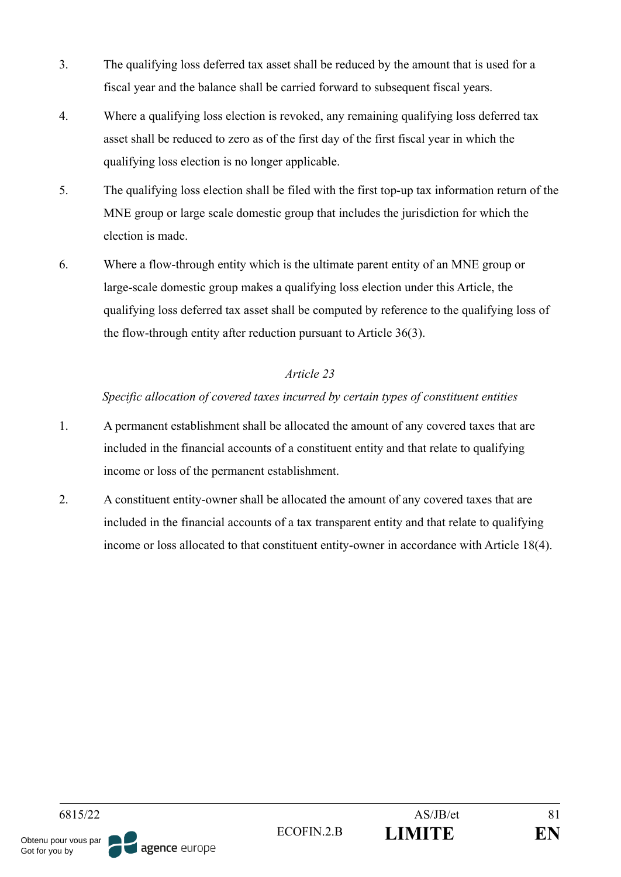- 3. The qualifying loss deferred tax asset shall be reduced by the amount that is used for a fiscal year and the balance shall be carried forward to subsequent fiscal years.
- 4. Where a qualifying loss election is revoked, any remaining qualifying loss deferred tax asset shall be reduced to zero as of the first day of the first fiscal year in which the qualifying loss election is no longer applicable.
- 5. The qualifying loss election shall be filed with the first top-up tax information return of the MNE group or large scale domestic group that includes the jurisdiction for which the election is made.
- 6. Where a flow-through entity which is the ultimate parent entity of an MNE group or large-scale domestic group makes a qualifying loss election under this Article, the qualifying loss deferred tax asset shall be computed by reference to the qualifying loss of the flow-through entity after reduction pursuant to Article 36(3).

### *Specific allocation of covered taxes incurred by certain types of constituent entities*

- 1. A permanent establishment shall be allocated the amount of any covered taxes that are included in the financial accounts of a constituent entity and that relate to qualifying income or loss of the permanent establishment.
- 2. A constituent entity-owner shall be allocated the amount of any covered taxes that are included in the financial accounts of a tax transparent entity and that relate to qualifying income or loss allocated to that constituent entity-owner in accordance with Article 18(4).

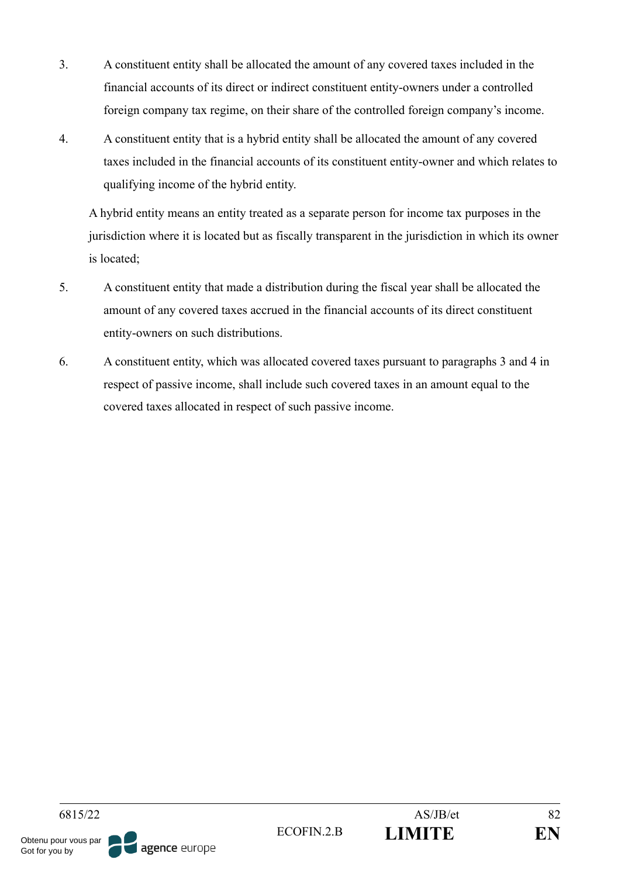- 3. A constituent entity shall be allocated the amount of any covered taxes included in the financial accounts of its direct or indirect constituent entity-owners under a controlled foreign company tax regime, on their share of the controlled foreign company's income.
- 4. A constituent entity that is a hybrid entity shall be allocated the amount of any covered taxes included in the financial accounts of its constituent entity-owner and which relates to qualifying income of the hybrid entity.

A hybrid entity means an entity treated as a separate person for income tax purposes in the jurisdiction where it is located but as fiscally transparent in the jurisdiction in which its owner is located;

- 5. A constituent entity that made a distribution during the fiscal year shall be allocated the amount of any covered taxes accrued in the financial accounts of its direct constituent entity-owners on such distributions.
- 6. A constituent entity, which was allocated covered taxes pursuant to paragraphs 3 and 4 in respect of passive income, shall include such covered taxes in an amount equal to the covered taxes allocated in respect of such passive income.

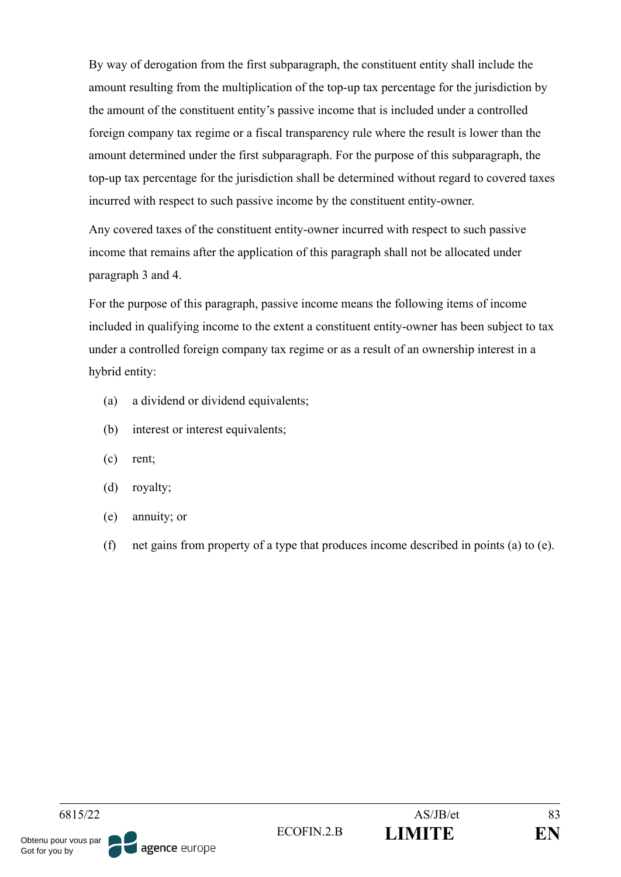By way of derogation from the first subparagraph, the constituent entity shall include the amount resulting from the multiplication of the top-up tax percentage for the jurisdiction by the amount of the constituent entity's passive income that is included under a controlled foreign company tax regime or a fiscal transparency rule where the result is lower than the amount determined under the first subparagraph. For the purpose of this subparagraph, the top-up tax percentage for the jurisdiction shall be determined without regard to covered taxes incurred with respect to such passive income by the constituent entity-owner.

Any covered taxes of the constituent entity-owner incurred with respect to such passive income that remains after the application of this paragraph shall not be allocated under paragraph 3 and 4.

For the purpose of this paragraph, passive income means the following items of income included in qualifying income to the extent a constituent entity-owner has been subject to tax under a controlled foreign company tax regime or as a result of an ownership interest in a hybrid entity:

- (a) a dividend or dividend equivalents;
- (b) interest or interest equivalents;
- (c) rent;
- (d) royalty;
- (e) annuity; or
- (f) net gains from property of a type that produces income described in points (a) to (e).

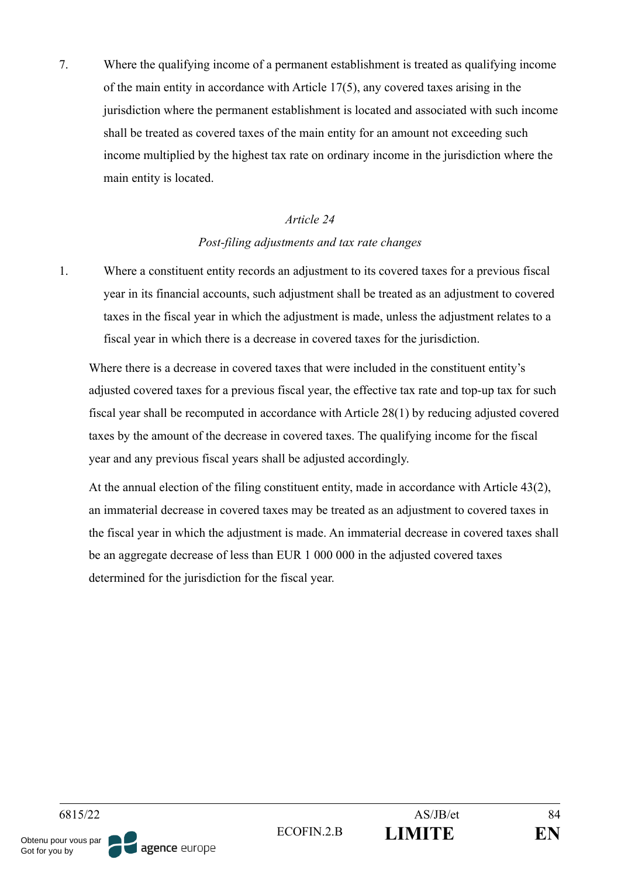7. Where the qualifying income of a permanent establishment is treated as qualifying income of the main entity in accordance with Article 17(5), any covered taxes arising in the jurisdiction where the permanent establishment is located and associated with such income shall be treated as covered taxes of the main entity for an amount not exceeding such income multiplied by the highest tax rate on ordinary income in the jurisdiction where the main entity is located.

#### *Article 24*

#### *Post-filing adjustments and tax rate changes*

1. Where a constituent entity records an adjustment to its covered taxes for a previous fiscal year in its financial accounts, such adjustment shall be treated as an adjustment to covered taxes in the fiscal year in which the adjustment is made, unless the adjustment relates to a fiscal year in which there is a decrease in covered taxes for the jurisdiction.

Where there is a decrease in covered taxes that were included in the constituent entity's adjusted covered taxes for a previous fiscal year, the effective tax rate and top-up tax for such fiscal year shall be recomputed in accordance with Article 28(1) by reducing adjusted covered taxes by the amount of the decrease in covered taxes. The qualifying income for the fiscal year and any previous fiscal years shall be adjusted accordingly.

At the annual election of the filing constituent entity, made in accordance with Article 43(2), an immaterial decrease in covered taxes may be treated as an adjustment to covered taxes in the fiscal year in which the adjustment is made. An immaterial decrease in covered taxes shall be an aggregate decrease of less than EUR 1 000 000 in the adjusted covered taxes determined for the jurisdiction for the fiscal year.

6815/22 AS/JB/et 84 ECOFIN.2.B **LIMITE EN** Obtenu pour vous par agence europe Got for you by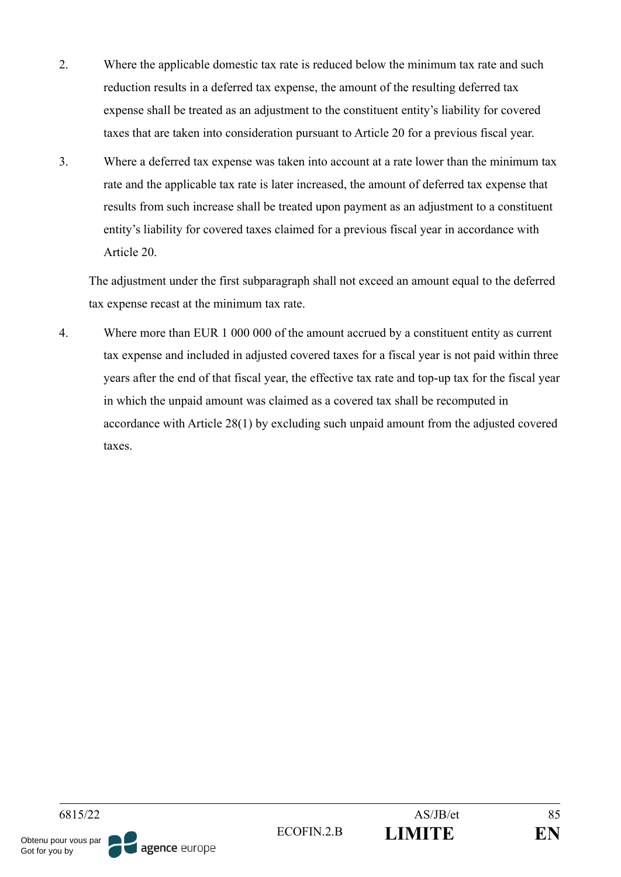- 2. Where the applicable domestic tax rate is reduced below the minimum tax rate and such reduction results in a deferred tax expense, the amount of the resulting deferred tax expense shall be treated as an adjustment to the constituent entity's liability for covered taxes that are taken into consideration pursuant to Article 20 for a previous fiscal year.
- 3. Where a deferred tax expense was taken into account at a rate lower than the minimum tax rate and the applicable tax rate is later increased, the amount of deferred tax expense that results from such increase shall be treated upon payment as an adjustment to a constituent entity's liability for covered taxes claimed for a previous fiscal year in accordance with Article 20.

The adjustment under the first subparagraph shall not exceed an amount equal to the deferred tax expense recast at the minimum tax rate.

4. Where more than EUR 1 000 000 of the amount accrued by a constituent entity as current tax expense and included in adjusted covered taxes for a fiscal year is not paid within three years after the end of that fiscal year, the effective tax rate and top-up tax for the fiscal year in which the unpaid amount was claimed as a covered tax shall be recomputed in accordance with Article 28(1) by excluding such unpaid amount from the adjusted covered taxes.

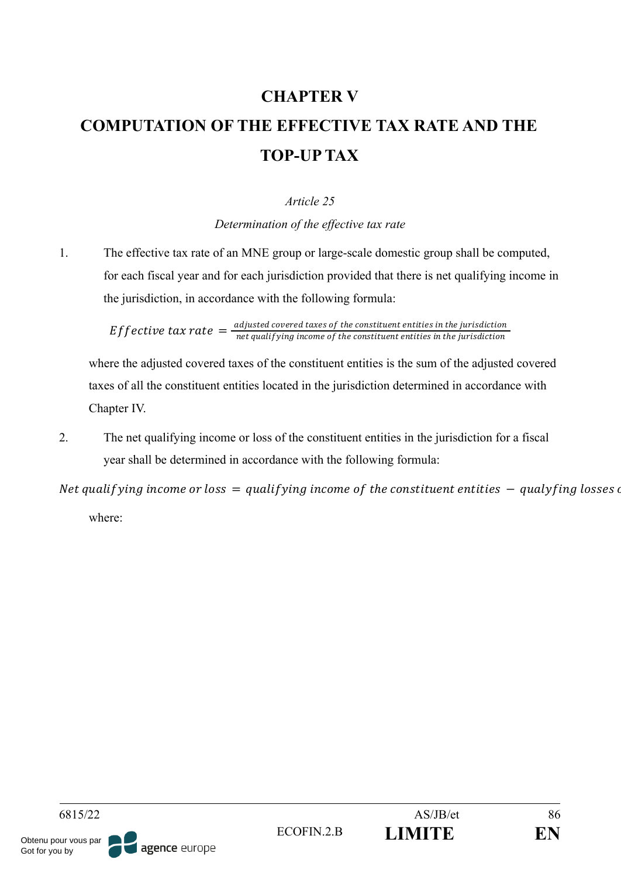# **CHAPTER V COMPUTATION OF THE EFFECTIVE TAX RATE AND THE TOP-UP TAX**

# *Article 25*

*Determination of the effective tax rate*

1. The effective tax rate of an MNE group or large-scale domestic group shall be computed, for each fiscal year and for each jurisdiction provided that there is net qualifying income in the jurisdiction, in accordance with the following formula:

> Effective tax rate  $=\frac{adjusted}{\text{not} qualifying in the case of the constituent entities in the jurisdiction}$ net qualif ying income of the constituent entities in the jurisdiction

where the adjusted covered taxes of the constituent entities is the sum of the adjusted covered taxes of all the constituent entities located in the jurisdiction determined in accordance with Chapter IV.

2. The net qualifying income or loss of the constituent entities in the jurisdiction for a fiscal year shall be determined in accordance with the following formula:

Net qualifying income or loss  $=$  qualifying income of the constituent entities  $-$  qualyfing losses of where:

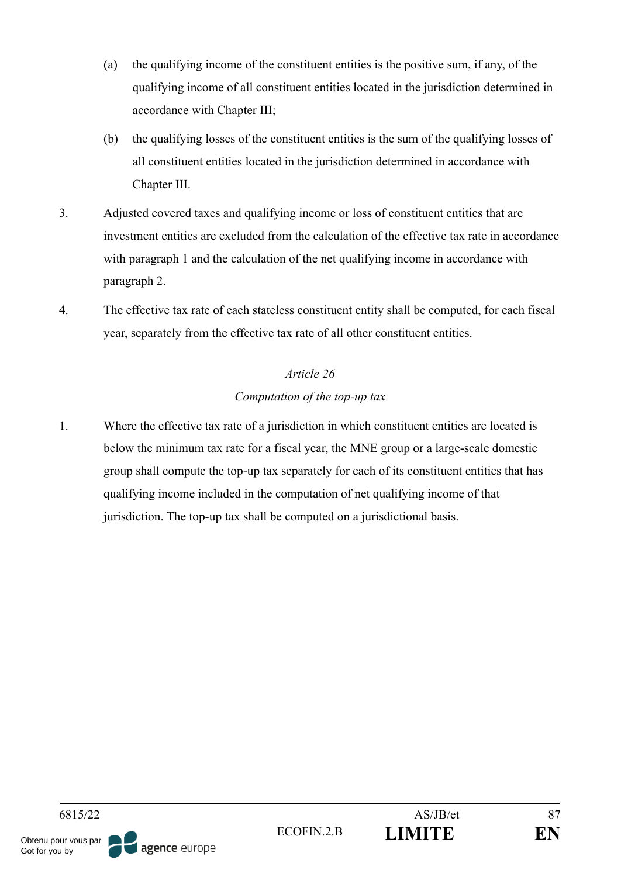- (a) the qualifying income of the constituent entities is the positive sum, if any, of the qualifying income of all constituent entities located in the jurisdiction determined in accordance with Chapter III;
- (b) the qualifying losses of the constituent entities is the sum of the qualifying losses of all constituent entities located in the jurisdiction determined in accordance with Chapter III.
- 3. Adjusted covered taxes and qualifying income or loss of constituent entities that are investment entities are excluded from the calculation of the effective tax rate in accordance with paragraph 1 and the calculation of the net qualifying income in accordance with paragraph 2.
- 4. The effective tax rate of each stateless constituent entity shall be computed, for each fiscal year, separately from the effective tax rate of all other constituent entities.

# *Article 26 Computation of the top-up tax*

1. Where the effective tax rate of a jurisdiction in which constituent entities are located is below the minimum tax rate for a fiscal year, the MNE group or a large-scale domestic group shall compute the top-up tax separately for each of its constituent entities that has qualifying income included in the computation of net qualifying income of that jurisdiction. The top-up tax shall be computed on a jurisdictional basis.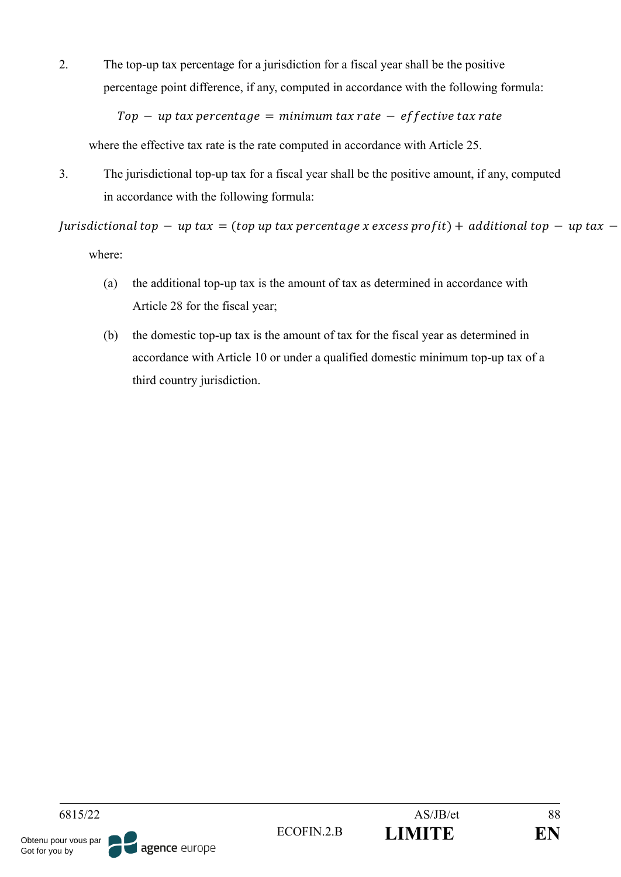2. The top-up tax percentage for a jurisdiction for a fiscal year shall be the positive percentage point difference, if any, computed in accordance with the following formula:

 $Top - up tax$  percentage = minimum tax rate - effective tax rate

where the effective tax rate is the rate computed in accordance with Article 25.

3. The jurisdictional top-up tax for a fiscal year shall be the positive amount, if any, computed in accordance with the following formula:

| urisdictional top  $-$  up tax = (top up tax percentage x excess profit) + additional top  $-$  up tax  $$ where:

- (a) the additional top-up tax is the amount of tax as determined in accordance with Article 28 for the fiscal year;
- (b) the domestic top-up tax is the amount of tax for the fiscal year as determined in accordance with Article 10 or under a qualified domestic minimum top-up tax of a third country jurisdiction.

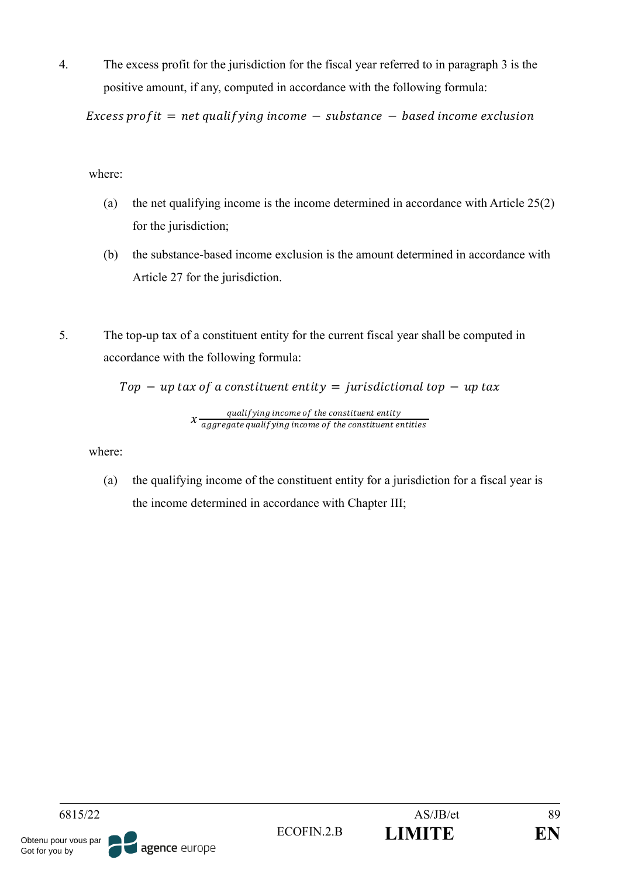4. The excess profit for the jurisdiction for the fiscal year referred to in paragraph 3 is the positive amount, if any, computed in accordance with the following formula:

Excess profit = net qualifying income  $-$  substance  $-$  based income exclusion

where:

- (a) the net qualifying income is the income determined in accordance with Article 25(2) for the jurisdiction;
- (b) the substance-based income exclusion is the amount determined in accordance with Article 27 for the jurisdiction.
- 5. The top-up tax of a constituent entity for the current fiscal year shall be computed in accordance with the following formula:

 $Top - up tax of a constituent entity = jurisdictional top - up tax$ 

$$
x \frac{qualitying\ income\ of\ the\ constituent\ entity}{aggregate\ quality\ income\ of\ the\ constituent\ entities}
$$

where:

(a) the qualifying income of the constituent entity for a jurisdiction for a fiscal year is the income determined in accordance with Chapter III;

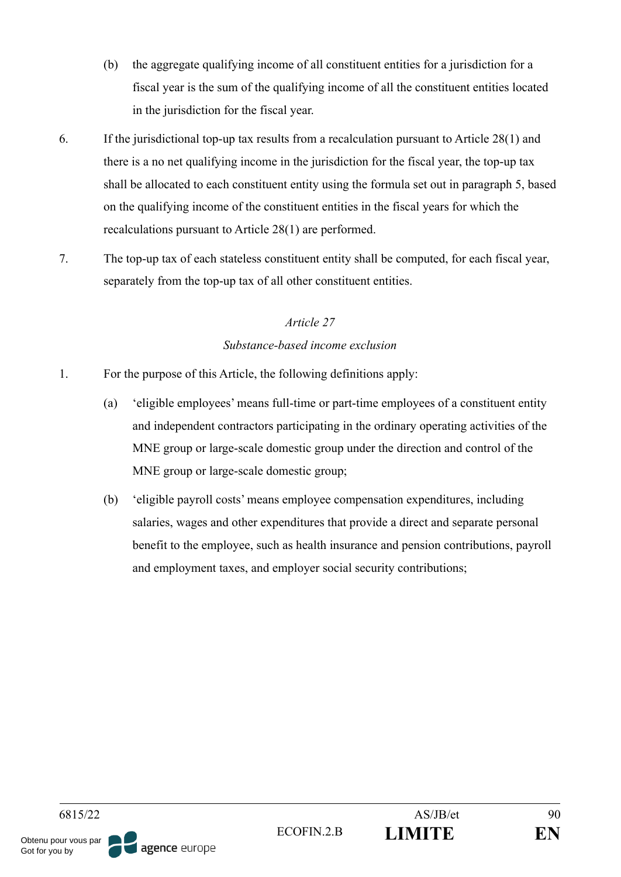- (b) the aggregate qualifying income of all constituent entities for a jurisdiction for a fiscal year is the sum of the qualifying income of all the constituent entities located in the jurisdiction for the fiscal year.
- 6. If the jurisdictional top-up tax results from a recalculation pursuant to Article 28(1) and there is a no net qualifying income in the jurisdiction for the fiscal year, the top-up tax shall be allocated to each constituent entity using the formula set out in paragraph 5, based on the qualifying income of the constituent entities in the fiscal years for which the recalculations pursuant to Article 28(1) are performed.
- 7. The top-up tax of each stateless constituent entity shall be computed, for each fiscal year, separately from the top-up tax of all other constituent entities.

# *Article 27 Substance-based income exclusion*

- 1. For the purpose of this Article, the following definitions apply:
	- (a) 'eligible employees' means full-time or part-time employees of a constituent entity and independent contractors participating in the ordinary operating activities of the MNE group or large-scale domestic group under the direction and control of the MNE group or large-scale domestic group;
	- (b) 'eligible payroll costs' means employee compensation expenditures, including salaries, wages and other expenditures that provide a direct and separate personal benefit to the employee, such as health insurance and pension contributions, payroll and employment taxes, and employer social security contributions;

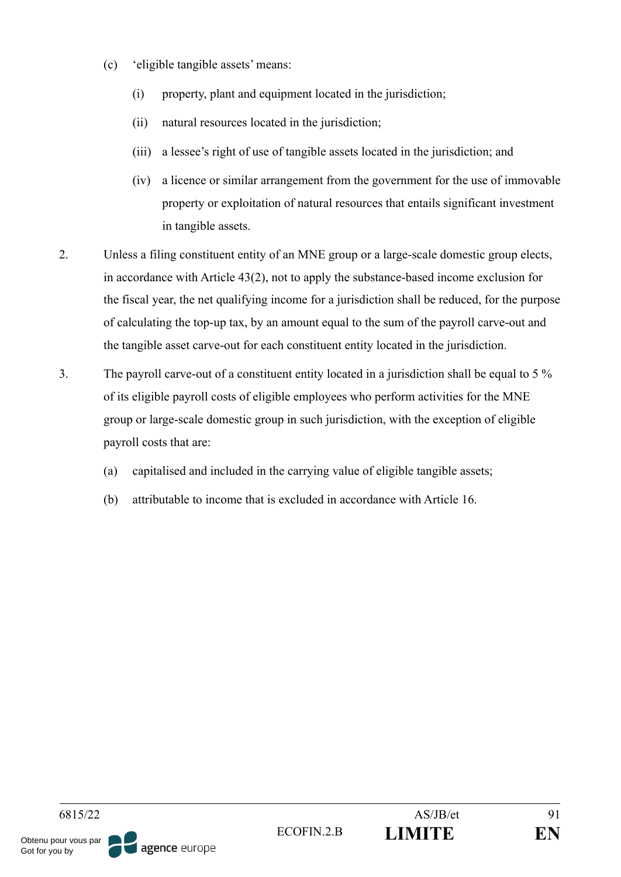- (c) 'eligible tangible assets' means:
	- (i) property, plant and equipment located in the jurisdiction;
	- (ii) natural resources located in the jurisdiction;
	- (iii) a lessee's right of use of tangible assets located in the jurisdiction; and
	- (iv) a licence or similar arrangement from the government for the use of immovable property or exploitation of natural resources that entails significant investment in tangible assets.
- 2. Unless a filing constituent entity of an MNE group or a large-scale domestic group elects, in accordance with Article 43(2), not to apply the substance-based income exclusion for the fiscal year, the net qualifying income for a jurisdiction shall be reduced, for the purpose of calculating the top-up tax, by an amount equal to the sum of the payroll carve-out and the tangible asset carve-out for each constituent entity located in the jurisdiction.
- 3. The payroll carve-out of a constituent entity located in a jurisdiction shall be equal to 5 % of its eligible payroll costs of eligible employees who perform activities for the MNE group or large-scale domestic group in such jurisdiction, with the exception of eligible payroll costs that are:
	- (a) capitalised and included in the carrying value of eligible tangible assets;
	- (b) attributable to income that is excluded in accordance with Article 16.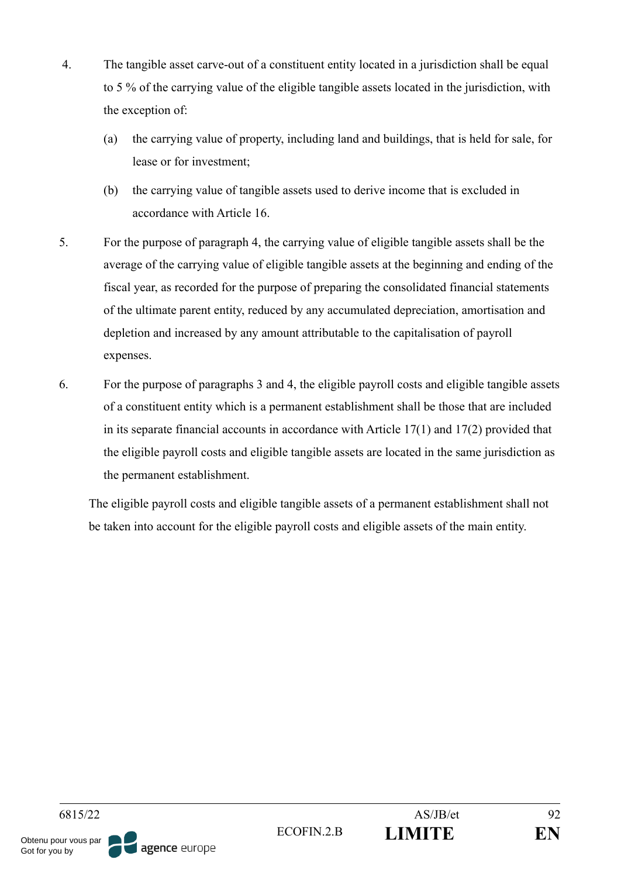- 4. The tangible asset carve-out of a constituent entity located in a jurisdiction shall be equal to 5 % of the carrying value of the eligible tangible assets located in the jurisdiction, with the exception of:
	- (a) the carrying value of property, including land and buildings, that is held for sale, for lease or for investment;
	- (b) the carrying value of tangible assets used to derive income that is excluded in accordance with Article 16.
- 5. For the purpose of paragraph 4, the carrying value of eligible tangible assets shall be the average of the carrying value of eligible tangible assets at the beginning and ending of the fiscal year, as recorded for the purpose of preparing the consolidated financial statements of the ultimate parent entity, reduced by any accumulated depreciation, amortisation and depletion and increased by any amount attributable to the capitalisation of payroll expenses.
- 6. For the purpose of paragraphs 3 and 4, the eligible payroll costs and eligible tangible assets of a constituent entity which is a permanent establishment shall be those that are included in its separate financial accounts in accordance with Article 17(1) and 17(2) provided that the eligible payroll costs and eligible tangible assets are located in the same jurisdiction as the permanent establishment.

The eligible payroll costs and eligible tangible assets of a permanent establishment shall not be taken into account for the eligible payroll costs and eligible assets of the main entity.

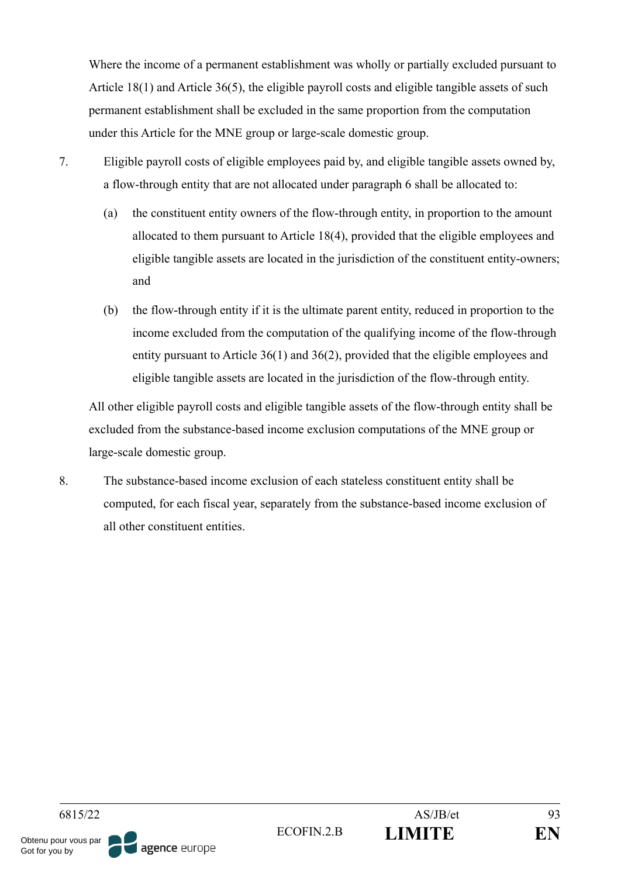Where the income of a permanent establishment was wholly or partially excluded pursuant to Article 18(1) and Article 36(5), the eligible payroll costs and eligible tangible assets of such permanent establishment shall be excluded in the same proportion from the computation under this Article for the MNE group or large-scale domestic group.

- 
- 7. Eligible payroll costs of eligible employees paid by, and eligible tangible assets owned by, a flow-through entity that are not allocated under paragraph 6 shall be allocated to:
	- (a) the constituent entity owners of the flow-through entity, in proportion to the amount allocated to them pursuant to Article 18(4), provided that the eligible employees and eligible tangible assets are located in the jurisdiction of the constituent entity-owners; and
	- (b) the flow-through entity if it is the ultimate parent entity, reduced in proportion to the income excluded from the computation of the qualifying income of the flow-through entity pursuant to Article 36(1) and 36(2), provided that the eligible employees and eligible tangible assets are located in the jurisdiction of the flow-through entity.

All other eligible payroll costs and eligible tangible assets of the flow-through entity shall be excluded from the substance-based income exclusion computations of the MNE group or large-scale domestic group.

8. The substance-based income exclusion of each stateless constituent entity shall be computed, for each fiscal year, separately from the substance-based income exclusion of all other constituent entities.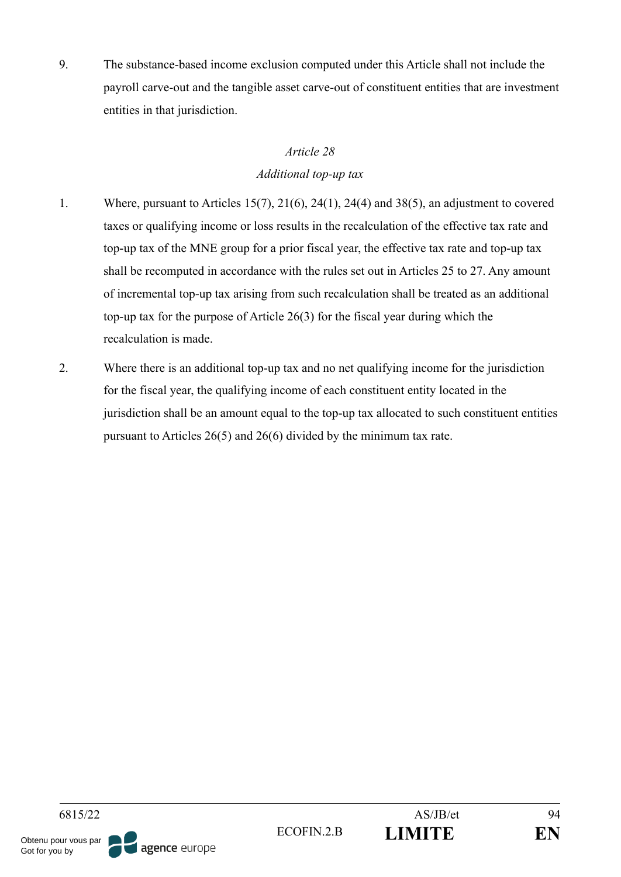9. The substance-based income exclusion computed under this Article shall not include the payroll carve-out and the tangible asset carve-out of constituent entities that are investment entities in that jurisdiction.

### *Article 28*

# *Additional top-up tax*

- 1. Where, pursuant to Articles 15(7), 21(6), 24(1), 24(4) and 38(5), an adjustment to covered taxes or qualifying income or loss results in the recalculation of the effective tax rate and top-up tax of the MNE group for a prior fiscal year, the effective tax rate and top-up tax shall be recomputed in accordance with the rules set out in Articles 25 to 27. Any amount of incremental top-up tax arising from such recalculation shall be treated as an additional top-up tax for the purpose of Article 26(3) for the fiscal year during which the recalculation is made.
- 2. Where there is an additional top-up tax and no net qualifying income for the jurisdiction for the fiscal year, the qualifying income of each constituent entity located in the jurisdiction shall be an amount equal to the top-up tax allocated to such constituent entities pursuant to Articles 26(5) and 26(6) divided by the minimum tax rate.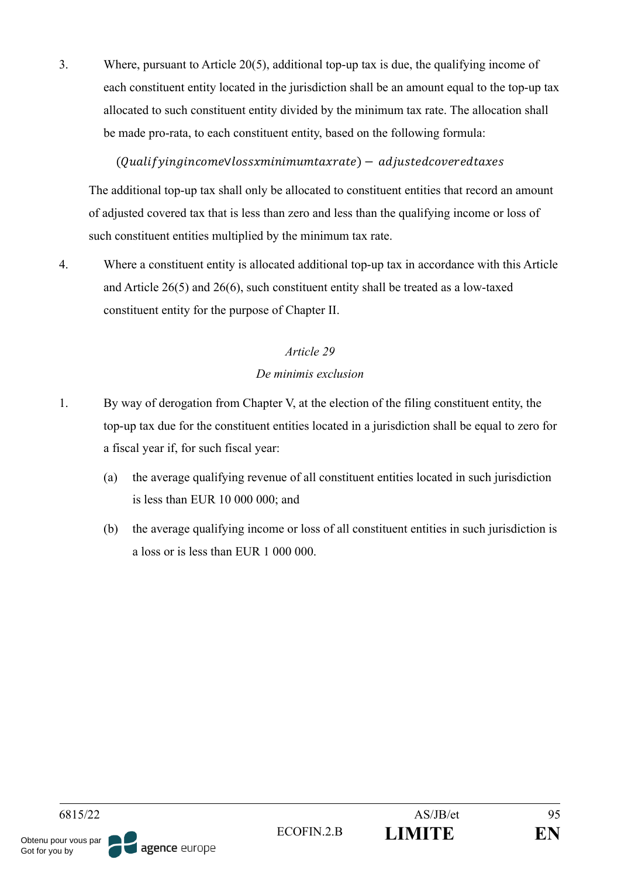3. Where, pursuant to Article 20(5), additional top-up tax is due, the qualifying income of each constituent entity located in the jurisdiction shall be an amount equal to the top-up tax allocated to such constituent entity divided by the minimum tax rate. The allocation shall be made pro-rata, to each constituent entity, based on the following formula:

# (QualifyingincomeVlossxminimumtaxrate) – adjustedcoveredtaxes

The additional top-up tax shall only be allocated to constituent entities that record an amount of adjusted covered tax that is less than zero and less than the qualifying income or loss of such constituent entities multiplied by the minimum tax rate.

4. Where a constituent entity is allocated additional top-up tax in accordance with this Article and Article 26(5) and 26(6), such constituent entity shall be treated as a low-taxed constituent entity for the purpose of Chapter II.

# *Article 29*

### *De minimis exclusion*

- 1. By way of derogation from Chapter V, at the election of the filing constituent entity, the top-up tax due for the constituent entities located in a jurisdiction shall be equal to zero for a fiscal year if, for such fiscal year:
	- (a) the average qualifying revenue of all constituent entities located in such jurisdiction is less than EUR 10 000 000; and
	- (b) the average qualifying income or loss of all constituent entities in such jurisdiction is a loss or is less than EUR 1 000 000.

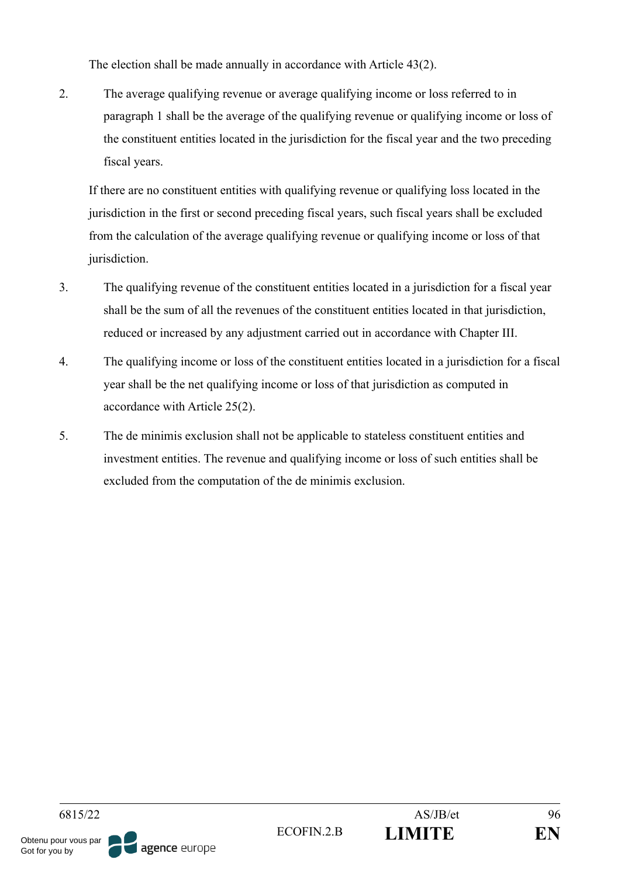The election shall be made annually in accordance with Article 43(2).

2. The average qualifying revenue or average qualifying income or loss referred to in paragraph 1 shall be the average of the qualifying revenue or qualifying income or loss of the constituent entities located in the jurisdiction for the fiscal year and the two preceding fiscal years.

If there are no constituent entities with qualifying revenue or qualifying loss located in the jurisdiction in the first or second preceding fiscal years, such fiscal years shall be excluded from the calculation of the average qualifying revenue or qualifying income or loss of that jurisdiction.

- 3. The qualifying revenue of the constituent entities located in a jurisdiction for a fiscal year shall be the sum of all the revenues of the constituent entities located in that jurisdiction, reduced or increased by any adjustment carried out in accordance with Chapter III.
- 4. The qualifying income or loss of the constituent entities located in a jurisdiction for a fiscal year shall be the net qualifying income or loss of that jurisdiction as computed in accordance with Article 25(2).
- 5. The de minimis exclusion shall not be applicable to stateless constituent entities and investment entities. The revenue and qualifying income or loss of such entities shall be excluded from the computation of the de minimis exclusion.

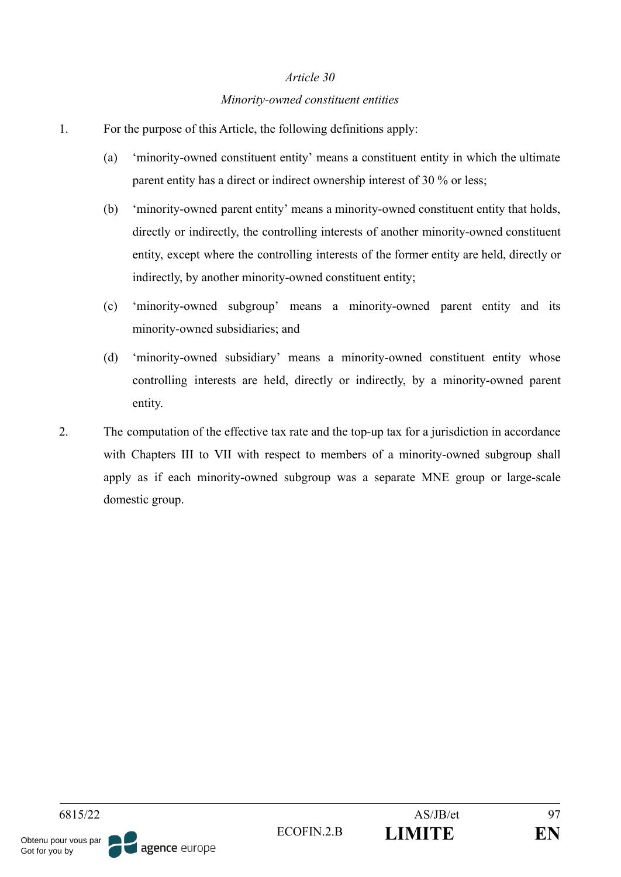#### *Minority-owned constituent entities*

- 1. For the purpose of this Article, the following definitions apply:
	- (a) 'minority-owned constituent entity' means a constituent entity in which the ultimate parent entity has a direct or indirect ownership interest of 30 % or less;
	- (b) 'minority-owned parent entity' means a minority-owned constituent entity that holds, directly or indirectly, the controlling interests of another minority-owned constituent entity, except where the controlling interests of the former entity are held, directly or indirectly, by another minority-owned constituent entity;
	- (c) 'minority-owned subgroup' means a minority-owned parent entity and its minority-owned subsidiaries; and
	- (d) 'minority-owned subsidiary' means a minority-owned constituent entity whose controlling interests are held, directly or indirectly, by a minority-owned parent entity.
- 2. The computation of the effective tax rate and the top-up tax for a jurisdiction in accordance with Chapters III to VII with respect to members of a minority-owned subgroup shall apply as if each minority-owned subgroup was a separate MNE group or large-scale domestic group.

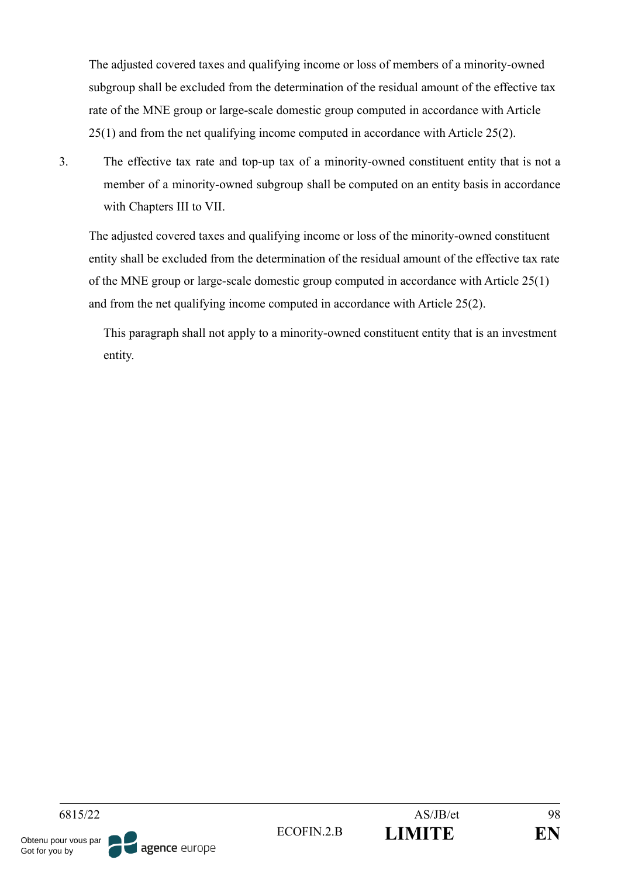The adjusted covered taxes and qualifying income or loss of members of a minority-owned subgroup shall be excluded from the determination of the residual amount of the effective tax rate of the MNE group or large-scale domestic group computed in accordance with Article 25(1) and from the net qualifying income computed in accordance with Article 25(2).

3. The effective tax rate and top-up tax of a minority-owned constituent entity that is not a member of a minority-owned subgroup shall be computed on an entity basis in accordance with Chapters III to VII.

The adjusted covered taxes and qualifying income or loss of the minority-owned constituent entity shall be excluded from the determination of the residual amount of the effective tax rate of the MNE group or large-scale domestic group computed in accordance with Article 25(1) and from the net qualifying income computed in accordance with Article 25(2).

This paragraph shall not apply to a minority-owned constituent entity that is an investment entity.

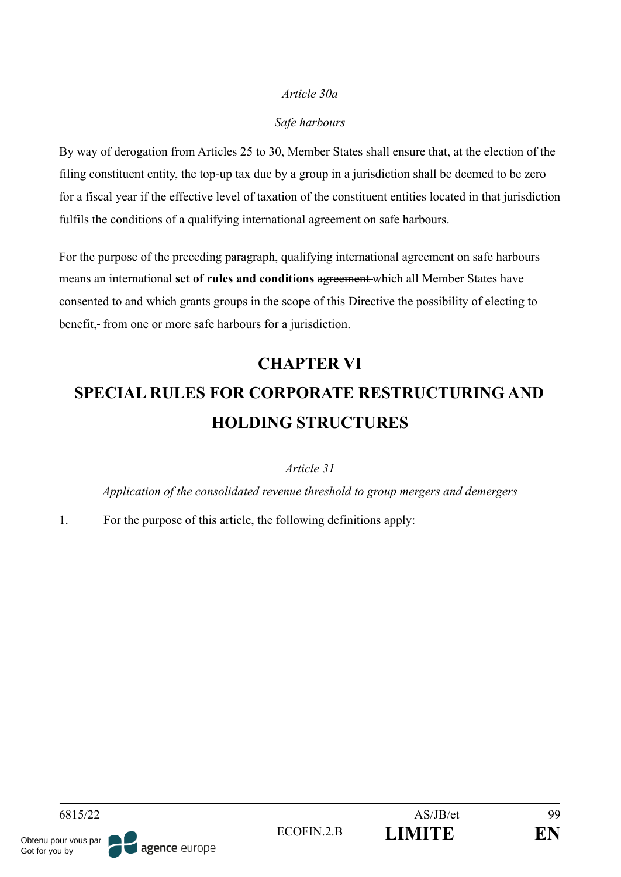### *Article 30a*

### *Safe harbours*

By way of derogation from Articles 25 to 30, Member States shall ensure that, at the election of the filing constituent entity, the top-up tax due by a group in a jurisdiction shall be deemed to be zero for a fiscal year if the effective level of taxation of the constituent entities located in that jurisdiction fulfils the conditions of a qualifying international agreement on safe harbours.

For the purpose of the preceding paragraph, qualifying international agreement on safe harbours means an international **set of rules and conditions** agreement which all Member States have consented to and which grants groups in the scope of this Directive the possibility of electing to benefit, from one or more safe harbours for a jurisdiction.

# **CHAPTER VI SPECIAL RULES FOR CORPORATE RESTRUCTURING AND HOLDING STRUCTURES**

#### *Article 31*

*Application of the consolidated revenue threshold to group mergers and demergers*

1. For the purpose of this article, the following definitions apply: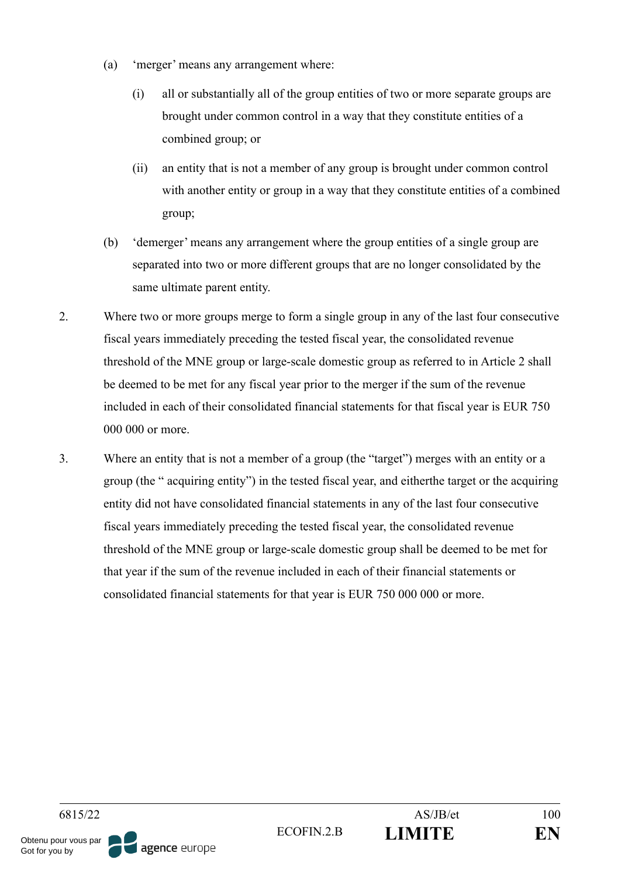- (a) 'merger' means any arrangement where:
	- (i) all or substantially all of the group entities of two or more separate groups are brought under common control in a way that they constitute entities of a combined group; or
	- (ii) an entity that is not a member of any group is brought under common control with another entity or group in a way that they constitute entities of a combined group;
- (b) 'demerger' means any arrangement where the group entities of a single group are separated into two or more different groups that are no longer consolidated by the same ultimate parent entity.
- 2. Where two or more groups merge to form a single group in any of the last four consecutive fiscal years immediately preceding the tested fiscal year, the consolidated revenue threshold of the MNE group or large-scale domestic group as referred to in Article 2 shall be deemed to be met for any fiscal year prior to the merger if the sum of the revenue included in each of their consolidated financial statements for that fiscal year is EUR 750 000 000 or more.
- 3. Where an entity that is not a member of a group (the "target") merges with an entity or a group (the " acquiring entity") in the tested fiscal year, and eitherthe target or the acquiring entity did not have consolidated financial statements in any of the last four consecutive fiscal years immediately preceding the tested fiscal year, the consolidated revenue threshold of the MNE group or large-scale domestic group shall be deemed to be met for that year if the sum of the revenue included in each of their financial statements or consolidated financial statements for that year is EUR 750 000 000 or more.

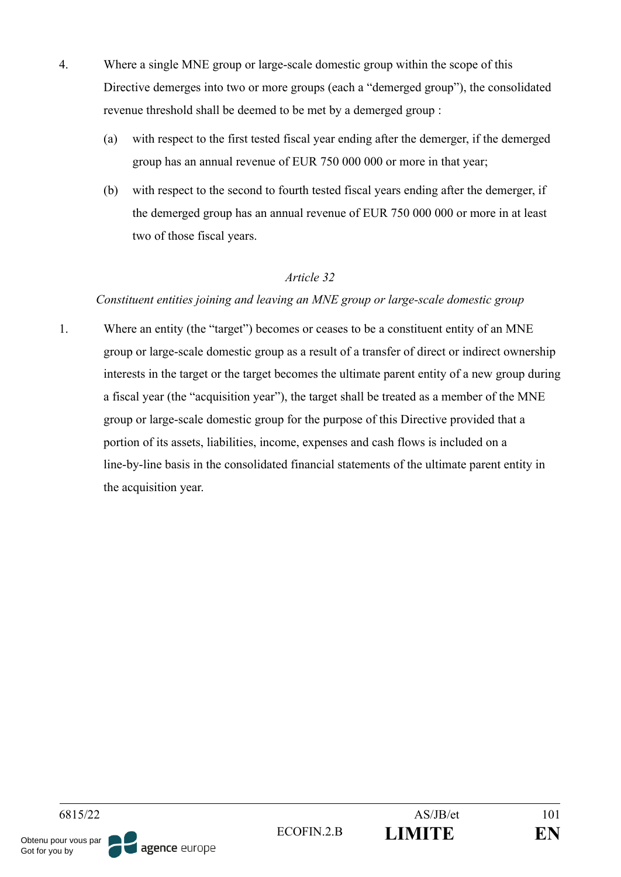- 4. Where a single MNE group or large-scale domestic group within the scope of this Directive demerges into two or more groups (each a "demerged group"), the consolidated revenue threshold shall be deemed to be met by a demerged group :
	- (a) with respect to the first tested fiscal year ending after the demerger, if the demerged group has an annual revenue of EUR 750 000 000 or more in that year;
	- (b) with respect to the second to fourth tested fiscal years ending after the demerger, if the demerged group has an annual revenue of EUR 750 000 000 or more in at least two of those fiscal years.

#### *Constituent entities joining and leaving an MNE group or large-scale domestic group*

1. Where an entity (the "target") becomes or ceases to be a constituent entity of an MNE group or large-scale domestic group as a result of a transfer of direct or indirect ownership interests in the target or the target becomes the ultimate parent entity of a new group during a fiscal year (the "acquisition year"), the target shall be treated as a member of the MNE group or large-scale domestic group for the purpose of this Directive provided that a portion of its assets, liabilities, income, expenses and cash flows is included on a line-by-line basis in the consolidated financial statements of the ultimate parent entity in the acquisition year.

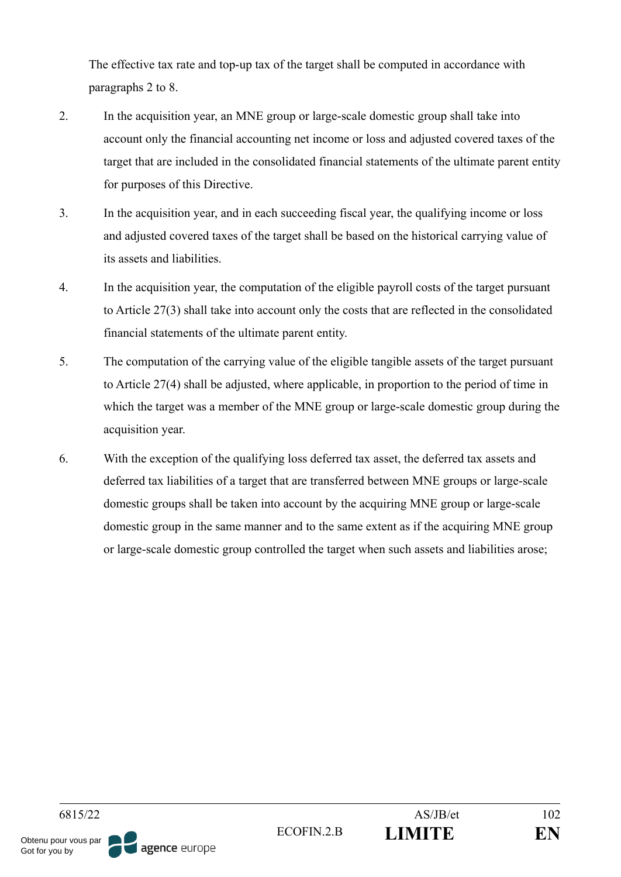The effective tax rate and top-up tax of the target shall be computed in accordance with paragraphs 2 to 8.

- 2. In the acquisition year, an MNE group or large-scale domestic group shall take into account only the financial accounting net income or loss and adjusted covered taxes of the target that are included in the consolidated financial statements of the ultimate parent entity for purposes of this Directive.
- 3. In the acquisition year, and in each succeeding fiscal year, the qualifying income or loss and adjusted covered taxes of the target shall be based on the historical carrying value of its assets and liabilities.
- 4. In the acquisition year, the computation of the eligible payroll costs of the target pursuant to Article 27(3) shall take into account only the costs that are reflected in the consolidated financial statements of the ultimate parent entity.
- 5. The computation of the carrying value of the eligible tangible assets of the target pursuant to Article 27(4) shall be adjusted, where applicable, in proportion to the period of time in which the target was a member of the MNE group or large-scale domestic group during the acquisition year.
- 6. With the exception of the qualifying loss deferred tax asset, the deferred tax assets and deferred tax liabilities of a target that are transferred between MNE groups or large-scale domestic groups shall be taken into account by the acquiring MNE group or large-scale domestic group in the same manner and to the same extent as if the acquiring MNE group or large-scale domestic group controlled the target when such assets and liabilities arose;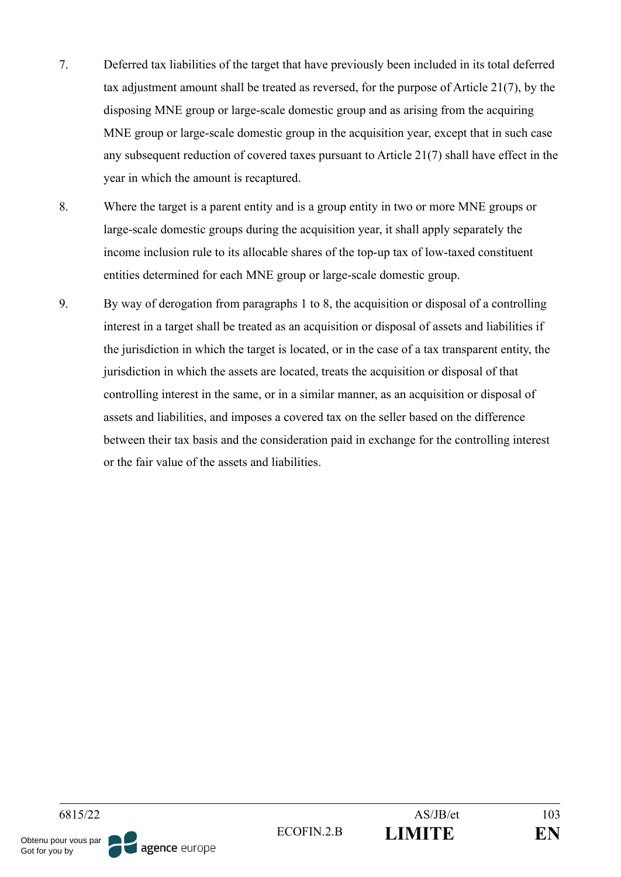- 7. Deferred tax liabilities of the target that have previously been included in its total deferred tax adjustment amount shall be treated as reversed, for the purpose of Article 21(7), by the disposing MNE group or large-scale domestic group and as arising from the acquiring MNE group or large-scale domestic group in the acquisition year, except that in such case any subsequent reduction of covered taxes pursuant to Article 21(7) shall have effect in the year in which the amount is recaptured.
- 8. Where the target is a parent entity and is a group entity in two or more MNE groups or large-scale domestic groups during the acquisition year, it shall apply separately the income inclusion rule to its allocable shares of the top-up tax of low-taxed constituent entities determined for each MNE group or large-scale domestic group.
- 9. By way of derogation from paragraphs 1 to 8, the acquisition or disposal of a controlling interest in a target shall be treated as an acquisition or disposal of assets and liabilities if the jurisdiction in which the target is located, or in the case of a tax transparent entity, the jurisdiction in which the assets are located, treats the acquisition or disposal of that controlling interest in the same, or in a similar manner, as an acquisition or disposal of assets and liabilities, and imposes a covered tax on the seller based on the difference between their tax basis and the consideration paid in exchange for the controlling interest or the fair value of the assets and liabilities.

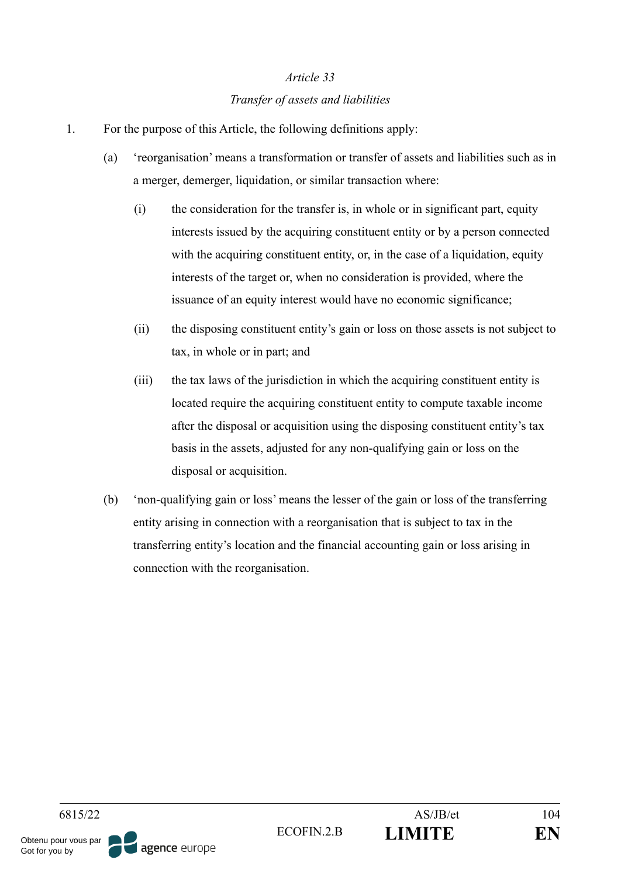#### *Transfer of assets and liabilities*

- 1. For the purpose of this Article, the following definitions apply:
	- (a) 'reorganisation' means a transformation or transfer of assets and liabilities such as in a merger, demerger, liquidation, or similar transaction where:
		- (i) the consideration for the transfer is, in whole or in significant part, equity interests issued by the acquiring constituent entity or by a person connected with the acquiring constituent entity, or, in the case of a liquidation, equity interests of the target or, when no consideration is provided, where the issuance of an equity interest would have no economic significance;
		- (ii) the disposing constituent entity's gain or loss on those assets is not subject to tax, in whole or in part; and
		- (iii) the tax laws of the jurisdiction in which the acquiring constituent entity is located require the acquiring constituent entity to compute taxable income after the disposal or acquisition using the disposing constituent entity's tax basis in the assets, adjusted for any non-qualifying gain or loss on the disposal or acquisition.
	- (b) 'non-qualifying gain or loss' means the lesser of the gain or loss of the transferring entity arising in connection with a reorganisation that is subject to tax in the transferring entity's location and the financial accounting gain or loss arising in connection with the reorganisation.

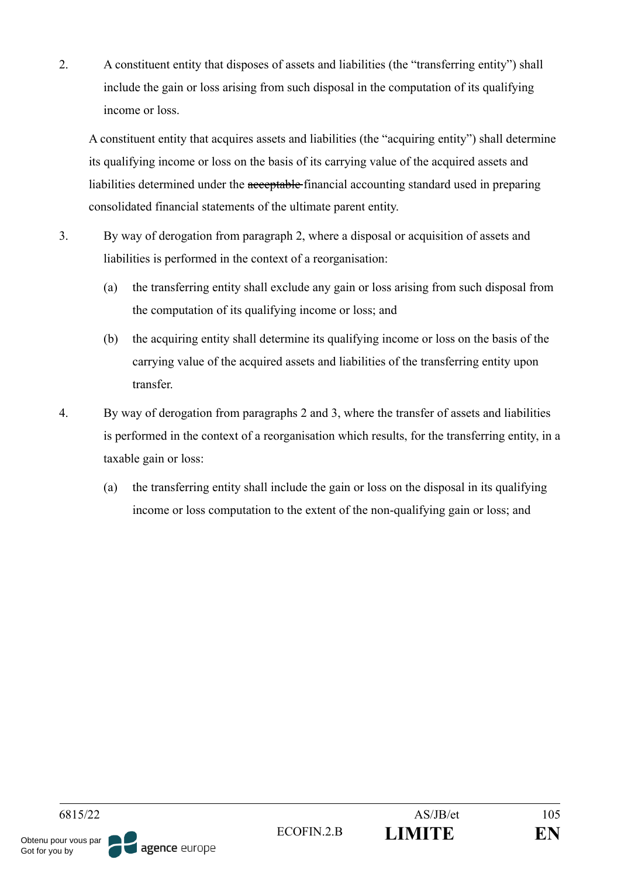2. A constituent entity that disposes of assets and liabilities (the "transferring entity") shall include the gain or loss arising from such disposal in the computation of its qualifying income or loss.

A constituent entity that acquires assets and liabilities (the "acquiring entity") shall determine its qualifying income or loss on the basis of its carrying value of the acquired assets and liabilities determined under the acceptable financial accounting standard used in preparing consolidated financial statements of the ultimate parent entity.

- 3. By way of derogation from paragraph 2, where a disposal or acquisition of assets and liabilities is performed in the context of a reorganisation:
	- (a) the transferring entity shall exclude any gain or loss arising from such disposal from the computation of its qualifying income or loss; and
	- (b) the acquiring entity shall determine its qualifying income or loss on the basis of the carrying value of the acquired assets and liabilities of the transferring entity upon transfer.
- 4. By way of derogation from paragraphs 2 and 3, where the transfer of assets and liabilities is performed in the context of a reorganisation which results, for the transferring entity, in a taxable gain or loss:
	- (a) the transferring entity shall include the gain or loss on the disposal in its qualifying income or loss computation to the extent of the non-qualifying gain or loss; and

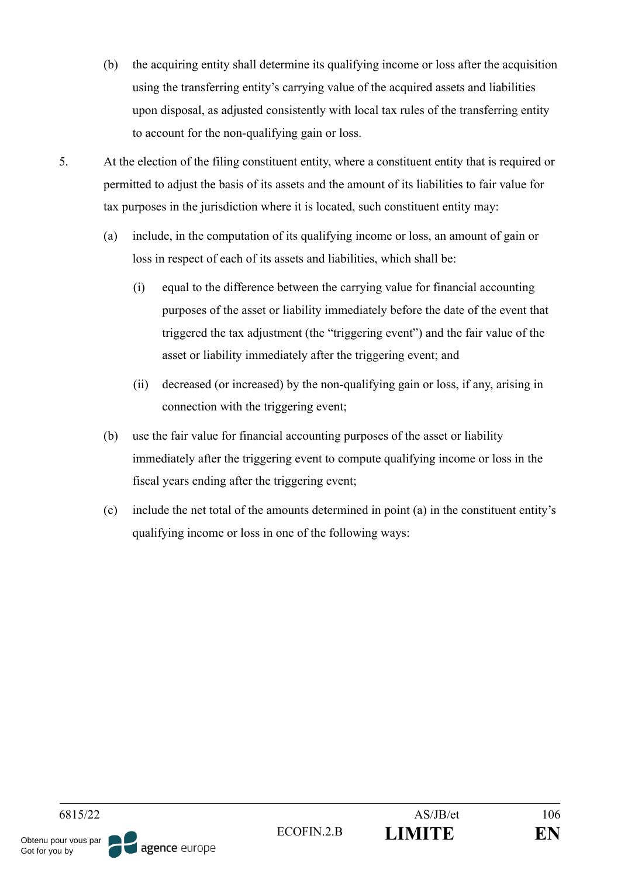- (b) the acquiring entity shall determine its qualifying income or loss after the acquisition using the transferring entity's carrying value of the acquired assets and liabilities upon disposal, as adjusted consistently with local tax rules of the transferring entity to account for the non-qualifying gain or loss.
- 5. At the election of the filing constituent entity, where a constituent entity that is required or permitted to adjust the basis of its assets and the amount of its liabilities to fair value for tax purposes in the jurisdiction where it is located, such constituent entity may:
	- (a) include, in the computation of its qualifying income or loss, an amount of gain or loss in respect of each of its assets and liabilities, which shall be:
		- (i) equal to the difference between the carrying value for financial accounting purposes of the asset or liability immediately before the date of the event that triggered the tax adjustment (the "triggering event") and the fair value of the asset or liability immediately after the triggering event; and
		- (ii) decreased (or increased) by the non-qualifying gain or loss, if any, arising in connection with the triggering event;
	- (b) use the fair value for financial accounting purposes of the asset or liability immediately after the triggering event to compute qualifying income or loss in the fiscal years ending after the triggering event;
	- (c) include the net total of the amounts determined in point (a) in the constituent entity's qualifying income or loss in one of the following ways:

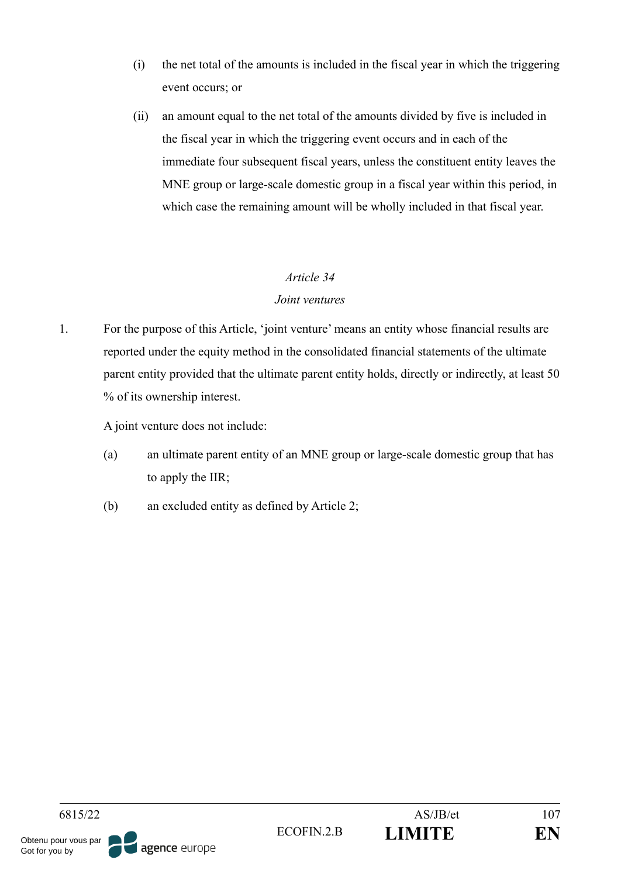- (i) the net total of the amounts is included in the fiscal year in which the triggering event occurs; or
- (ii) an amount equal to the net total of the amounts divided by five is included in the fiscal year in which the triggering event occurs and in each of the immediate four subsequent fiscal years, unless the constituent entity leaves the MNE group or large-scale domestic group in a fiscal year within this period, in which case the remaining amount will be wholly included in that fiscal year.

### *Joint ventures*

1. For the purpose of this Article, 'joint venture' means an entity whose financial results are reported under the equity method in the consolidated financial statements of the ultimate parent entity provided that the ultimate parent entity holds, directly or indirectly, at least 50 % of its ownership interest.

A joint venture does not include:

- (a) an ultimate parent entity of an MNE group or large-scale domestic group that has to apply the IIR;
- (b) an excluded entity as defined by Article 2;

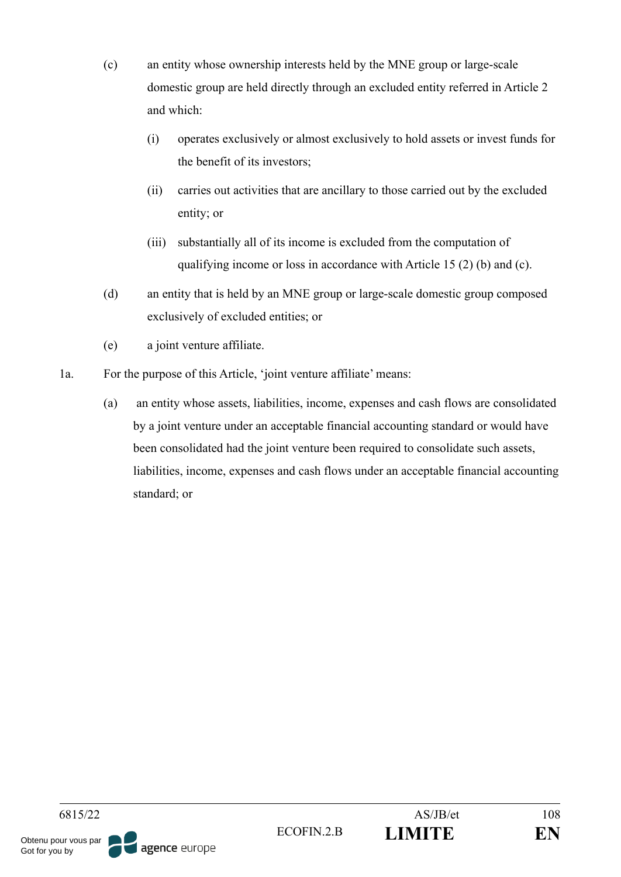- (c) an entity whose ownership interests held by the MNE group or large-scale domestic group are held directly through an excluded entity referred in Article 2 and which:
	- (i) operates exclusively or almost exclusively to hold assets or invest funds for the benefit of its investors;
	- (ii) carries out activities that are ancillary to those carried out by the excluded entity; or
	- (iii) substantially all of its income is excluded from the computation of qualifying income or loss in accordance with Article 15 (2) (b) and (c).
- (d) an entity that is held by an MNE group or large-scale domestic group composed exclusively of excluded entities; or
- (e) a joint venture affiliate.
- 1a. For the purpose of this Article, 'joint venture affiliate' means:
	- (a) an entity whose assets, liabilities, income, expenses and cash flows are consolidated by a joint venture under an acceptable financial accounting standard or would have been consolidated had the joint venture been required to consolidate such assets, liabilities, income, expenses and cash flows under an acceptable financial accounting standard; or

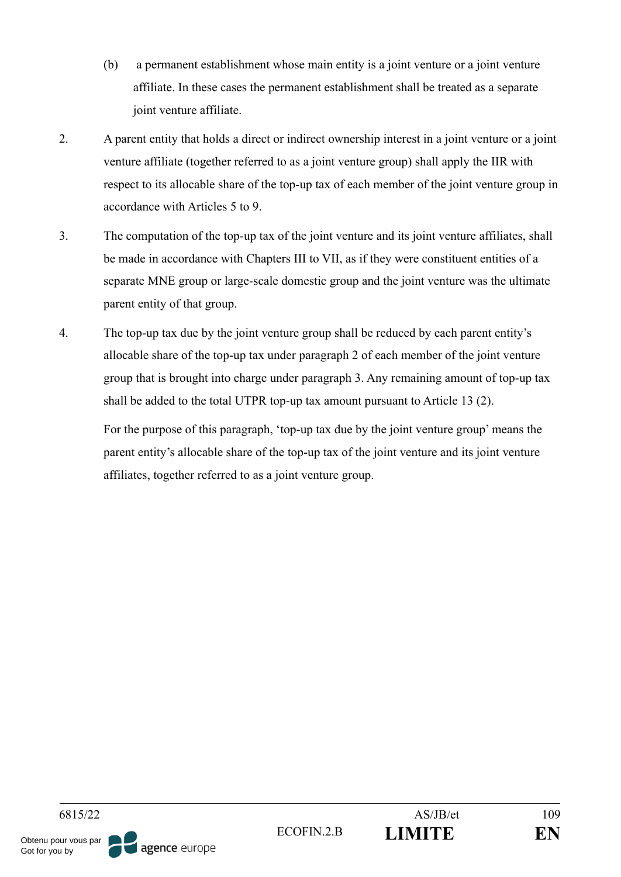- (b) a permanent establishment whose main entity is a joint venture or a joint venture affiliate. In these cases the permanent establishment shall be treated as a separate joint venture affiliate.
- 2. A parent entity that holds a direct or indirect ownership interest in a joint venture or a joint venture affiliate (together referred to as a joint venture group) shall apply the IIR with respect to its allocable share of the top-up tax of each member of the joint venture group in accordance with Articles 5 to 9.
- 3. The computation of the top-up tax of the joint venture and its joint venture affiliates, shall be made in accordance with Chapters III to VII, as if they were constituent entities of a separate MNE group or large-scale domestic group and the joint venture was the ultimate parent entity of that group.
- 4. The top-up tax due by the joint venture group shall be reduced by each parent entity's allocable share of the top-up tax under paragraph 2 of each member of the joint venture group that is brought into charge under paragraph 3. Any remaining amount of top-up tax shall be added to the total UTPR top-up tax amount pursuant to Article 13 (2).

For the purpose of this paragraph, 'top-up tax due by the joint venture group' means the parent entity's allocable share of the top-up tax of the joint venture and its joint venture affiliates, together referred to as a joint venture group.

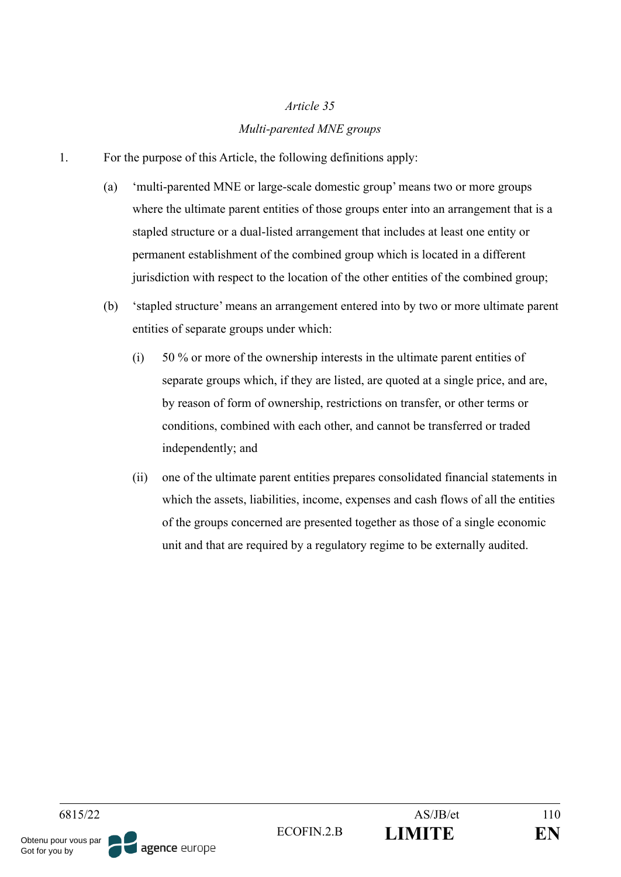## *Article 35 Multi-parented MNE groups*

- 1. For the purpose of this Article, the following definitions apply:
	- (a) 'multi-parented MNE or large-scale domestic group' means two or more groups where the ultimate parent entities of those groups enter into an arrangement that is a stapled structure or a dual-listed arrangement that includes at least one entity or permanent establishment of the combined group which is located in a different jurisdiction with respect to the location of the other entities of the combined group;
	- (b) 'stapled structure' means an arrangement entered into by two or more ultimate parent entities of separate groups under which:
		- (i) 50 % or more of the ownership interests in the ultimate parent entities of separate groups which, if they are listed, are quoted at a single price, and are, by reason of form of ownership, restrictions on transfer, or other terms or conditions, combined with each other, and cannot be transferred or traded independently; and
		- (ii) one of the ultimate parent entities prepares consolidated financial statements in which the assets, liabilities, income, expenses and cash flows of all the entities of the groups concerned are presented together as those of a single economic unit and that are required by a regulatory regime to be externally audited.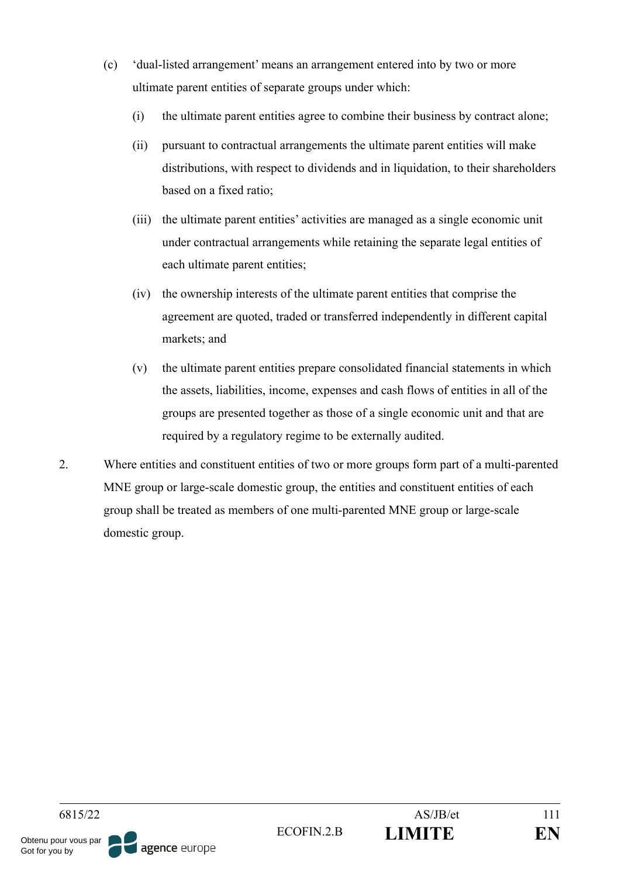- (c) 'dual-listed arrangement' means an arrangement entered into by two or more ultimate parent entities of separate groups under which:
	- (i) the ultimate parent entities agree to combine their business by contract alone;
	- (ii) pursuant to contractual arrangements the ultimate parent entities will make distributions, with respect to dividends and in liquidation, to their shareholders based on a fixed ratio;
	- (iii) the ultimate parent entities' activities are managed as a single economic unit under contractual arrangements while retaining the separate legal entities of each ultimate parent entities;
	- (iv) the ownership interests of the ultimate parent entities that comprise the agreement are quoted, traded or transferred independently in different capital markets; and
	- (v) the ultimate parent entities prepare consolidated financial statements in which the assets, liabilities, income, expenses and cash flows of entities in all of the groups are presented together as those of a single economic unit and that are required by a regulatory regime to be externally audited.
- 2. Where entities and constituent entities of two or more groups form part of a multi-parented MNE group or large-scale domestic group, the entities and constituent entities of each group shall be treated as members of one multi-parented MNE group or large-scale domestic group.

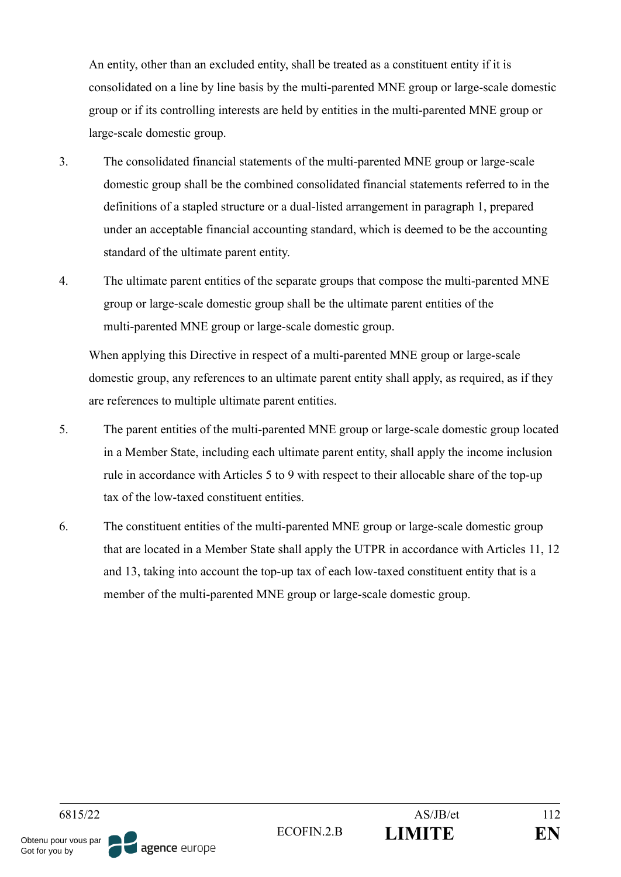An entity, other than an excluded entity, shall be treated as a constituent entity if it is consolidated on a line by line basis by the multi-parented MNE group or large-scale domestic group or if its controlling interests are held by entities in the multi-parented MNE group or large-scale domestic group.

- 3. The consolidated financial statements of the multi-parented MNE group or large-scale domestic group shall be the combined consolidated financial statements referred to in the definitions of a stapled structure or a dual-listed arrangement in paragraph 1, prepared under an acceptable financial accounting standard, which is deemed to be the accounting standard of the ultimate parent entity.
- 4. The ultimate parent entities of the separate groups that compose the multi-parented MNE group or large-scale domestic group shall be the ultimate parent entities of the multi-parented MNE group or large-scale domestic group.

When applying this Directive in respect of a multi-parented MNE group or large-scale domestic group, any references to an ultimate parent entity shall apply, as required, as if they are references to multiple ultimate parent entities.

- 5. The parent entities of the multi-parented MNE group or large-scale domestic group located in a Member State, including each ultimate parent entity, shall apply the income inclusion rule in accordance with Articles 5 to 9 with respect to their allocable share of the top-up tax of the low-taxed constituent entities.
- 6. The constituent entities of the multi-parented MNE group or large-scale domestic group that are located in a Member State shall apply the UTPR in accordance with Articles 11, 12 and 13, taking into account the top-up tax of each low-taxed constituent entity that is a member of the multi-parented MNE group or large-scale domestic group.

6815/22 AS/JB/et 112 ECOFIN.2.B **LIMITE EN** Obtenu pour vous par agence europe Got for you by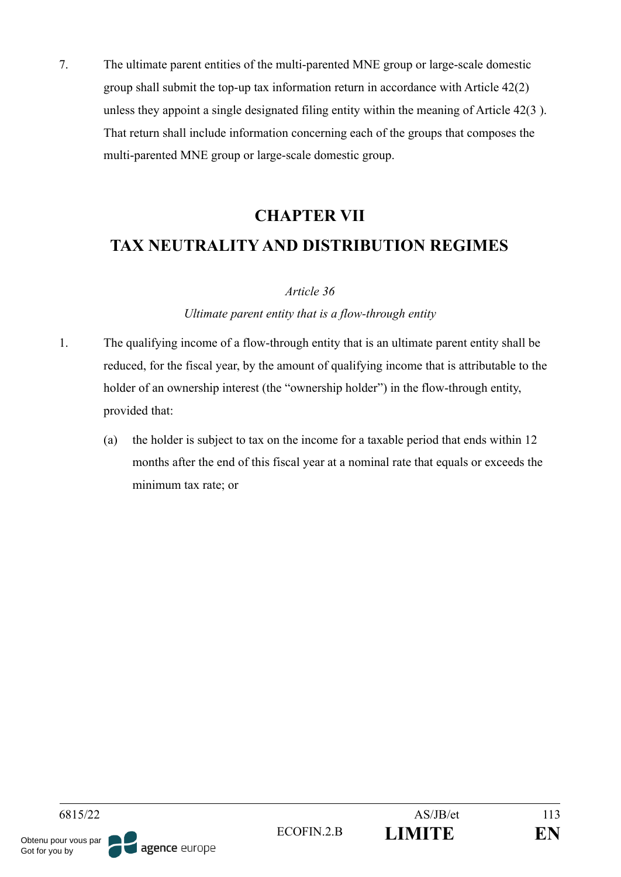7. The ultimate parent entities of the multi-parented MNE group or large-scale domestic group shall submit the top-up tax information return in accordance with Article 42(2) unless they appoint a single designated filing entity within the meaning of Article 42(3 ). That return shall include information concerning each of the groups that composes the multi-parented MNE group or large-scale domestic group.

# **CHAPTER VII TAX NEUTRALITY AND DISTRIBUTION REGIMES**

### *Article 36*

### *Ultimate parent entity that is a flow-through entity*

- 1. The qualifying income of a flow-through entity that is an ultimate parent entity shall be reduced, for the fiscal year, by the amount of qualifying income that is attributable to the holder of an ownership interest (the "ownership holder") in the flow-through entity, provided that:
	- (a) the holder is subject to tax on the income for a taxable period that ends within 12 months after the end of this fiscal year at a nominal rate that equals or exceeds the minimum tax rate; or

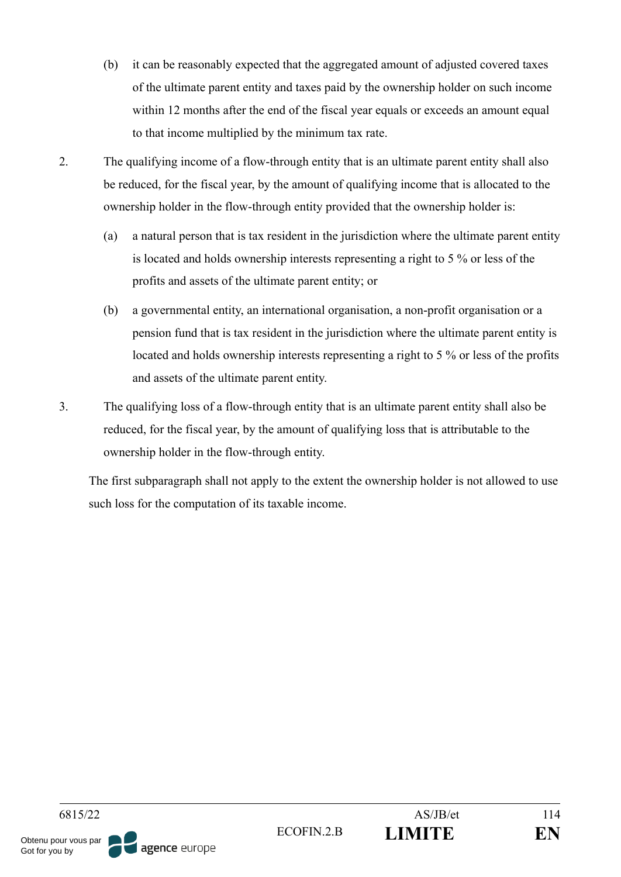- (b) it can be reasonably expected that the aggregated amount of adjusted covered taxes of the ultimate parent entity and taxes paid by the ownership holder on such income within 12 months after the end of the fiscal year equals or exceeds an amount equal to that income multiplied by the minimum tax rate.
- 2. The qualifying income of a flow-through entity that is an ultimate parent entity shall also be reduced, for the fiscal year, by the amount of qualifying income that is allocated to the ownership holder in the flow-through entity provided that the ownership holder is:
	- (a) a natural person that is tax resident in the jurisdiction where the ultimate parent entity is located and holds ownership interests representing a right to 5 % or less of the profits and assets of the ultimate parent entity; or
	- (b) a governmental entity, an international organisation, a non-profit organisation or a pension fund that is tax resident in the jurisdiction where the ultimate parent entity is located and holds ownership interests representing a right to 5 % or less of the profits and assets of the ultimate parent entity.
- 3. The qualifying loss of a flow-through entity that is an ultimate parent entity shall also be reduced, for the fiscal year, by the amount of qualifying loss that is attributable to the ownership holder in the flow-through entity.

The first subparagraph shall not apply to the extent the ownership holder is not allowed to use such loss for the computation of its taxable income.

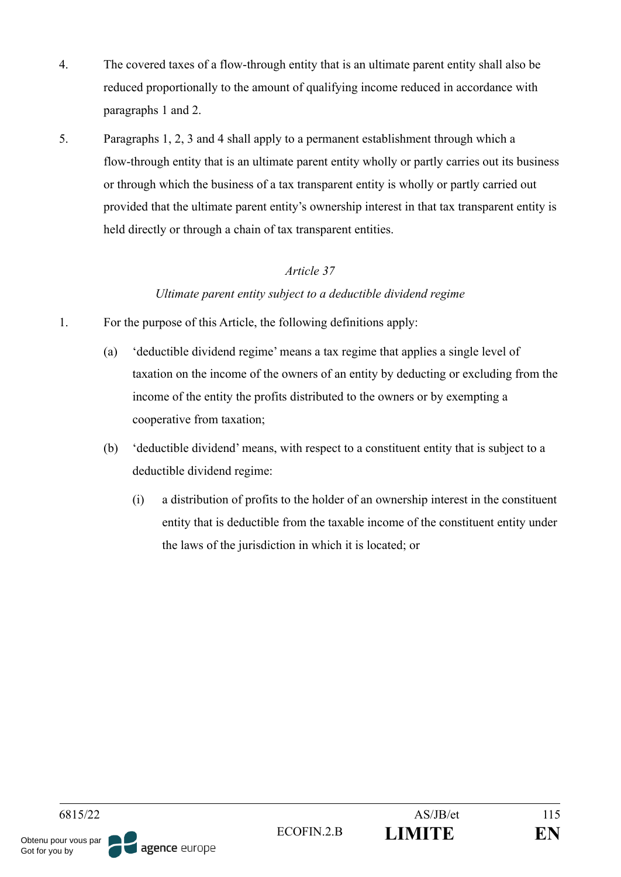- 4. The covered taxes of a flow-through entity that is an ultimate parent entity shall also be reduced proportionally to the amount of qualifying income reduced in accordance with paragraphs 1 and 2.
- 5. Paragraphs 1, 2, 3 and 4 shall apply to a permanent establishment through which a flow-through entity that is an ultimate parent entity wholly or partly carries out its business or through which the business of a tax transparent entity is wholly or partly carried out provided that the ultimate parent entity's ownership interest in that tax transparent entity is held directly or through a chain of tax transparent entities.

## *Ultimate parent entity subject to a deductible dividend regime*

- 1. For the purpose of this Article, the following definitions apply:
	- (a) 'deductible dividend regime' means a tax regime that applies a single level of taxation on the income of the owners of an entity by deducting or excluding from the income of the entity the profits distributed to the owners or by exempting a cooperative from taxation;
	- (b) 'deductible dividend' means, with respect to a constituent entity that is subject to a deductible dividend regime:
		- (i) a distribution of profits to the holder of an ownership interest in the constituent entity that is deductible from the taxable income of the constituent entity under the laws of the jurisdiction in which it is located; or

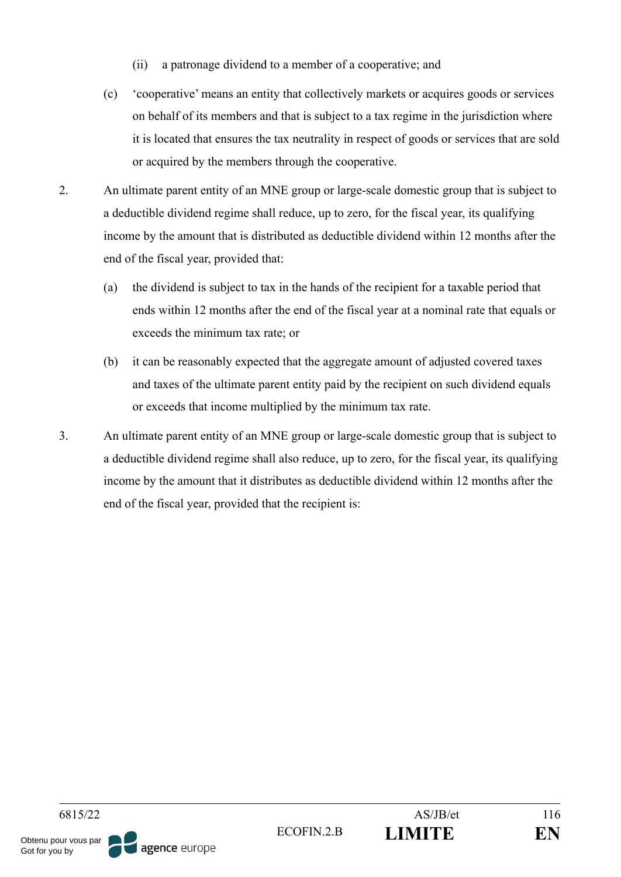- (ii) a patronage dividend to a member of a cooperative; and
- (c) 'cooperative' means an entity that collectively markets or acquires goods or services on behalf of its members and that is subject to a tax regime in the jurisdiction where it is located that ensures the tax neutrality in respect of goods or services that are sold or acquired by the members through the cooperative.
- 2. An ultimate parent entity of an MNE group or large-scale domestic group that is subject to a deductible dividend regime shall reduce, up to zero, for the fiscal year, its qualifying income by the amount that is distributed as deductible dividend within 12 months after the end of the fiscal year, provided that:
	- (a) the dividend is subject to tax in the hands of the recipient for a taxable period that ends within 12 months after the end of the fiscal year at a nominal rate that equals or exceeds the minimum tax rate; or
	- (b) it can be reasonably expected that the aggregate amount of adjusted covered taxes and taxes of the ultimate parent entity paid by the recipient on such dividend equals or exceeds that income multiplied by the minimum tax rate.
- 3. An ultimate parent entity of an MNE group or large-scale domestic group that is subject to a deductible dividend regime shall also reduce, up to zero, for the fiscal year, its qualifying income by the amount that it distributes as deductible dividend within 12 months after the end of the fiscal year, provided that the recipient is:

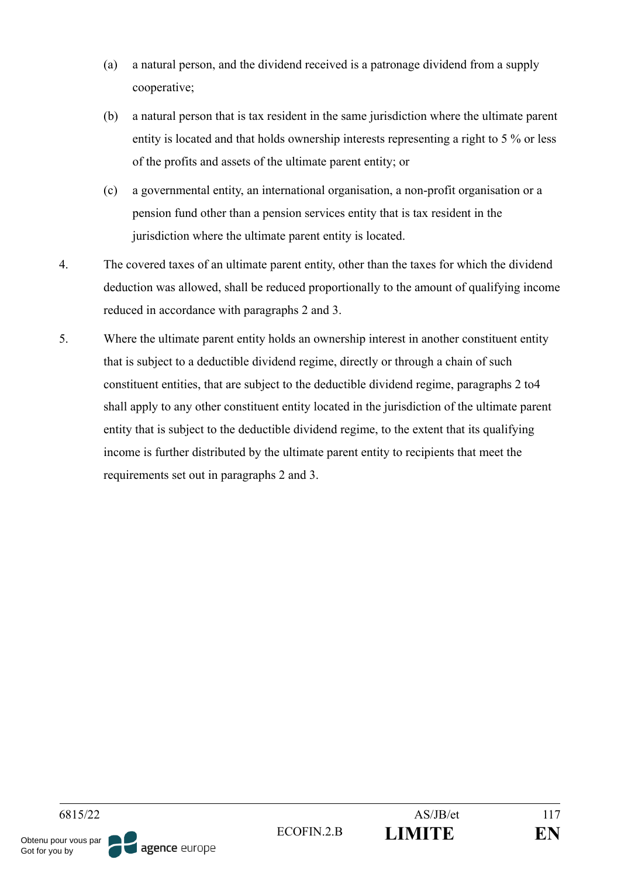- (a) a natural person, and the dividend received is a patronage dividend from a supply cooperative;
- (b) a natural person that is tax resident in the same jurisdiction where the ultimate parent entity is located and that holds ownership interests representing a right to 5 % or less of the profits and assets of the ultimate parent entity; or
- (c) a governmental entity, an international organisation, a non-profit organisation or a pension fund other than a pension services entity that is tax resident in the jurisdiction where the ultimate parent entity is located.
- 4. The covered taxes of an ultimate parent entity, other than the taxes for which the dividend deduction was allowed, shall be reduced proportionally to the amount of qualifying income reduced in accordance with paragraphs 2 and 3.
- 5. Where the ultimate parent entity holds an ownership interest in another constituent entity that is subject to a deductible dividend regime, directly or through a chain of such constituent entities, that are subject to the deductible dividend regime, paragraphs 2 to4 shall apply to any other constituent entity located in the jurisdiction of the ultimate parent entity that is subject to the deductible dividend regime, to the extent that its qualifying income is further distributed by the ultimate parent entity to recipients that meet the requirements set out in paragraphs 2 and 3.

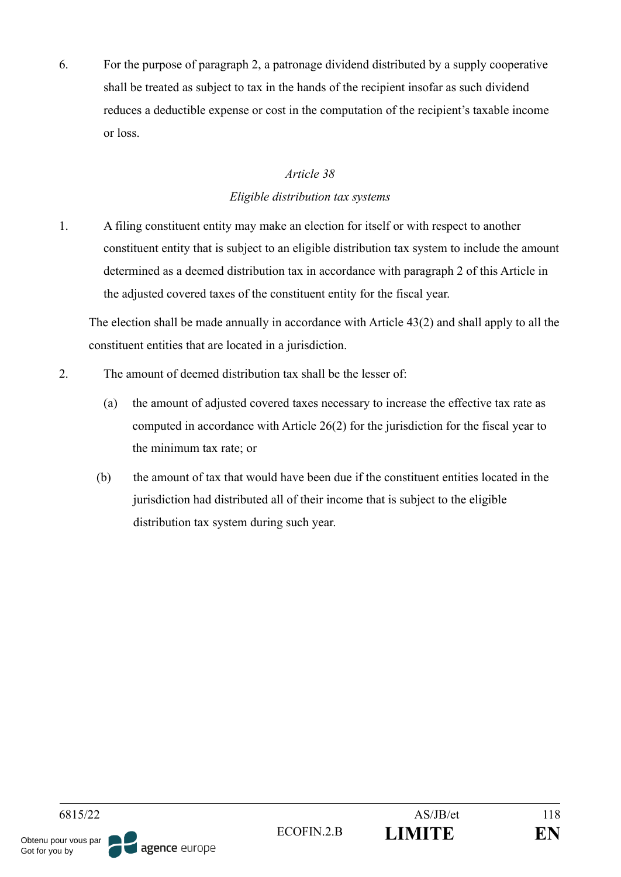6. For the purpose of paragraph 2, a patronage dividend distributed by a supply cooperative shall be treated as subject to tax in the hands of the recipient insofar as such dividend reduces a deductible expense or cost in the computation of the recipient's taxable income or loss.

## *Article 38*

## *Eligible distribution tax systems*

1. A filing constituent entity may make an election for itself or with respect to another constituent entity that is subject to an eligible distribution tax system to include the amount determined as a deemed distribution tax in accordance with paragraph 2 of this Article in the adjusted covered taxes of the constituent entity for the fiscal year.

The election shall be made annually in accordance with Article 43(2) and shall apply to all the constituent entities that are located in a jurisdiction.

- 2. The amount of deemed distribution tax shall be the lesser of:
	- (a) the amount of adjusted covered taxes necessary to increase the effective tax rate as computed in accordance with Article 26(2) for the jurisdiction for the fiscal year to the minimum tax rate; or
	- (b) the amount of tax that would have been due if the constituent entities located in the jurisdiction had distributed all of their income that is subject to the eligible distribution tax system during such year.

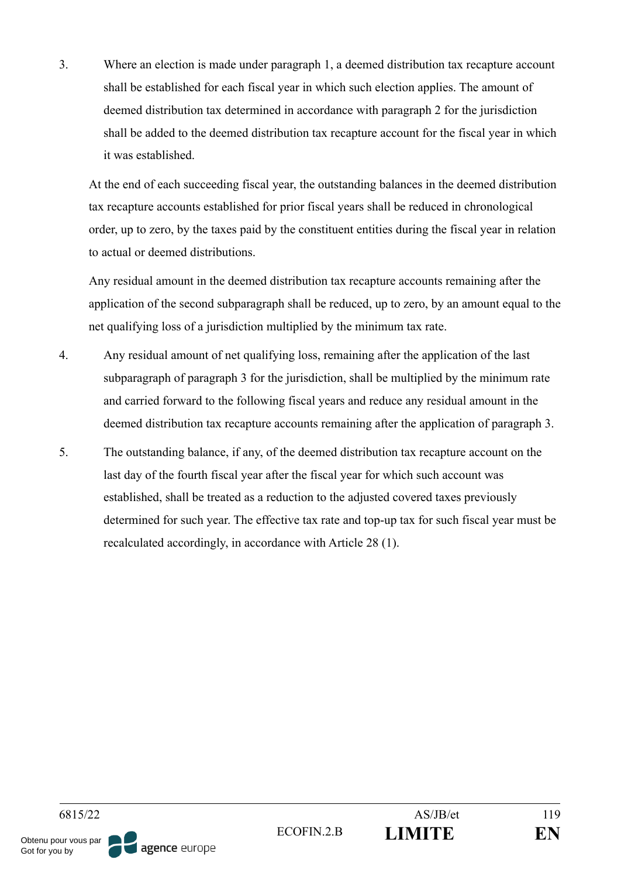3. Where an election is made under paragraph 1, a deemed distribution tax recapture account shall be established for each fiscal year in which such election applies. The amount of deemed distribution tax determined in accordance with paragraph 2 for the jurisdiction shall be added to the deemed distribution tax recapture account for the fiscal year in which it was established.

At the end of each succeeding fiscal year, the outstanding balances in the deemed distribution tax recapture accounts established for prior fiscal years shall be reduced in chronological order, up to zero, by the taxes paid by the constituent entities during the fiscal year in relation to actual or deemed distributions.

Any residual amount in the deemed distribution tax recapture accounts remaining after the application of the second subparagraph shall be reduced, up to zero, by an amount equal to the net qualifying loss of a jurisdiction multiplied by the minimum tax rate.

- 4. Any residual amount of net qualifying loss, remaining after the application of the last subparagraph of paragraph 3 for the jurisdiction, shall be multiplied by the minimum rate and carried forward to the following fiscal years and reduce any residual amount in the deemed distribution tax recapture accounts remaining after the application of paragraph 3.
- 5. The outstanding balance, if any, of the deemed distribution tax recapture account on the last day of the fourth fiscal year after the fiscal year for which such account was established, shall be treated as a reduction to the adjusted covered taxes previously determined for such year. The effective tax rate and top-up tax for such fiscal year must be recalculated accordingly, in accordance with Article 28 (1).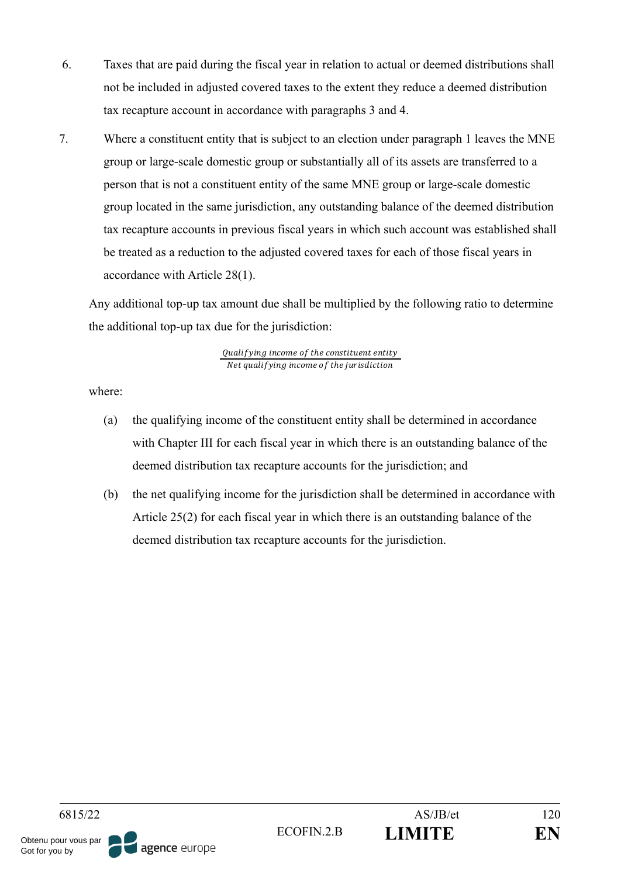- 6. Taxes that are paid during the fiscal year in relation to actual or deemed distributions shall not be included in adjusted covered taxes to the extent they reduce a deemed distribution tax recapture account in accordance with paragraphs 3 and 4.
- 7. Where a constituent entity that is subject to an election under paragraph 1 leaves the MNE group or large-scale domestic group or substantially all of its assets are transferred to a person that is not a constituent entity of the same MNE group or large-scale domestic group located in the same jurisdiction, any outstanding balance of the deemed distribution tax recapture accounts in previous fiscal years in which such account was established shall be treated as a reduction to the adjusted covered taxes for each of those fiscal years in accordance with Article 28(1).

Any additional top-up tax amount due shall be multiplied by the following ratio to determine the additional top-up tax due for the jurisdiction:

> Qualifying income of the constituent entity Net qualifying income of the jurisdiction

where:

- (a) the qualifying income of the constituent entity shall be determined in accordance with Chapter III for each fiscal year in which there is an outstanding balance of the deemed distribution tax recapture accounts for the jurisdiction; and
- (b) the net qualifying income for the jurisdiction shall be determined in accordance with Article 25(2) for each fiscal year in which there is an outstanding balance of the deemed distribution tax recapture accounts for the jurisdiction.

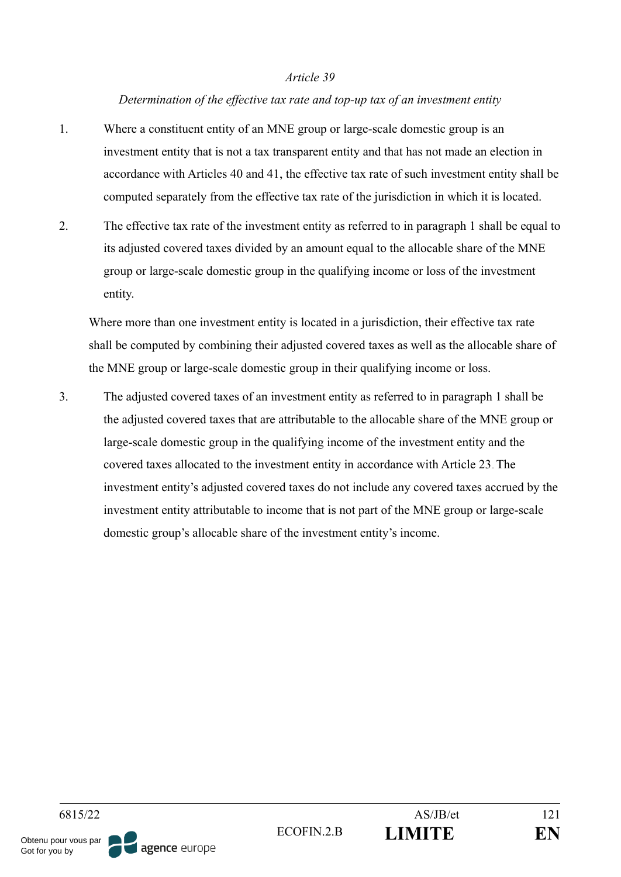#### *Determination of the effective tax rate and top-up tax of an investment entity*

- 1. Where a constituent entity of an MNE group or large-scale domestic group is an investment entity that is not a tax transparent entity and that has not made an election in accordance with Articles 40 and 41, the effective tax rate of such investment entity shall be computed separately from the effective tax rate of the jurisdiction in which it is located.
- 2. The effective tax rate of the investment entity as referred to in paragraph 1 shall be equal to its adjusted covered taxes divided by an amount equal to the allocable share of the MNE group or large-scale domestic group in the qualifying income or loss of the investment entity.

Where more than one investment entity is located in a jurisdiction, their effective tax rate shall be computed by combining their adjusted covered taxes as well as the allocable share of the MNE group or large-scale domestic group in their qualifying income or loss.

3. The adjusted covered taxes of an investment entity as referred to in paragraph 1 shall be the adjusted covered taxes that are attributable to the allocable share of the MNE group or large-scale domestic group in the qualifying income of the investment entity and the covered taxes allocated to the investment entity in accordance with Article 23. The investment entity's adjusted covered taxes do not include any covered taxes accrued by the investment entity attributable to income that is not part of the MNE group or large-scale domestic group's allocable share of the investment entity's income.

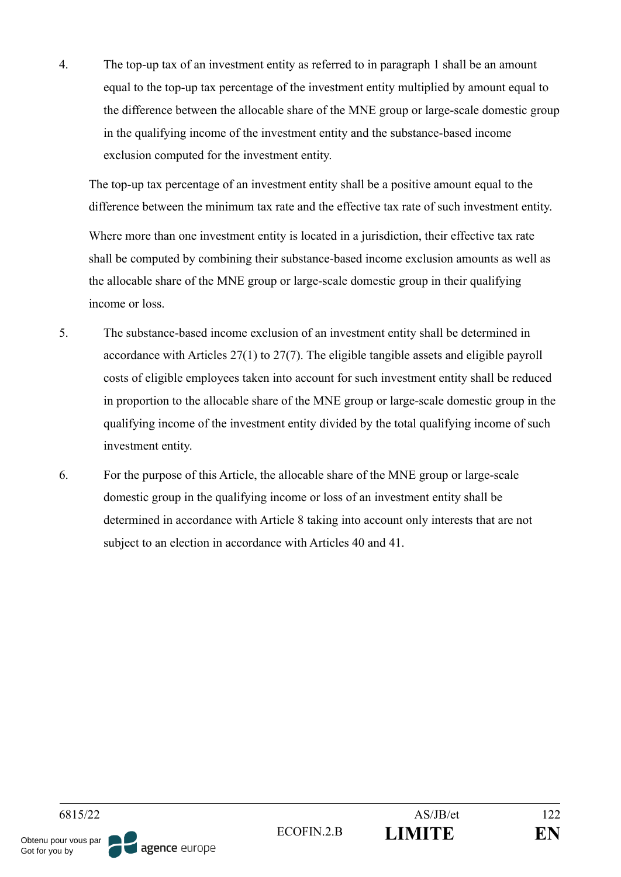4. The top-up tax of an investment entity as referred to in paragraph 1 shall be an amount equal to the top-up tax percentage of the investment entity multiplied by amount equal to the difference between the allocable share of the MNE group or large-scale domestic group in the qualifying income of the investment entity and the substance-based income exclusion computed for the investment entity.

The top-up tax percentage of an investment entity shall be a positive amount equal to the difference between the minimum tax rate and the effective tax rate of such investment entity. Where more than one investment entity is located in a jurisdiction, their effective tax rate shall be computed by combining their substance-based income exclusion amounts as well as the allocable share of the MNE group or large-scale domestic group in their qualifying income or loss.

- 5. The substance-based income exclusion of an investment entity shall be determined in accordance with Articles 27(1) to 27(7). The eligible tangible assets and eligible payroll costs of eligible employees taken into account for such investment entity shall be reduced in proportion to the allocable share of the MNE group or large-scale domestic group in the qualifying income of the investment entity divided by the total qualifying income of such investment entity.
- 6. For the purpose of this Article, the allocable share of the MNE group or large-scale domestic group in the qualifying income or loss of an investment entity shall be determined in accordance with Article 8 taking into account only interests that are not subject to an election in accordance with Articles 40 and 41.

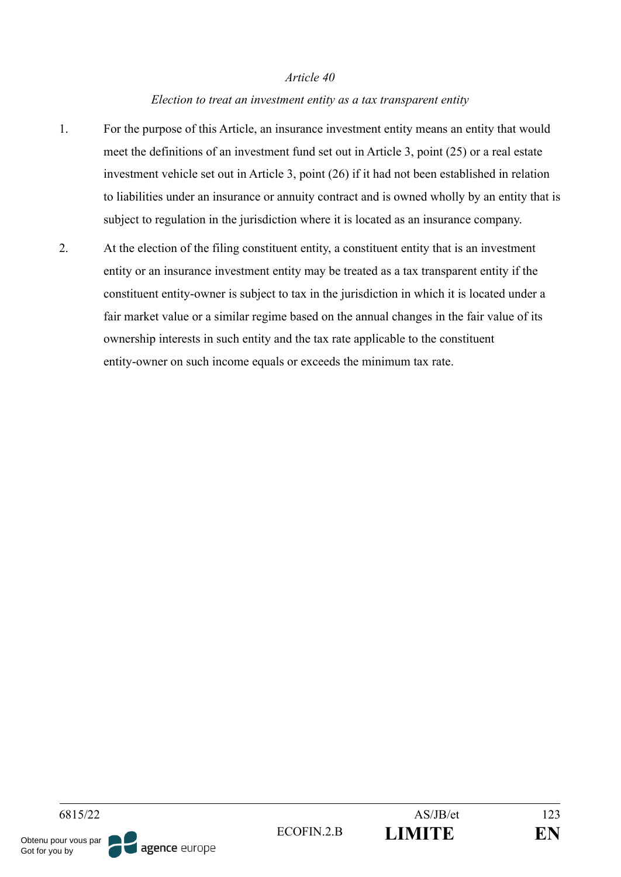#### *Election to treat an investment entity as a tax transparent entity*

- 1. For the purpose of this Article, an insurance investment entity means an entity that would meet the definitions of an investment fund set out in Article 3, point (25) or a real estate investment vehicle set out in Article 3, point (26) if it had not been established in relation to liabilities under an insurance or annuity contract and is owned wholly by an entity that is subject to regulation in the jurisdiction where it is located as an insurance company.
- 2. At the election of the filing constituent entity, a constituent entity that is an investment entity or an insurance investment entity may be treated as a tax transparent entity if the constituent entity-owner is subject to tax in the jurisdiction in which it is located under a fair market value or a similar regime based on the annual changes in the fair value of its ownership interests in such entity and the tax rate applicable to the constituent entity-owner on such income equals or exceeds the minimum tax rate.

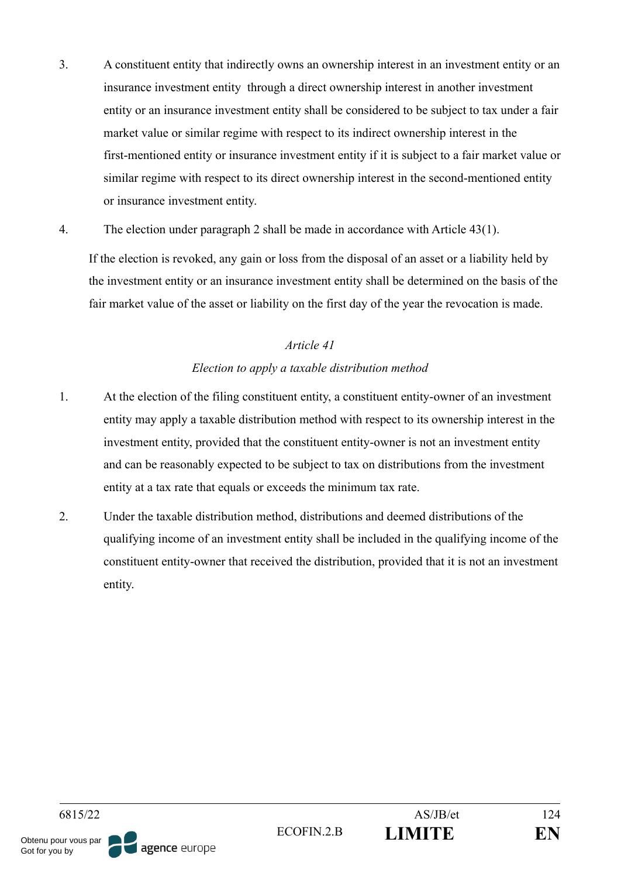- 3. A constituent entity that indirectly owns an ownership interest in an investment entity or an insurance investment entity through a direct ownership interest in another investment entity or an insurance investment entity shall be considered to be subject to tax under a fair market value or similar regime with respect to its indirect ownership interest in the first-mentioned entity or insurance investment entity if it is subject to a fair market value or similar regime with respect to its direct ownership interest in the second-mentioned entity or insurance investment entity.
- 4. The election under paragraph 2 shall be made in accordance with Article 43(1).

If the election is revoked, any gain or loss from the disposal of an asset or a liability held by the investment entity or an insurance investment entity shall be determined on the basis of the fair market value of the asset or liability on the first day of the year the revocation is made.

### *Article 41*

## *Election to apply a taxable distribution method*

- 1. At the election of the filing constituent entity, a constituent entity-owner of an investment entity may apply a taxable distribution method with respect to its ownership interest in the investment entity, provided that the constituent entity-owner is not an investment entity and can be reasonably expected to be subject to tax on distributions from the investment entity at a tax rate that equals or exceeds the minimum tax rate.
- 2. Under the taxable distribution method, distributions and deemed distributions of the qualifying income of an investment entity shall be included in the qualifying income of the constituent entity-owner that received the distribution, provided that it is not an investment entity.

6815/22 AS/JB/et 124 ECOFIN.2.B **LIMITE EN** Obtenu pour vous par agence europe Got for you by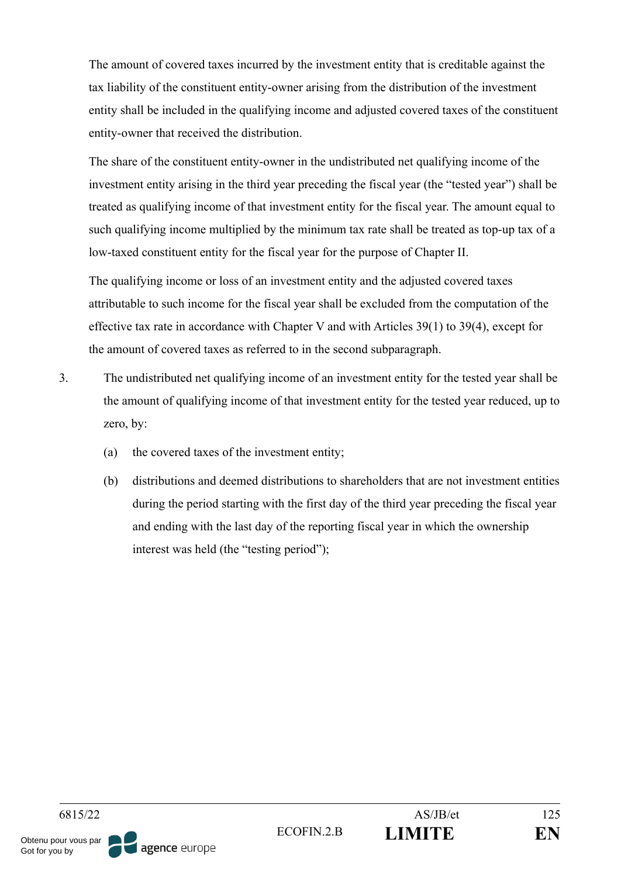The amount of covered taxes incurred by the investment entity that is creditable against the tax liability of the constituent entity-owner arising from the distribution of the investment entity shall be included in the qualifying income and adjusted covered taxes of the constituent entity-owner that received the distribution.

The share of the constituent entity-owner in the undistributed net qualifying income of the investment entity arising in the third year preceding the fiscal year (the "tested year") shall be treated as qualifying income of that investment entity for the fiscal year. The amount equal to such qualifying income multiplied by the minimum tax rate shall be treated as top-up tax of a low-taxed constituent entity for the fiscal year for the purpose of Chapter II.

The qualifying income or loss of an investment entity and the adjusted covered taxes attributable to such income for the fiscal year shall be excluded from the computation of the effective tax rate in accordance with Chapter V and with Articles 39(1) to 39(4), except for the amount of covered taxes as referred to in the second subparagraph.

- 3. The undistributed net qualifying income of an investment entity for the tested year shall be the amount of qualifying income of that investment entity for the tested year reduced, up to zero, by:
	- (a) the covered taxes of the investment entity;
	- (b) distributions and deemed distributions to shareholders that are not investment entities during the period starting with the first day of the third year preceding the fiscal year and ending with the last day of the reporting fiscal year in which the ownership interest was held (the "testing period");

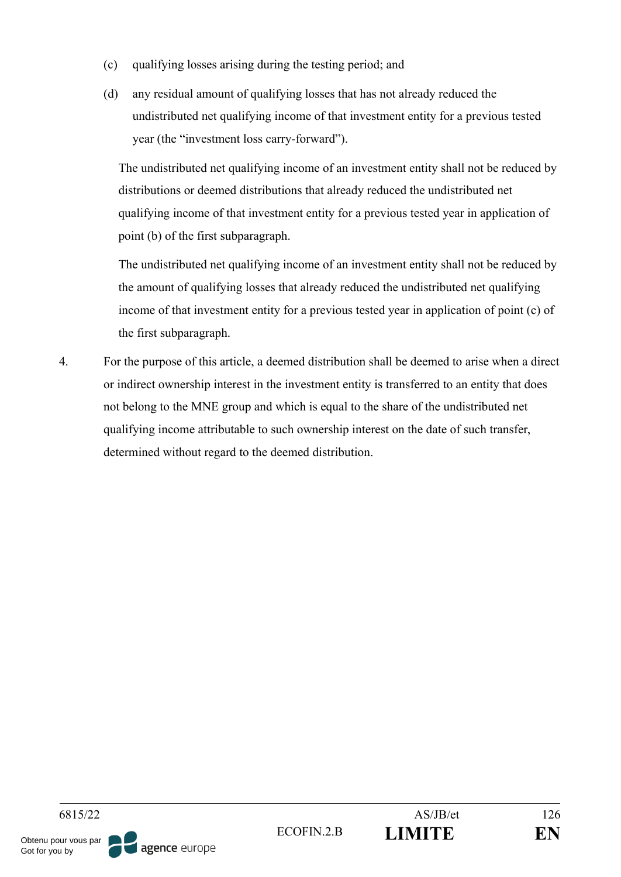- (c) qualifying losses arising during the testing period; and
- (d) any residual amount of qualifying losses that has not already reduced the undistributed net qualifying income of that investment entity for a previous tested year (the "investment loss carry-forward").

The undistributed net qualifying income of an investment entity shall not be reduced by distributions or deemed distributions that already reduced the undistributed net qualifying income of that investment entity for a previous tested year in application of point (b) of the first subparagraph.

The undistributed net qualifying income of an investment entity shall not be reduced by the amount of qualifying losses that already reduced the undistributed net qualifying income of that investment entity for a previous tested year in application of point (c) of the first subparagraph.

4. For the purpose of this article, a deemed distribution shall be deemed to arise when a direct or indirect ownership interest in the investment entity is transferred to an entity that does not belong to the MNE group and which is equal to the share of the undistributed net qualifying income attributable to such ownership interest on the date of such transfer, determined without regard to the deemed distribution.

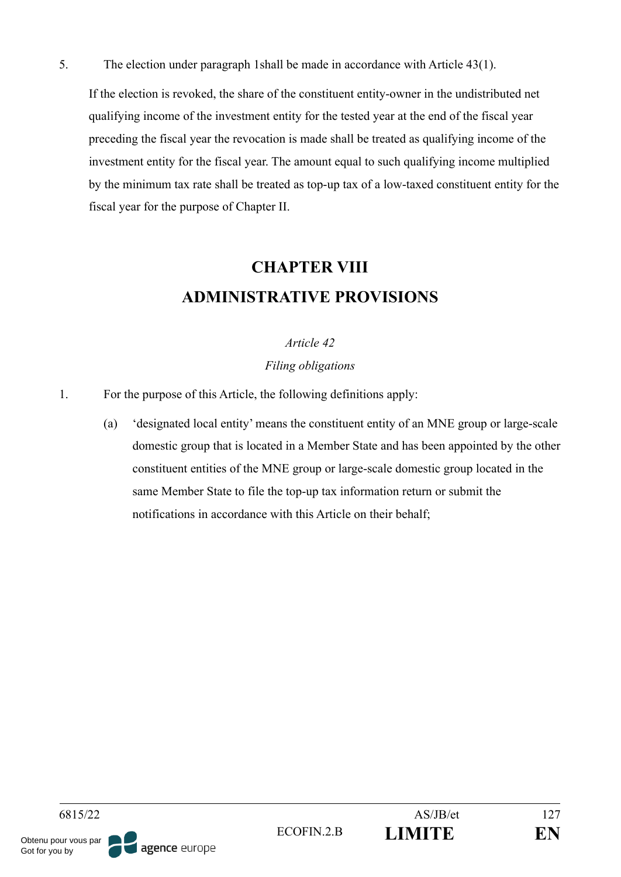5. The election under paragraph 1shall be made in accordance with Article 43(1).

If the election is revoked, the share of the constituent entity-owner in the undistributed net qualifying income of the investment entity for the tested year at the end of the fiscal year preceding the fiscal year the revocation is made shall be treated as qualifying income of the investment entity for the fiscal year. The amount equal to such qualifying income multiplied by the minimum tax rate shall be treated as top-up tax of a low-taxed constituent entity for the fiscal year for the purpose of Chapter II.

# **CHAPTER VIII ADMINISTRATIVE PROVISIONS**

#### *Article 42*

#### *Filing obligations*

- 1. For the purpose of this Article, the following definitions apply:
	- (a) 'designated local entity' means the constituent entity of an MNE group or large-scale domestic group that is located in a Member State and has been appointed by the other constituent entities of the MNE group or large-scale domestic group located in the same Member State to file the top-up tax information return or submit the notifications in accordance with this Article on their behalf;

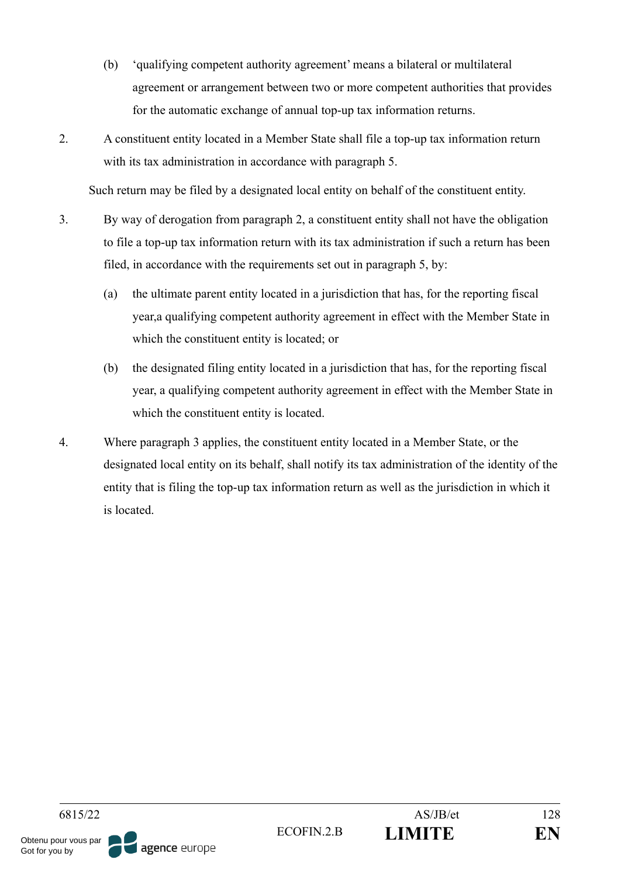- (b) 'qualifying competent authority agreement' means a bilateral or multilateral agreement or arrangement between two or more competent authorities that provides for the automatic exchange of annual top-up tax information returns.
- 2. A constituent entity located in a Member State shall file a top-up tax information return with its tax administration in accordance with paragraph 5.

Such return may be filed by a designated local entity on behalf of the constituent entity.

- 3. By way of derogation from paragraph 2, a constituent entity shall not have the obligation to file a top-up tax information return with its tax administration if such a return has been filed, in accordance with the requirements set out in paragraph 5, by:
	- (a) the ultimate parent entity located in a jurisdiction that has, for the reporting fiscal year,a qualifying competent authority agreement in effect with the Member State in which the constituent entity is located; or
	- (b) the designated filing entity located in a jurisdiction that has, for the reporting fiscal year, a qualifying competent authority agreement in effect with the Member State in which the constituent entity is located.
- 4. Where paragraph 3 applies, the constituent entity located in a Member State, or the designated local entity on its behalf, shall notify its tax administration of the identity of the entity that is filing the top-up tax information return as well as the jurisdiction in which it is located.

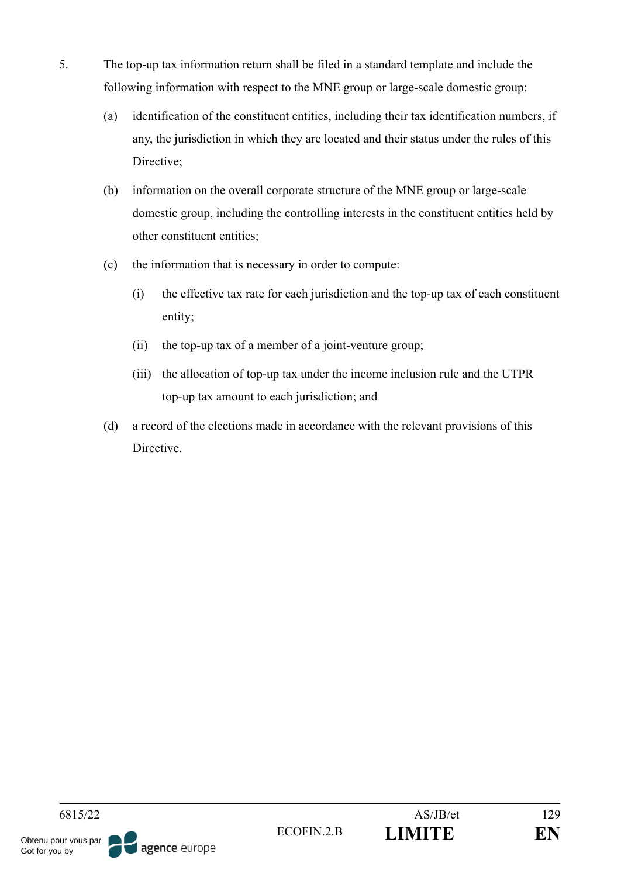- 5. The top-up tax information return shall be filed in a standard template and include the following information with respect to the MNE group or large-scale domestic group:
	- (a) identification of the constituent entities, including their tax identification numbers, if any, the jurisdiction in which they are located and their status under the rules of this Directive;
	- (b) information on the overall corporate structure of the MNE group or large-scale domestic group, including the controlling interests in the constituent entities held by other constituent entities;
	- (c) the information that is necessary in order to compute:
		- (i) the effective tax rate for each jurisdiction and the top-up tax of each constituent entity;
		- (ii) the top-up tax of a member of a joint-venture group;
		- (iii) the allocation of top-up tax under the income inclusion rule and the UTPR top-up tax amount to each jurisdiction; and
	- (d) a record of the elections made in accordance with the relevant provisions of this **Directive**

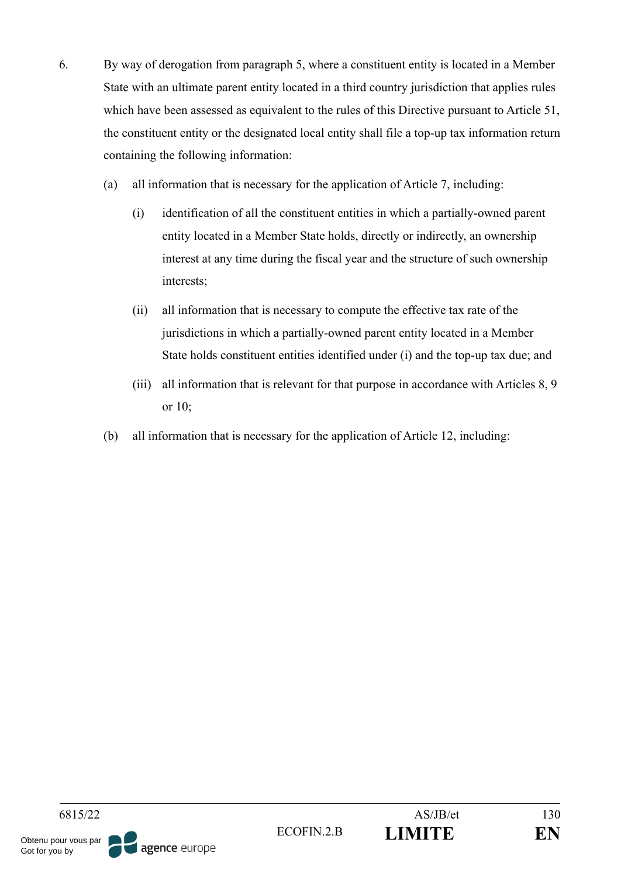- 6. By way of derogation from paragraph 5, where a constituent entity is located in a Member State with an ultimate parent entity located in a third country jurisdiction that applies rules which have been assessed as equivalent to the rules of this Directive pursuant to Article 51, the constituent entity or the designated local entity shall file a top-up tax information return containing the following information:
	- (a) all information that is necessary for the application of Article 7, including:
		- (i) identification of all the constituent entities in which a partially-owned parent entity located in a Member State holds, directly or indirectly, an ownership interest at any time during the fiscal year and the structure of such ownership interests;
		- (ii) all information that is necessary to compute the effective tax rate of the jurisdictions in which a partially-owned parent entity located in a Member State holds constituent entities identified under (i) and the top-up tax due; and
		- (iii) all information that is relevant for that purpose in accordance with Articles 8, 9 or 10;
	- (b) all information that is necessary for the application of Article 12, including: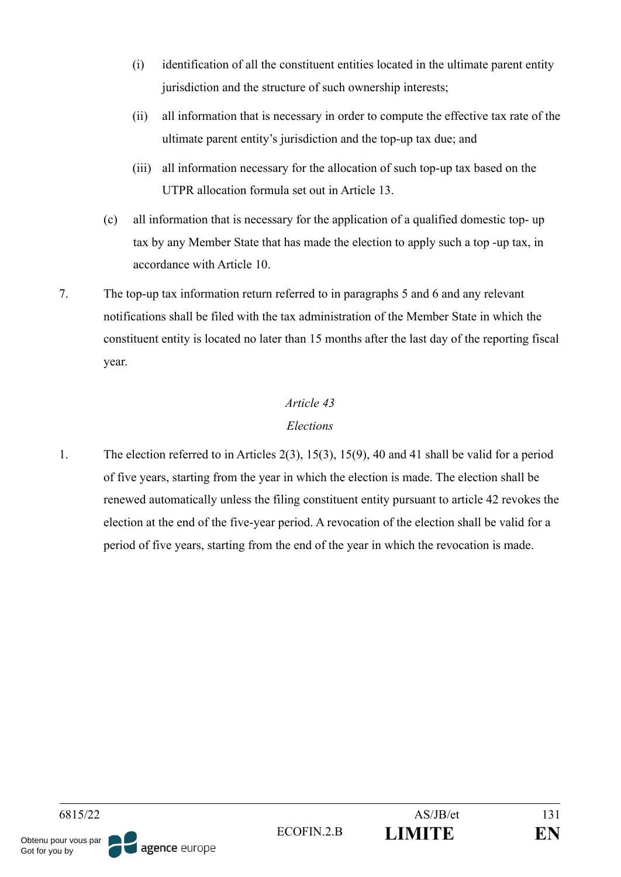- (i) identification of all the constituent entities located in the ultimate parent entity jurisdiction and the structure of such ownership interests;
- (ii) all information that is necessary in order to compute the effective tax rate of the ultimate parent entity's jurisdiction and the top-up tax due; and
- (iii) all information necessary for the allocation of such top-up tax based on the UTPR allocation formula set out in Article 13.
- (c) all information that is necessary for the application of a qualified domestic top- up tax by any Member State that has made the election to apply such a top -up tax, in accordance with Article 10.
- 7. The top-up tax information return referred to in paragraphs 5 and 6 and any relevant notifications shall be filed with the tax administration of the Member State in which the constituent entity is located no later than 15 months after the last day of the reporting fiscal year.

## *Elections*

1. The election referred to in Articles 2(3), 15(3), 15(9), 40 and 41 shall be valid for a period of five years, starting from the year in which the election is made. The election shall be renewed automatically unless the filing constituent entity pursuant to article 42 revokes the election at the end of the five-year period. A revocation of the election shall be valid for a period of five years, starting from the end of the year in which the revocation is made.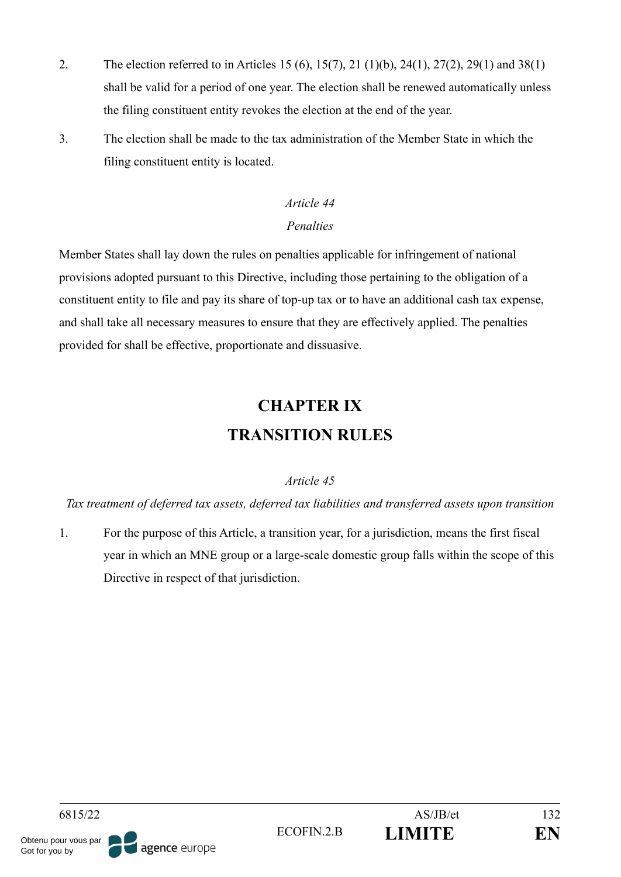- 2. The election referred to in Articles 15 (6), 15(7), 21 (1)(b), 24(1), 27(2), 29(1) and 38(1) shall be valid for a period of one year. The election shall be renewed automatically unless the filing constituent entity revokes the election at the end of the year.
- 3. The election shall be made to the tax administration of the Member State in which the filing constituent entity is located.

## *Article 44 Penalties*

Member States shall lay down the rules on penalties applicable for infringement of national provisions adopted pursuant to this Directive, including those pertaining to the obligation of a constituent entity to file and pay its share of top-up tax or to have an additional cash tax expense, and shall take all necessary measures to ensure that they are effectively applied. The penalties provided for shall be effective, proportionate and dissuasive.

# **CHAPTER IX TRANSITION RULES**

## *Article 45*

*Tax treatment of deferred tax assets, deferred tax liabilities and transferred assets upon transition*

1. For the purpose of this Article, a transition year, for a jurisdiction, means the first fiscal year in which an MNE group or a large-scale domestic group falls within the scope of this Directive in respect of that jurisdiction.

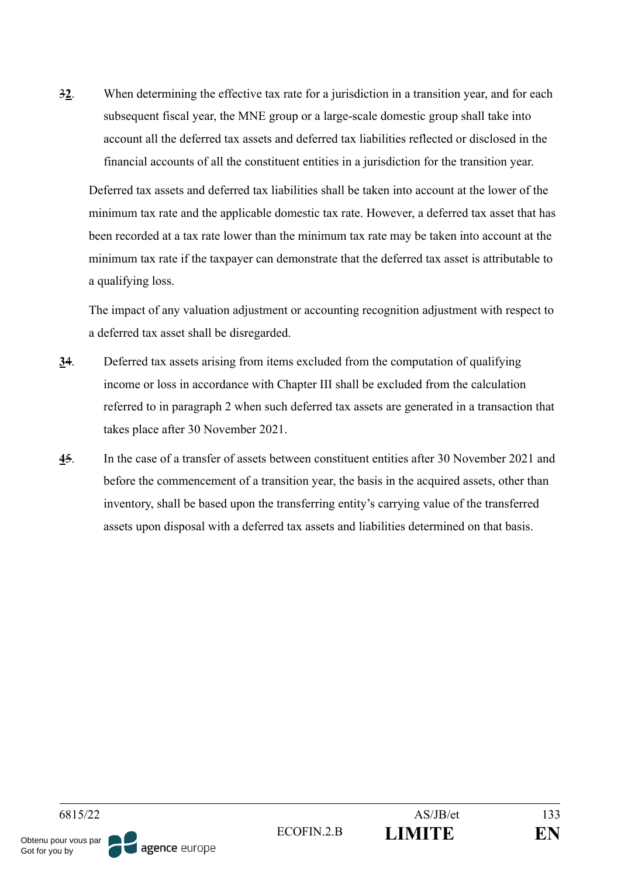3**2**. When determining the effective tax rate for a jurisdiction in a transition year, and for each subsequent fiscal year, the MNE group or a large-scale domestic group shall take into account all the deferred tax assets and deferred tax liabilities reflected or disclosed in the financial accounts of all the constituent entities in a jurisdiction for the transition year.

Deferred tax assets and deferred tax liabilities shall be taken into account at the lower of the minimum tax rate and the applicable domestic tax rate. However, a deferred tax asset that has been recorded at a tax rate lower than the minimum tax rate may be taken into account at the minimum tax rate if the taxpayer can demonstrate that the deferred tax asset is attributable to a qualifying loss.

The impact of any valuation adjustment or accounting recognition adjustment with respect to a deferred tax asset shall be disregarded.

- **3**4. Deferred tax assets arising from items excluded from the computation of qualifying income or loss in accordance with Chapter III shall be excluded from the calculation referred to in paragraph 2 when such deferred tax assets are generated in a transaction that takes place after 30 November 2021.
- **4**5. In the case of a transfer of assets between constituent entities after 30 November 2021 and before the commencement of a transition year, the basis in the acquired assets, other than inventory, shall be based upon the transferring entity's carrying value of the transferred assets upon disposal with a deferred tax assets and liabilities determined on that basis.

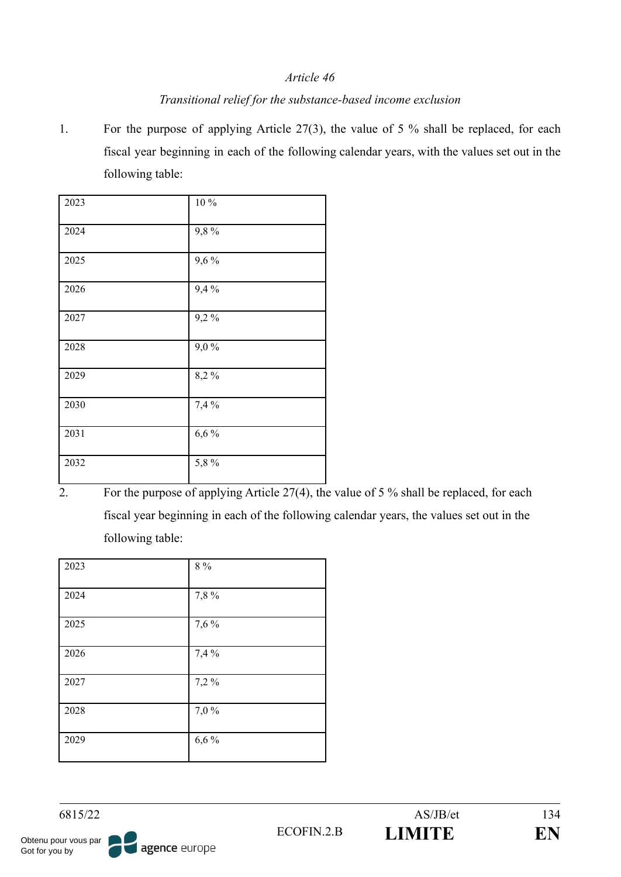### *Transitional relief for the substance-based income exclusion*

1. For the purpose of applying Article 27(3), the value of 5 % shall be replaced, for each fiscal year beginning in each of the following calendar years, with the values set out in the following table:

| $\overline{2023}$ | $10\,\%$ |
|-------------------|----------|
| 2024              | 9,8%     |
| 2025              | 9,6%     |
| 2026              | 9,4%     |
| 2027              | 9,2%     |
| 2028              | 9,0%     |
| 2029              | 8,2%     |
| 2030              | 7,4%     |
| 2031              | 6,6%     |
| 2032              | 5,8%     |

<sup>2.</sup> For the purpose of applying Article  $27(4)$ , the value of 5 % shall be replaced, for each fiscal year beginning in each of the following calendar years, the values set out in the following table:

| 2023 | $8\ \%$ |
|------|---------|
| 2024 | 7,8%    |
| 2025 | 7,6%    |
| 2026 | 7,4 %   |
| 2027 | 7,2%    |
| 2028 | 7,0%    |
| 2029 | 6,6%    |

agence europe

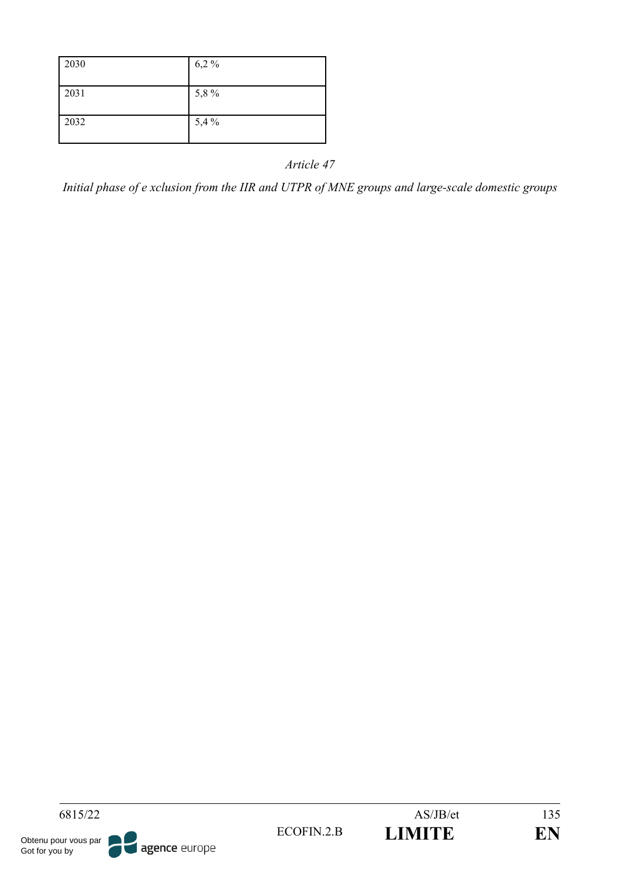*Initial phase of e xclusion from the IIR and UTPR of MNE groups and large-scale domestic groups*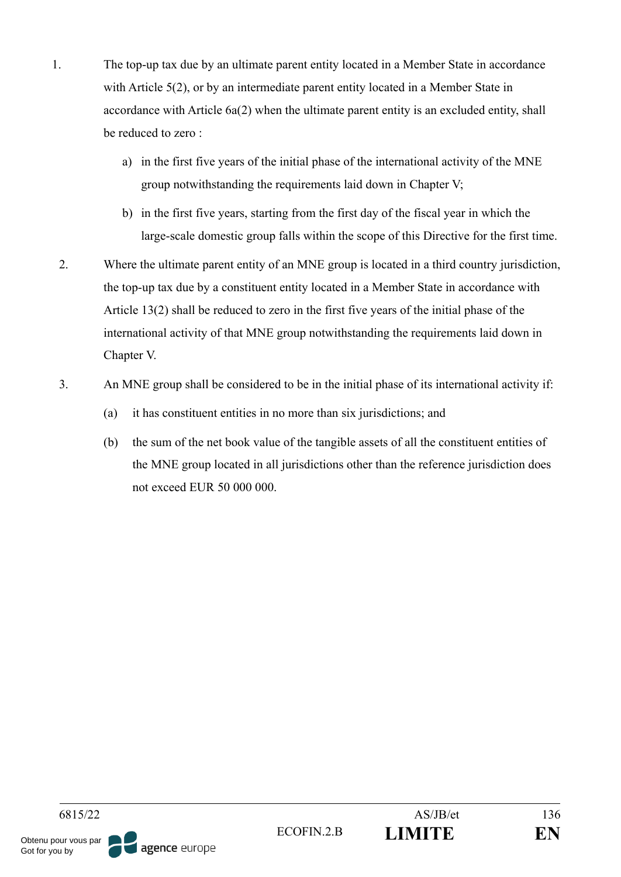- 1. The top-up tax due by an ultimate parent entity located in a Member State in accordance with Article 5(2), or by an intermediate parent entity located in a Member State in accordance with Article 6a(2) when the ultimate parent entity is an excluded entity, shall be reduced to zero :
	- a) in the first five years of the initial phase of the international activity of the MNE group notwithstanding the requirements laid down in Chapter V;
	- b) in the first five years, starting from the first day of the fiscal year in which the large-scale domestic group falls within the scope of this Directive for the first time.
	- 2. Where the ultimate parent entity of an MNE group is located in a third country jurisdiction, the top-up tax due by a constituent entity located in a Member State in accordance with Article 13(2) shall be reduced to zero in the first five years of the initial phase of the international activity of that MNE group notwithstanding the requirements laid down in Chapter V.
- 3. An MNE group shall be considered to be in the initial phase of its international activity if:
	- (a) it has constituent entities in no more than six jurisdictions; and
	- (b) the sum of the net book value of the tangible assets of all the constituent entities of the MNE group located in all jurisdictions other than the reference jurisdiction does not exceed EUR 50 000 000.

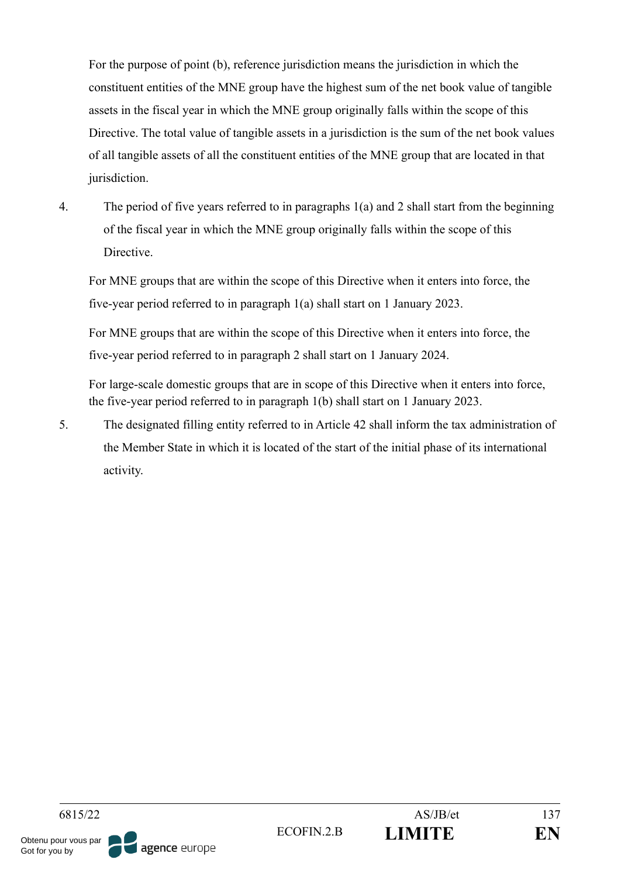For the purpose of point (b), reference jurisdiction means the jurisdiction in which the constituent entities of the MNE group have the highest sum of the net book value of tangible assets in the fiscal year in which the MNE group originally falls within the scope of this Directive. The total value of tangible assets in a jurisdiction is the sum of the net book values of all tangible assets of all the constituent entities of the MNE group that are located in that jurisdiction.

4. The period of five years referred to in paragraphs 1(a) and 2 shall start from the beginning of the fiscal year in which the MNE group originally falls within the scope of this Directive.

For MNE groups that are within the scope of this Directive when it enters into force, the five-year period referred to in paragraph 1(a) shall start on 1 January 2023.

For MNE groups that are within the scope of this Directive when it enters into force, the five-year period referred to in paragraph 2 shall start on 1 January 2024.

For large-scale domestic groups that are in scope of this Directive when it enters into force, the five-year period referred to in paragraph 1(b) shall start on 1 January 2023.

5. The designated filling entity referred to in Article 42 shall inform the tax administration of the Member State in which it is located of the start of the initial phase of its international activity.

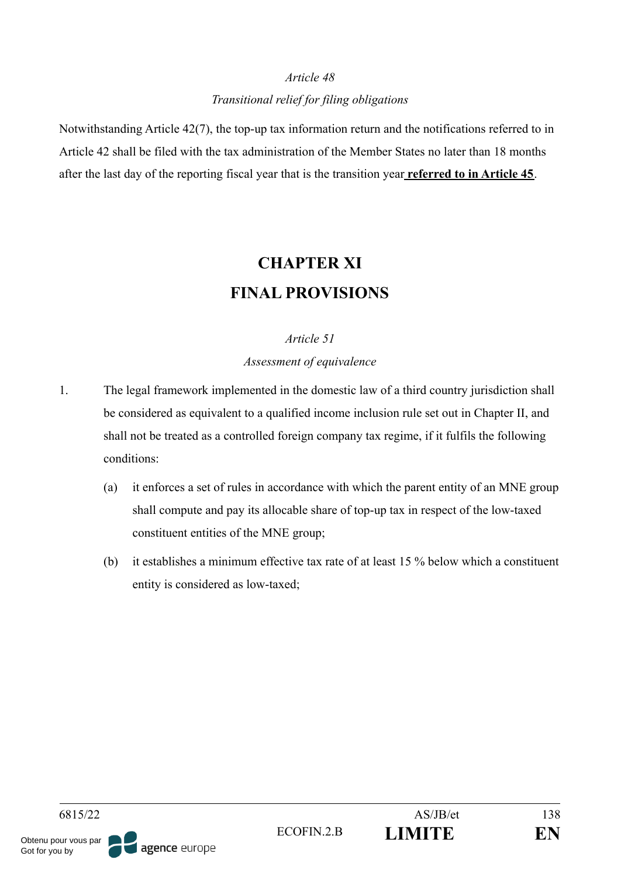## *Article 48 Transitional relief for filing obligations*

Notwithstanding Article 42(7), the top-up tax information return and the notifications referred to in Article 42 shall be filed with the tax administration of the Member States no later than 18 months after the last day of the reporting fiscal year that is the transition year **referred to in Article 45**.

# **CHAPTER XI FINAL PROVISIONS**

### *Article 51*

*Assessment of equivalence*

- 1. The legal framework implemented in the domestic law of a third country jurisdiction shall be considered as equivalent to a qualified income inclusion rule set out in Chapter II, and shall not be treated as a controlled foreign company tax regime, if it fulfils the following conditions:
	- (a) it enforces a set of rules in accordance with which the parent entity of an MNE group shall compute and pay its allocable share of top-up tax in respect of the low-taxed constituent entities of the MNE group;
	- (b) it establishes a minimum effective tax rate of at least 15 % below which a constituent entity is considered as low-taxed;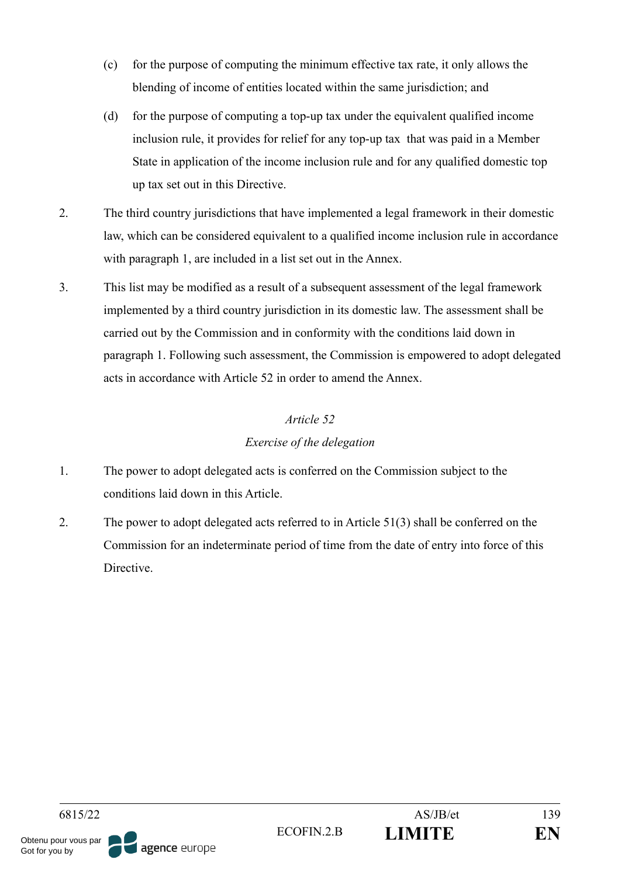- (c) for the purpose of computing the minimum effective tax rate, it only allows the blending of income of entities located within the same jurisdiction; and
- (d) for the purpose of computing a top-up tax under the equivalent qualified income inclusion rule, it provides for relief for any top-up tax that was paid in a Member State in application of the income inclusion rule and for any qualified domestic top up tax set out in this Directive.
- 2. The third country jurisdictions that have implemented a legal framework in their domestic law, which can be considered equivalent to a qualified income inclusion rule in accordance with paragraph 1, are included in a list set out in the Annex.
- 3. This list may be modified as a result of a subsequent assessment of the legal framework implemented by a third country jurisdiction in its domestic law. The assessment shall be carried out by the Commission and in conformity with the conditions laid down in paragraph 1. Following such assessment, the Commission is empowered to adopt delegated acts in accordance with Article 52 in order to amend the Annex.

## *Exercise of the delegation*

- 1. The power to adopt delegated acts is conferred on the Commission subject to the conditions laid down in this Article.
- 2. The power to adopt delegated acts referred to in Article 51(3) shall be conferred on the Commission for an indeterminate period of time from the date of entry into force of this **Directive**

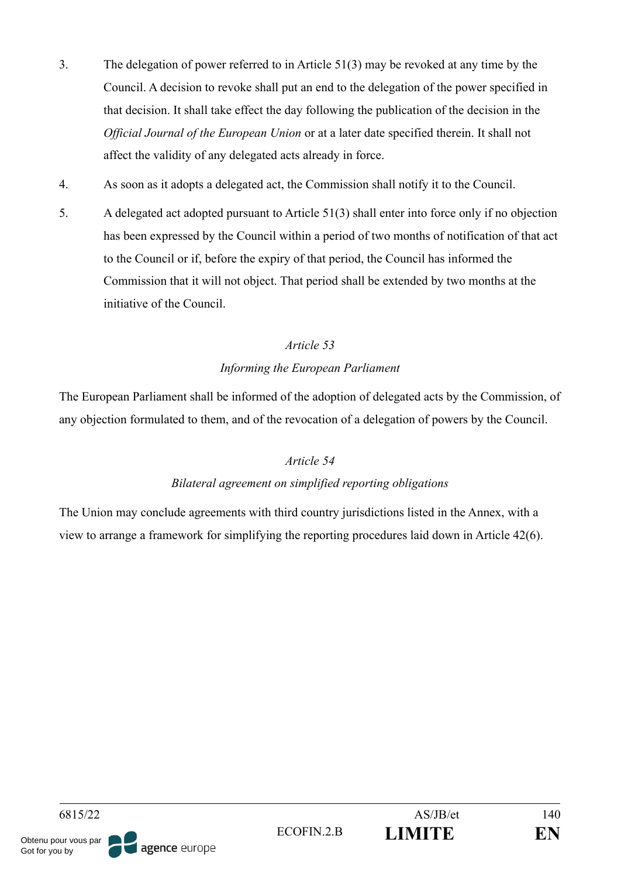- 3. The delegation of power referred to in Article 51(3) may be revoked at any time by the Council. A decision to revoke shall put an end to the delegation of the power specified in that decision. It shall take effect the day following the publication of the decision in the *Official Journal of the European Union* or at a later date specified therein. It shall not affect the validity of any delegated acts already in force.
- 4. As soon as it adopts a delegated act, the Commission shall notify it to the Council.
- 5. A delegated act adopted pursuant to Article 51(3) shall enter into force only if no objection has been expressed by the Council within a period of two months of notification of that act to the Council or if, before the expiry of that period, the Council has informed the Commission that it will not object. That period shall be extended by two months at the initiative of the Council.

## *Informing the European Parliament*

The European Parliament shall be informed of the adoption of delegated acts by the Commission, of any objection formulated to them, and of the revocation of a delegation of powers by the Council.

## *Article 54*

## *Bilateral agreement on simplified reporting obligations*

The Union may conclude agreements with third country jurisdictions listed in the Annex, with a view to arrange a framework for simplifying the reporting procedures laid down in Article 42(6).

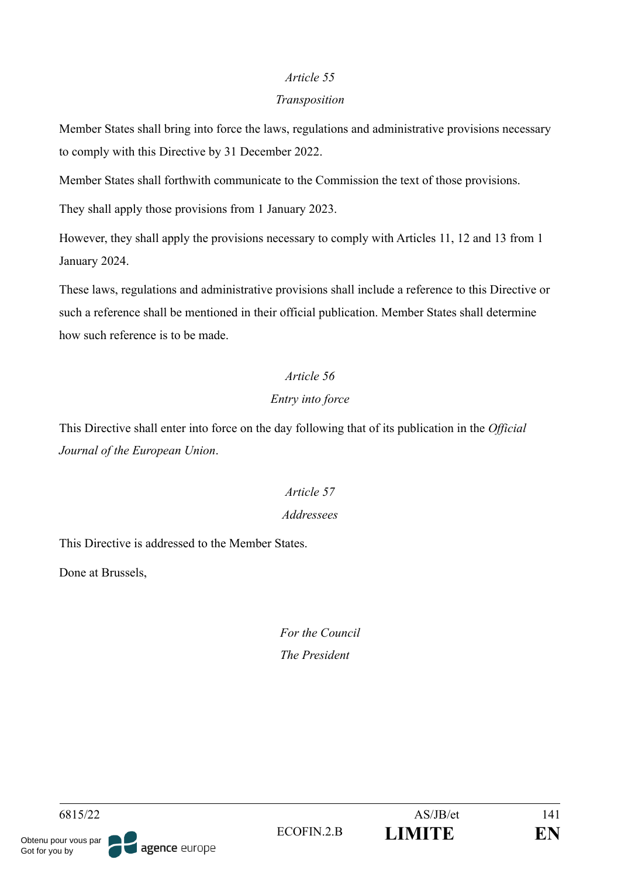#### *Transposition*

Member States shall bring into force the laws, regulations and administrative provisions necessary to comply with this Directive by 31 December 2022.

Member States shall forthwith communicate to the Commission the text of those provisions.

They shall apply those provisions from 1 January 2023.

However, they shall apply the provisions necessary to comply with Articles 11, 12 and 13 from 1 January 2024.

These laws, regulations and administrative provisions shall include a reference to this Directive or such a reference shall be mentioned in their official publication. Member States shall determine how such reference is to be made.

# *Article 56*

## *Entry into force*

This Directive shall enter into force on the day following that of its publication in the *Official Journal of the European Union*.

## *Article 57 Addressees*

This Directive is addressed to the Member States.

Done at Brussels,

*For the Council The President*